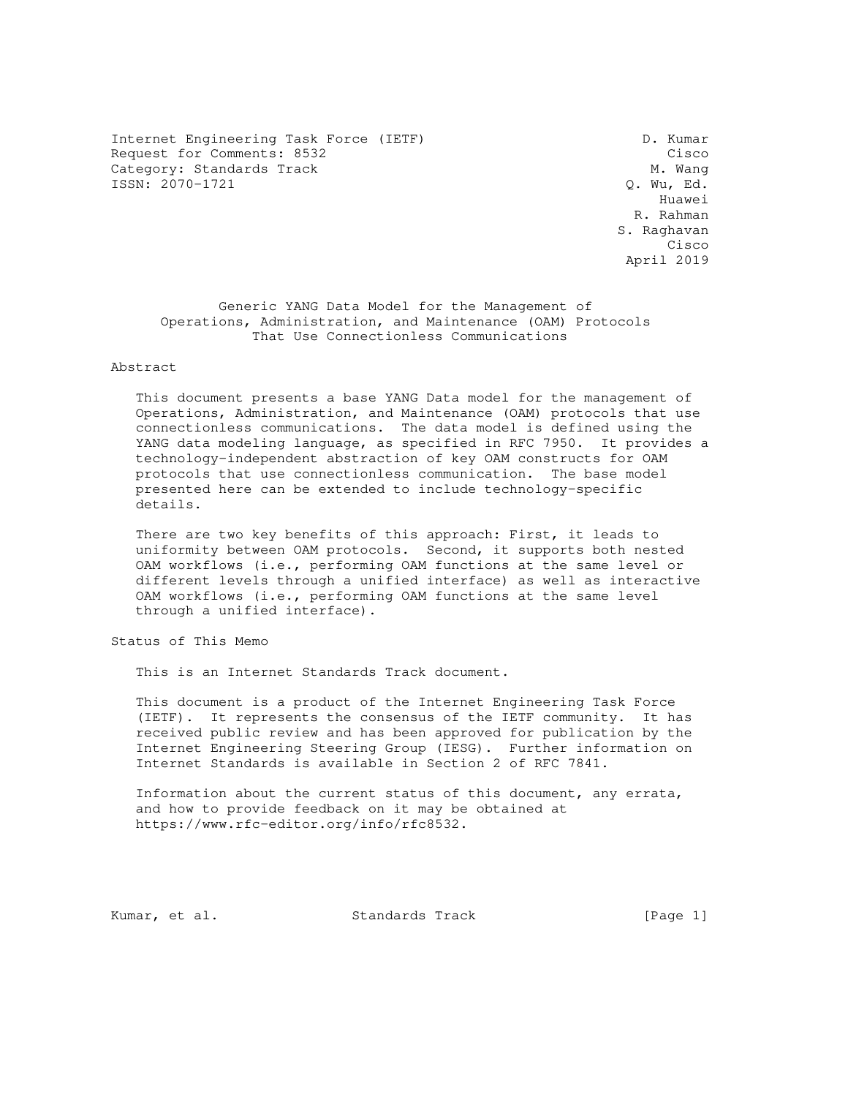Internet Engineering Task Force (IETF) D. Kumar Request for Comments: 8532 Cisco Category: Standards Track Cisco Category: Standards Track Category: Standards Track M. Wang<br>
ISSN: 2070-1721 Q. Wu, Ed. ISSN: 2070-1721

 Huawei R. Rahman S. Raghavan **Cisco Contract of the Contract of the Contract of the Contract of the Cisco** April 2019

 Generic YANG Data Model for the Management of Operations, Administration, and Maintenance (OAM) Protocols That Use Connectionless Communications

Abstract

 This document presents a base YANG Data model for the management of Operations, Administration, and Maintenance (OAM) protocols that use connectionless communications. The data model is defined using the YANG data modeling language, as specified in RFC 7950. It provides a technology-independent abstraction of key OAM constructs for OAM protocols that use connectionless communication. The base model presented here can be extended to include technology-specific details.

 There are two key benefits of this approach: First, it leads to uniformity between OAM protocols. Second, it supports both nested OAM workflows (i.e., performing OAM functions at the same level or different levels through a unified interface) as well as interactive OAM workflows (i.e., performing OAM functions at the same level through a unified interface).

Status of This Memo

This is an Internet Standards Track document.

 This document is a product of the Internet Engineering Task Force (IETF). It represents the consensus of the IETF community. It has received public review and has been approved for publication by the Internet Engineering Steering Group (IESG). Further information on Internet Standards is available in Section 2 of RFC 7841.

 Information about the current status of this document, any errata, and how to provide feedback on it may be obtained at https://www.rfc-editor.org/info/rfc8532.

Kumar, et al. Standards Track [Page 1]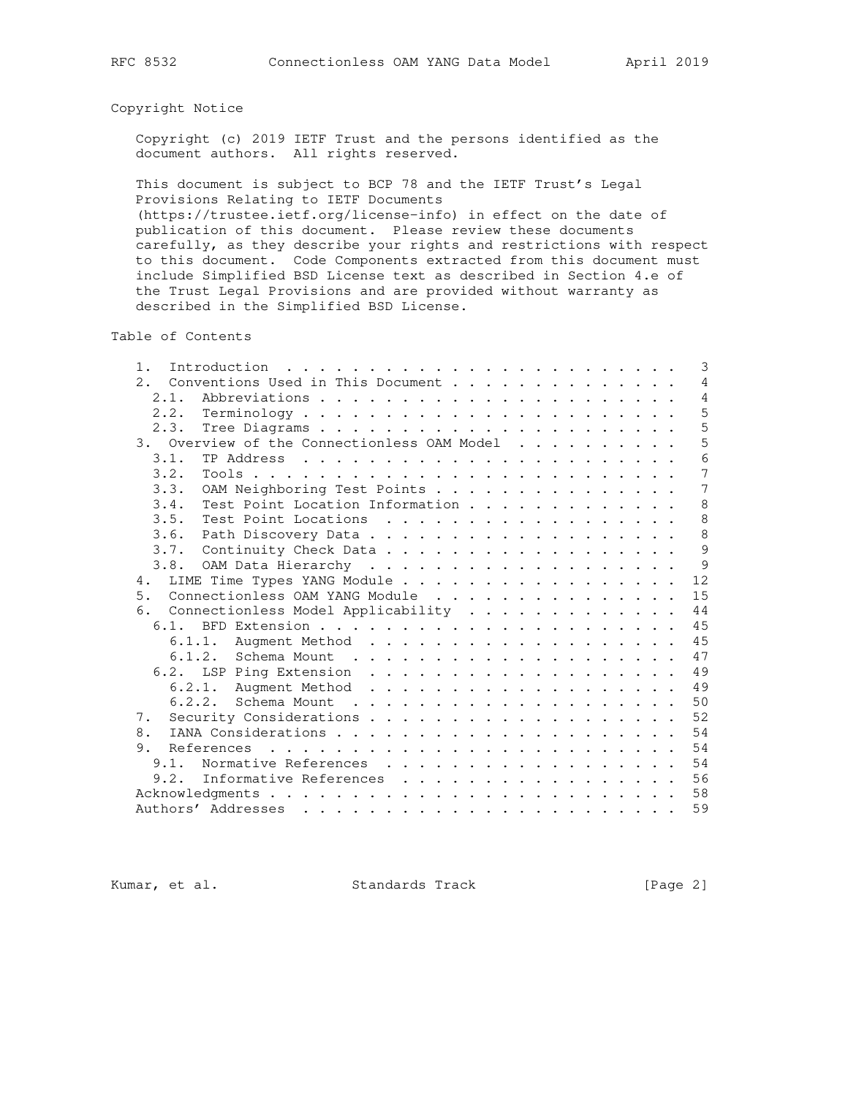## Copyright Notice

 Copyright (c) 2019 IETF Trust and the persons identified as the document authors. All rights reserved.

 This document is subject to BCP 78 and the IETF Trust's Legal Provisions Relating to IETF Documents

 (https://trustee.ietf.org/license-info) in effect on the date of publication of this document. Please review these documents carefully, as they describe your rights and restrictions with respect to this document. Code Components extracted from this document must include Simplified BSD License text as described in Section 4.e of the Trust Legal Provisions and are provided without warranty as described in the Simplified BSD License.

Table of Contents

| 1.   | 3<br>Introduction                                                                                                                                                                                                                                             |
|------|---------------------------------------------------------------------------------------------------------------------------------------------------------------------------------------------------------------------------------------------------------------|
| 2.1  | Conventions Used in This Document<br>4                                                                                                                                                                                                                        |
| 2.1. | 4                                                                                                                                                                                                                                                             |
| 2.2. | 5                                                                                                                                                                                                                                                             |
| 2.3. | 5                                                                                                                                                                                                                                                             |
|      | 5<br>3. Overview of the Connectionless OAM Model                                                                                                                                                                                                              |
| 3.1. | 6                                                                                                                                                                                                                                                             |
| 3.2. | 7                                                                                                                                                                                                                                                             |
| 3.3. | 7<br>OAM Neighboring Test Points                                                                                                                                                                                                                              |
| 3.4. | 8<br>Test Point Location Information                                                                                                                                                                                                                          |
| 3.5. | 8<br>Test Point Locations                                                                                                                                                                                                                                     |
| 3.6. | 8                                                                                                                                                                                                                                                             |
| 3.7. | 9<br>Continuity Check Data                                                                                                                                                                                                                                    |
|      | 9                                                                                                                                                                                                                                                             |
| 4.   | 12<br>LIME Time Types YANG Module                                                                                                                                                                                                                             |
| 5.   | 15<br>Connectionless OAM YANG Module                                                                                                                                                                                                                          |
| 6.   | 44<br>Connectionless Model Applicability                                                                                                                                                                                                                      |
| 6.1. | 45                                                                                                                                                                                                                                                            |
|      | 45<br>6.1.1.                                                                                                                                                                                                                                                  |
|      | 47<br>6.1.2.<br>Schema Mount<br>. The contract of the contract of the contract of the contract of the contract of the contract of the contract of the contract of the contract of the contract of the contract of the contract of the contract of the contrac |
|      | 49<br>6.2. LSP Ping Extension                                                                                                                                                                                                                                 |
|      | 49                                                                                                                                                                                                                                                            |
|      | 50                                                                                                                                                                                                                                                            |
| 7.   | 52                                                                                                                                                                                                                                                            |
| 8.   | 54                                                                                                                                                                                                                                                            |
| 9.   | 54                                                                                                                                                                                                                                                            |
| 9.1. | 54<br>Normative References                                                                                                                                                                                                                                    |
| 9.2. | 56<br>Informative References                                                                                                                                                                                                                                  |
|      | 58                                                                                                                                                                                                                                                            |
|      | 59                                                                                                                                                                                                                                                            |
|      |                                                                                                                                                                                                                                                               |

Kumar, et al. Standards Track [Page 2]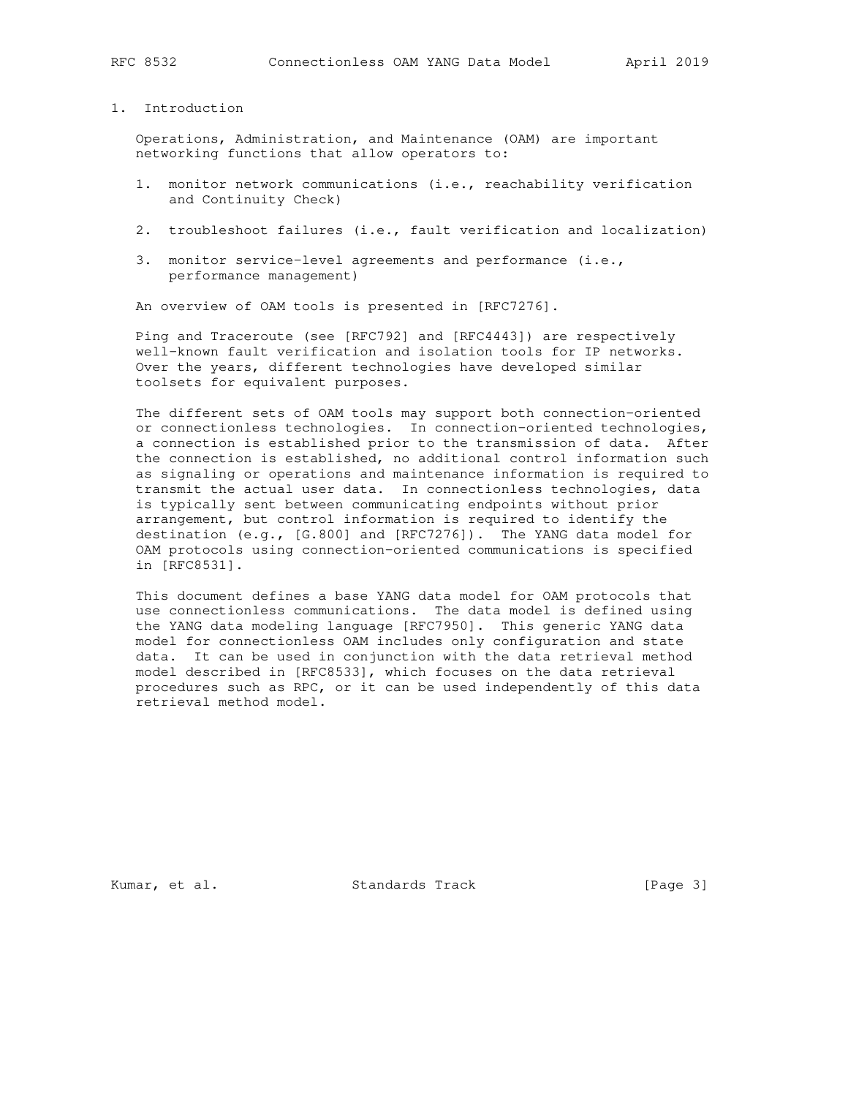# 1. Introduction

 Operations, Administration, and Maintenance (OAM) are important networking functions that allow operators to:

- 1. monitor network communications (i.e., reachability verification and Continuity Check)
- 2. troubleshoot failures (i.e., fault verification and localization)
- 3. monitor service-level agreements and performance (i.e., performance management)

An overview of OAM tools is presented in [RFC7276].

 Ping and Traceroute (see [RFC792] and [RFC4443]) are respectively well-known fault verification and isolation tools for IP networks. Over the years, different technologies have developed similar toolsets for equivalent purposes.

 The different sets of OAM tools may support both connection-oriented or connectionless technologies. In connection-oriented technologies, a connection is established prior to the transmission of data. After the connection is established, no additional control information such as signaling or operations and maintenance information is required to transmit the actual user data. In connectionless technologies, data is typically sent between communicating endpoints without prior arrangement, but control information is required to identify the destination (e.g., [G.800] and [RFC7276]). The YANG data model for OAM protocols using connection-oriented communications is specified in [RFC8531].

 This document defines a base YANG data model for OAM protocols that use connectionless communications. The data model is defined using the YANG data modeling language [RFC7950]. This generic YANG data model for connectionless OAM includes only configuration and state data. It can be used in conjunction with the data retrieval method model described in [RFC8533], which focuses on the data retrieval procedures such as RPC, or it can be used independently of this data retrieval method model.

Kumar, et al. Standards Track [Page 3]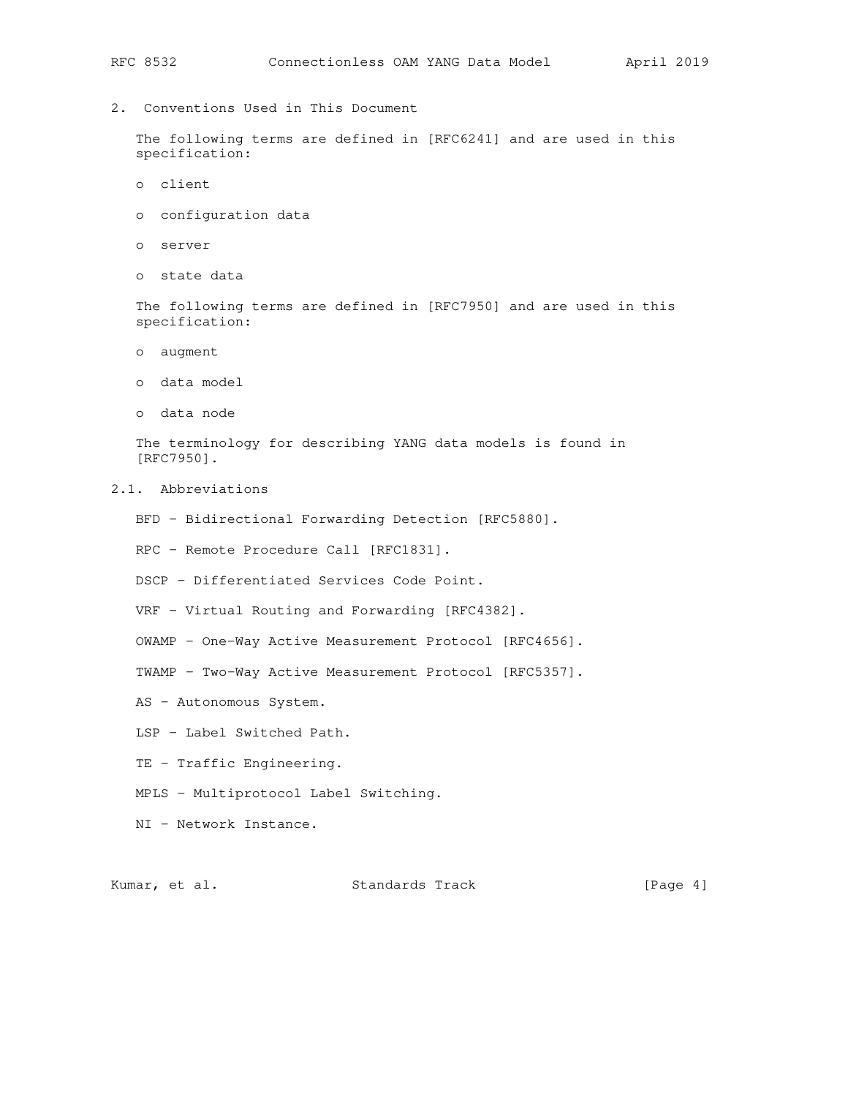2. Conventions Used in This Document

 The following terms are defined in [RFC6241] and are used in this specification:

- o client
- o configuration data
- o server
- o state data

 The following terms are defined in [RFC7950] and are used in this specification:

- o augment
- o data model
- o data node

 The terminology for describing YANG data models is found in [RFC7950].

- 2.1. Abbreviations
	- BFD Bidirectional Forwarding Detection [RFC5880].
	- RPC Remote Procedure Call [RFC1831].
	- DSCP Differentiated Services Code Point.
	- VRF Virtual Routing and Forwarding [RFC4382].
	- OWAMP One-Way Active Measurement Protocol [RFC4656].
	- TWAMP Two-Way Active Measurement Protocol [RFC5357].
	- AS Autonomous System.
	- LSP Label Switched Path.
	- TE Traffic Engineering.
	- MPLS Multiprotocol Label Switching.
	- NI Network Instance.

Kumar, et al. Standards Track [Page 4]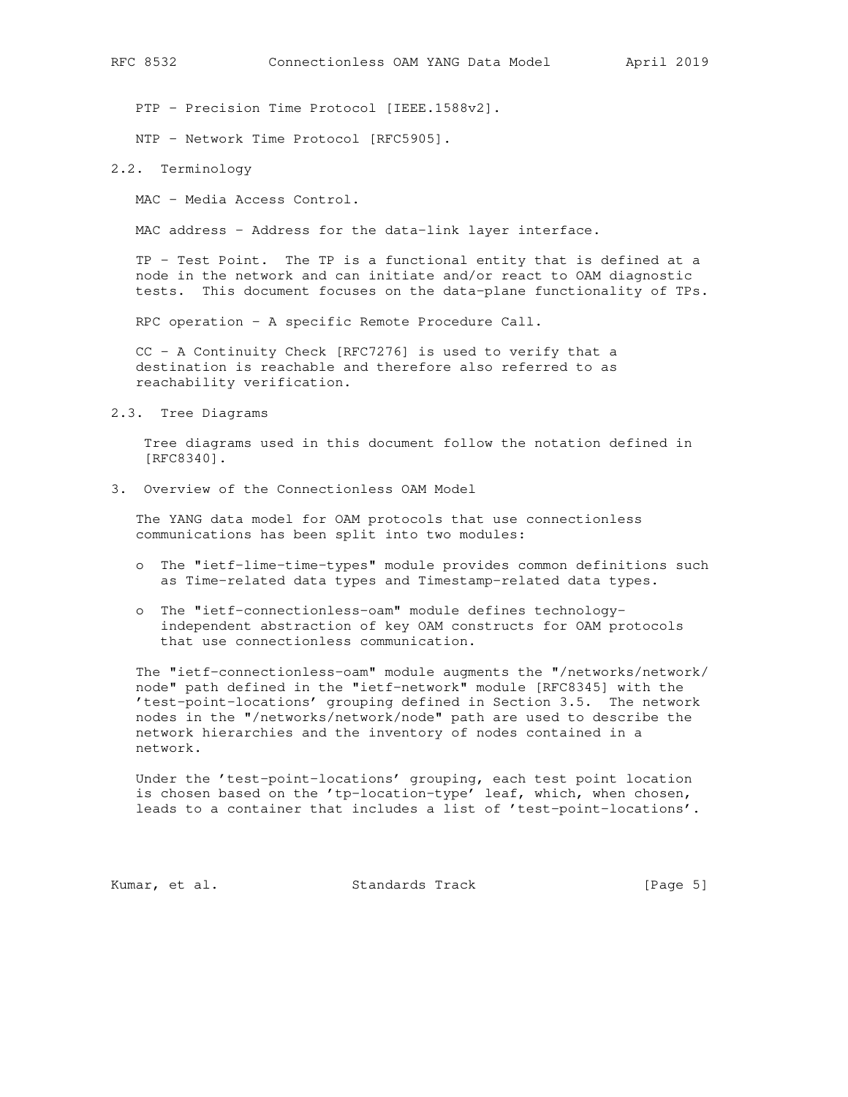PTP - Precision Time Protocol [IEEE.1588v2].

NTP - Network Time Protocol [RFC5905].

#### 2.2. Terminology

MAC - Media Access Control.

MAC address - Address for the data-link layer interface.

 TP - Test Point. The TP is a functional entity that is defined at a node in the network and can initiate and/or react to OAM diagnostic tests. This document focuses on the data-plane functionality of TPs.

RPC operation - A specific Remote Procedure Call.

 CC - A Continuity Check [RFC7276] is used to verify that a destination is reachable and therefore also referred to as reachability verification.

2.3. Tree Diagrams

 Tree diagrams used in this document follow the notation defined in [RFC8340].

3. Overview of the Connectionless OAM Model

 The YANG data model for OAM protocols that use connectionless communications has been split into two modules:

- o The "ietf-lime-time-types" module provides common definitions such as Time-related data types and Timestamp-related data types.
- o The "ietf-connectionless-oam" module defines technology independent abstraction of key OAM constructs for OAM protocols that use connectionless communication.

 The "ietf-connectionless-oam" module augments the "/networks/network/ node" path defined in the "ietf-network" module [RFC8345] with the 'test-point-locations' grouping defined in Section 3.5. The network nodes in the "/networks/network/node" path are used to describe the network hierarchies and the inventory of nodes contained in a network.

 Under the 'test-point-locations' grouping, each test point location is chosen based on the 'tp-location-type' leaf, which, when chosen, leads to a container that includes a list of 'test-point-locations'.

Kumar, et al. Standards Track [Page 5]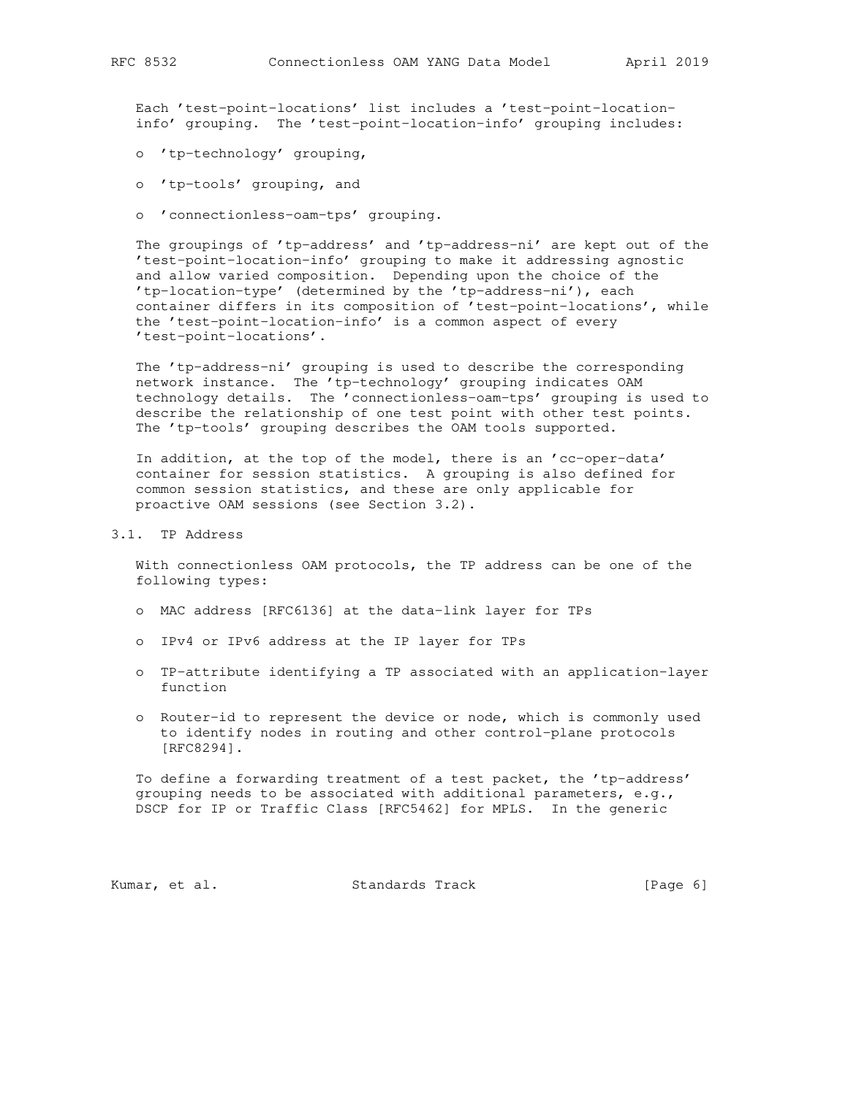Each 'test-point-locations' list includes a 'test-point-location info' grouping. The 'test-point-location-info' grouping includes:

- o 'tp-technology' grouping,
- o 'tp-tools' grouping, and
- o 'connectionless-oam-tps' grouping.

 The groupings of 'tp-address' and 'tp-address-ni' are kept out of the 'test-point-location-info' grouping to make it addressing agnostic and allow varied composition. Depending upon the choice of the 'tp-location-type' (determined by the 'tp-address-ni'), each container differs in its composition of 'test-point-locations', while the 'test-point-location-info' is a common aspect of every 'test-point-locations'.

 The 'tp-address-ni' grouping is used to describe the corresponding network instance. The 'tp-technology' grouping indicates OAM technology details. The 'connectionless-oam-tps' grouping is used to describe the relationship of one test point with other test points. The 'tp-tools' grouping describes the OAM tools supported.

 In addition, at the top of the model, there is an 'cc-oper-data' container for session statistics. A grouping is also defined for common session statistics, and these are only applicable for proactive OAM sessions (see Section 3.2).

3.1. TP Address

 With connectionless OAM protocols, the TP address can be one of the following types:

- o MAC address [RFC6136] at the data-link layer for TPs
- o IPv4 or IPv6 address at the IP layer for TPs
- o TP-attribute identifying a TP associated with an application-layer function
- o Router-id to represent the device or node, which is commonly used to identify nodes in routing and other control-plane protocols [RFC8294].

 To define a forwarding treatment of a test packet, the 'tp-address' grouping needs to be associated with additional parameters, e.g., DSCP for IP or Traffic Class [RFC5462] for MPLS. In the generic

Kumar, et al. Standards Track [Page 6]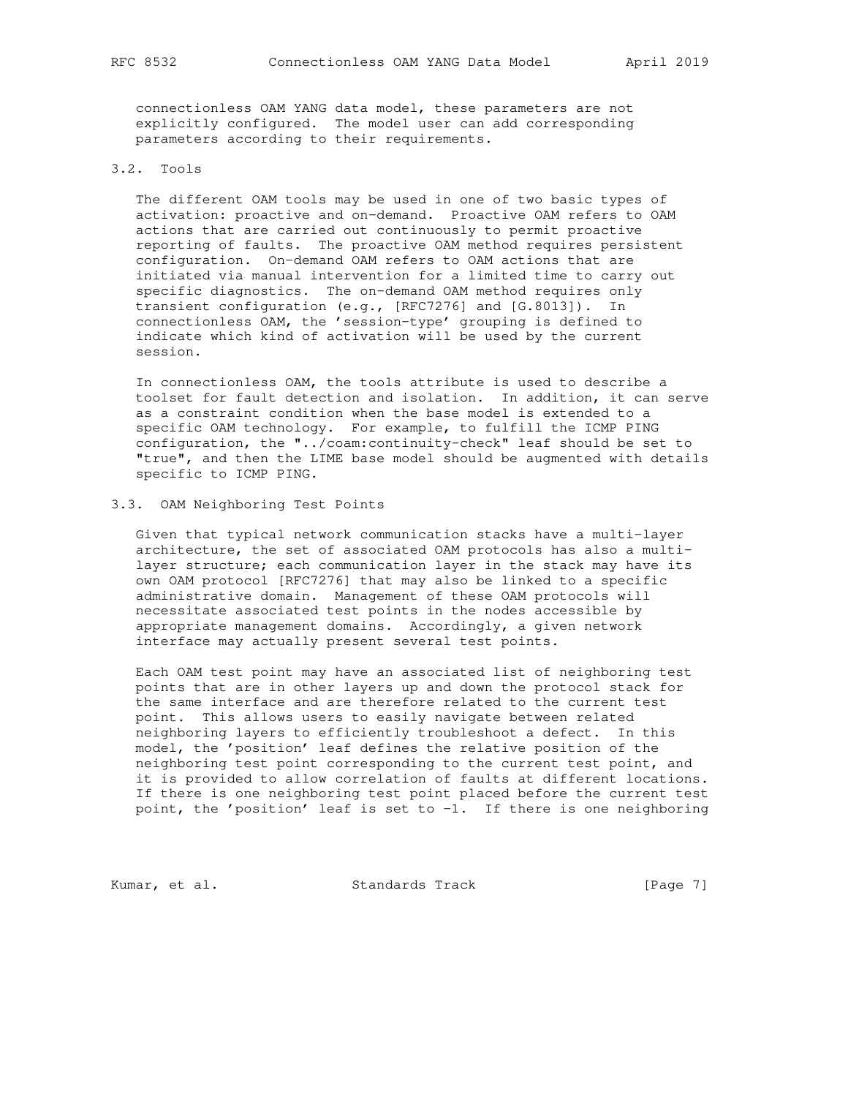connectionless OAM YANG data model, these parameters are not explicitly configured. The model user can add corresponding parameters according to their requirements.

## 3.2. Tools

 The different OAM tools may be used in one of two basic types of activation: proactive and on-demand. Proactive OAM refers to OAM actions that are carried out continuously to permit proactive reporting of faults. The proactive OAM method requires persistent configuration. On-demand OAM refers to OAM actions that are initiated via manual intervention for a limited time to carry out specific diagnostics. The on-demand OAM method requires only transient configuration (e.g., [RFC7276] and [G.8013]). In connectionless OAM, the 'session-type' grouping is defined to indicate which kind of activation will be used by the current session.

 In connectionless OAM, the tools attribute is used to describe a toolset for fault detection and isolation. In addition, it can serve as a constraint condition when the base model is extended to a specific OAM technology. For example, to fulfill the ICMP PING configuration, the "../coam:continuity-check" leaf should be set to "true", and then the LIME base model should be augmented with details specific to ICMP PING.

## 3.3. OAM Neighboring Test Points

 Given that typical network communication stacks have a multi-layer architecture, the set of associated OAM protocols has also a multi layer structure; each communication layer in the stack may have its own OAM protocol [RFC7276] that may also be linked to a specific administrative domain. Management of these OAM protocols will necessitate associated test points in the nodes accessible by appropriate management domains. Accordingly, a given network interface may actually present several test points.

 Each OAM test point may have an associated list of neighboring test points that are in other layers up and down the protocol stack for the same interface and are therefore related to the current test point. This allows users to easily navigate between related neighboring layers to efficiently troubleshoot a defect. In this model, the 'position' leaf defines the relative position of the neighboring test point corresponding to the current test point, and it is provided to allow correlation of faults at different locations. If there is one neighboring test point placed before the current test point, the 'position' leaf is set to -1. If there is one neighboring

Kumar, et al. Standards Track [Page 7]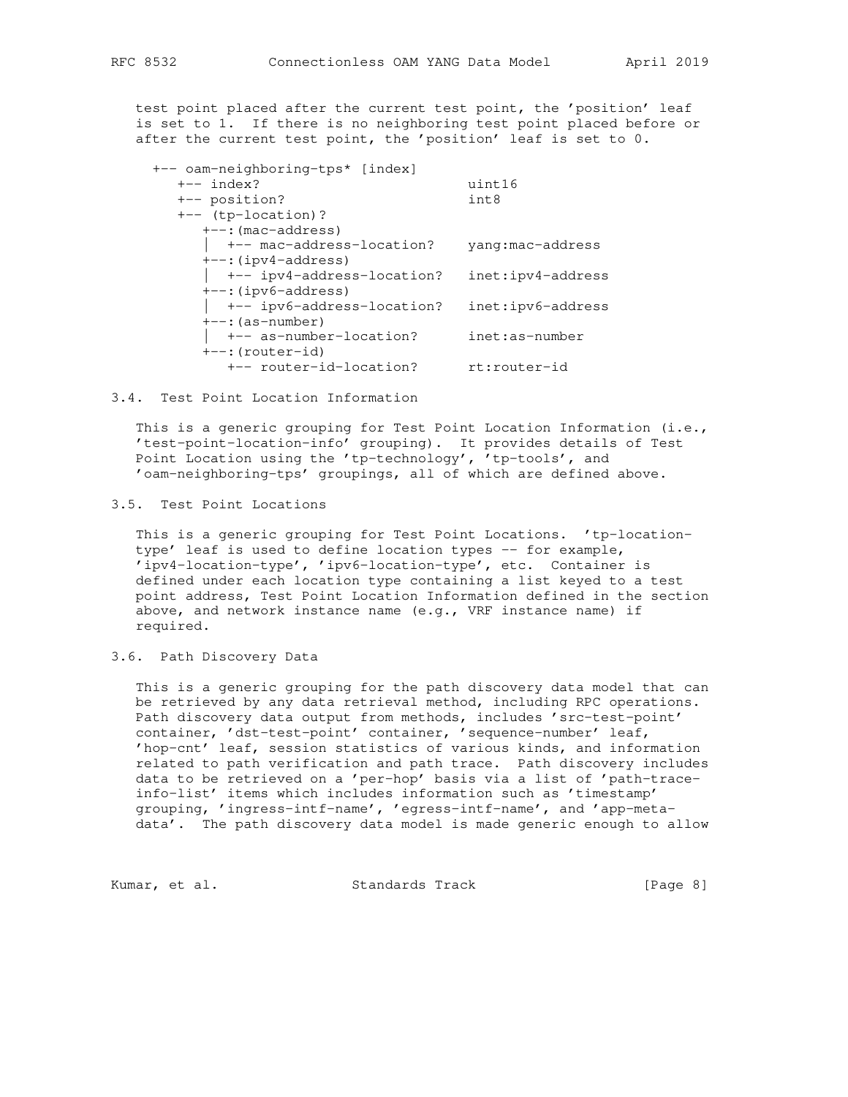test point placed after the current test point, the 'position' leaf is set to 1. If there is no neighboring test point placed before or after the current test point, the 'position' leaf is set to 0.

| +-- oam-neighboring-tps* [index]   |                   |
|------------------------------------|-------------------|
| $+--$ index?                       | uint16            |
| +-- position?                      | int8              |
| $+--$ (tp-location)?               |                   |
| $+--$ : (mac-address)              |                   |
| +-- mac-address-location?          | yang:mac-address  |
| $+--$ : (ipv4-address)             |                   |
| $\vert$ +-- ipv4-address-location? | inet:ipv4-address |
| $+-$ : (ipv6-address)              |                   |
| $\vert$ +-- ipv6-address-location? | inet:ipv6-address |
| $+--$ : (as-number)                |                   |
| +-- as-number-location?            | inet:as-number    |
| $+--$ : (router-id)                |                   |
| +-- router-id-location?            | rt:router-id      |

#### 3.4. Test Point Location Information

 This is a generic grouping for Test Point Location Information (i.e., 'test-point-location-info' grouping). It provides details of Test Point Location using the 'tp-technology', 'tp-tools', and 'oam-neighboring-tps' groupings, all of which are defined above.

## 3.5. Test Point Locations

 This is a generic grouping for Test Point Locations. 'tp-location type' leaf is used to define location types -- for example, 'ipv4-location-type', 'ipv6-location-type', etc. Container is defined under each location type containing a list keyed to a test point address, Test Point Location Information defined in the section above, and network instance name (e.g., VRF instance name) if required.

## 3.6. Path Discovery Data

 This is a generic grouping for the path discovery data model that can be retrieved by any data retrieval method, including RPC operations. Path discovery data output from methods, includes 'src-test-point' container, 'dst-test-point' container, 'sequence-number' leaf, 'hop-cnt' leaf, session statistics of various kinds, and information related to path verification and path trace. Path discovery includes data to be retrieved on a 'per-hop' basis via a list of 'path-trace info-list' items which includes information such as 'timestamp' grouping, 'ingress-intf-name', 'egress-intf-name', and 'app-meta data'. The path discovery data model is made generic enough to allow

Kumar, et al. Standards Track [Page 8]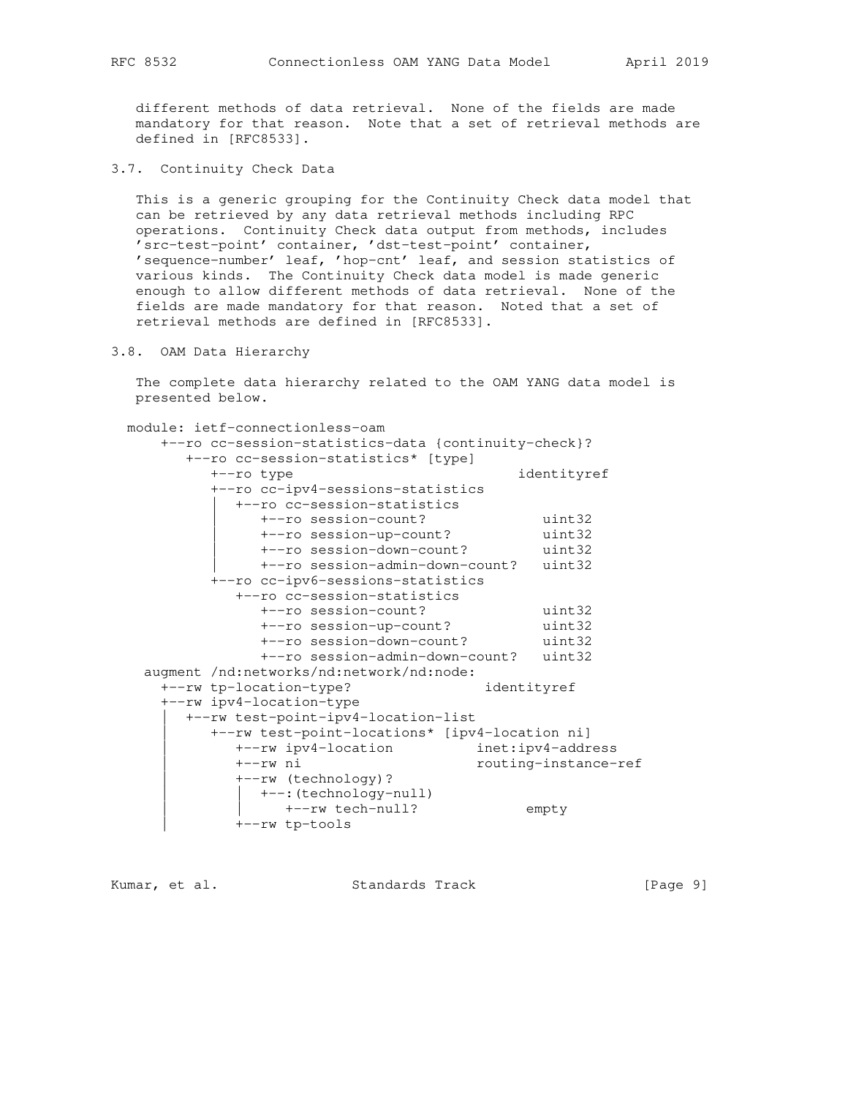different methods of data retrieval. None of the fields are made mandatory for that reason. Note that a set of retrieval methods are defined in [RFC8533].

3.7. Continuity Check Data

 This is a generic grouping for the Continuity Check data model that can be retrieved by any data retrieval methods including RPC operations. Continuity Check data output from methods, includes 'src-test-point' container, 'dst-test-point' container, 'sequence-number' leaf, 'hop-cnt' leaf, and session statistics of various kinds. The Continuity Check data model is made generic enough to allow different methods of data retrieval. None of the fields are made mandatory for that reason. Noted that a set of retrieval methods are defined in [RFC8533].

3.8. OAM Data Hierarchy

 The complete data hierarchy related to the OAM YANG data model is presented below.

 module: ietf-connectionless-oam +--ro cc-session-statistics-data {continuity-check}? +--ro cc-session-statistics\* [type] +--ro type identityref +--ro cc-ipv4-sessions-statistics | +--ro cc-session-statistics | +--ro session-count? uint32 | +--ro session-up-count? uint32 | +--ro session-down-count? uint32 | +--ro session-admin-down-count? uint32 +--ro cc-ipv6-sessions-statistics +--ro cc-session-statistics +--ro session-count? uint32 +--ro session-up-count? uint32 +--ro session-down-count? uint32 +--ro session-admin-down-count? uint32 augment /nd:networks/nd:network/nd:node: +--rw tp-location-type? identityref +--rw ipv4-location-type | +--rw test-point-ipv4-location-list | +--rw test-point-locations\* [ipv4-location ni] | +--rw ipv4-location inet:ipv4-address | +--rw ni routing-instance-ref | +--rw (technology)? | +--: (technology-null) :\ccementery mann,<br>+--rw tech-null? empty | +--rw tp-tools

Kumar, et al. Standards Track [Page 9]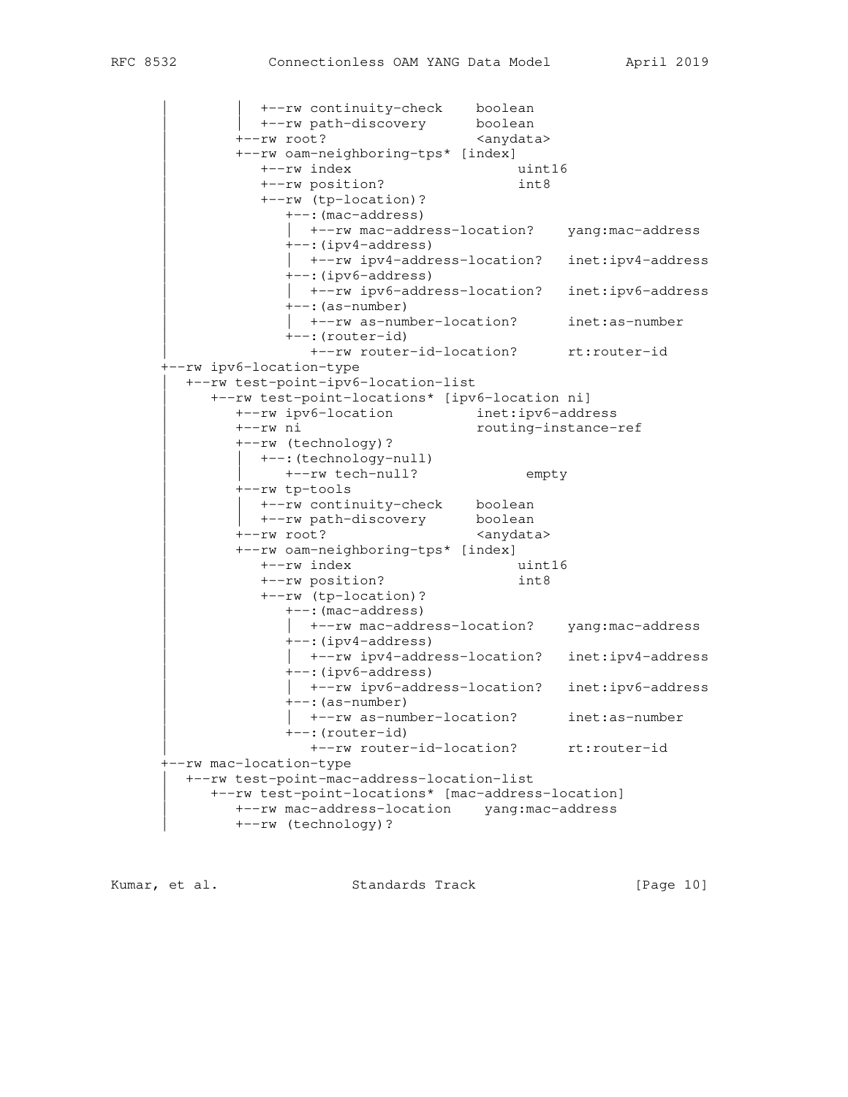+--rw continuity-check boolean |  $+--rw$  path-discovery boolean +--rw root? <anydata> | +--rw oam-neighboring-tps\* [index] | +--rw index uint16 | +--rw position? int8 | +--rw (tp-location)? | +--:(mac-address) |  $+-rw$  mac-address-location? yang:mac-address | +--:(ipv4-address) |  $+-rw$  ipv4-address-location? inet:ipv4-address | +--:(ipv6-address) | | +--rw ipv6-address-location? inet:ipv6-address  $---: (as-number)$  | | +--rw as-number-location? inet:as-number | +--:(router-id) | +--rw router-id-location? rt:router-id +--rw ipv6-location-type | +--rw test-point-ipv6-location-list | +--rw test-point-locations\* [ipv6-location ni] | +--rw ipv6-location inet:ipv6-address | +--rw ni routing-instance-ref | +--rw (technology)? | +--: (technology-null) |  $+--rw$  tech-null? empty | +--rw tp-tools | | +--rw continuity-check boolean | | +--rw path-discovery boolean +--rw root? | +--rw oam-neighboring-tps\* [index] | +--rw index uint16 | +--rw position? int8 | +--rw (tp-location)? | +--:(mac-address) |  $+-rw$  mac-address-location? yang: mac-address | +--:(ipv4-address) | | +--rw ipv4-address-location? inet:ipv4-address | +--:(ipv6-address) |  $+-rw$  ipv6-address-location? inet:ipv6-address | +--:(as-number) |  $+-rw$  as-number-location? inet:as-number | +--:(router-id) | +--rw router-id-location? rt:router-id +--rw mac-location-type | +--rw test-point-mac-address-location-list | +--rw test-point-locations\* [mac-address-location] | +--rw mac-address-location yang:mac-address | +--rw (technology)?

Kumar, et al. Standards Track [Page 10]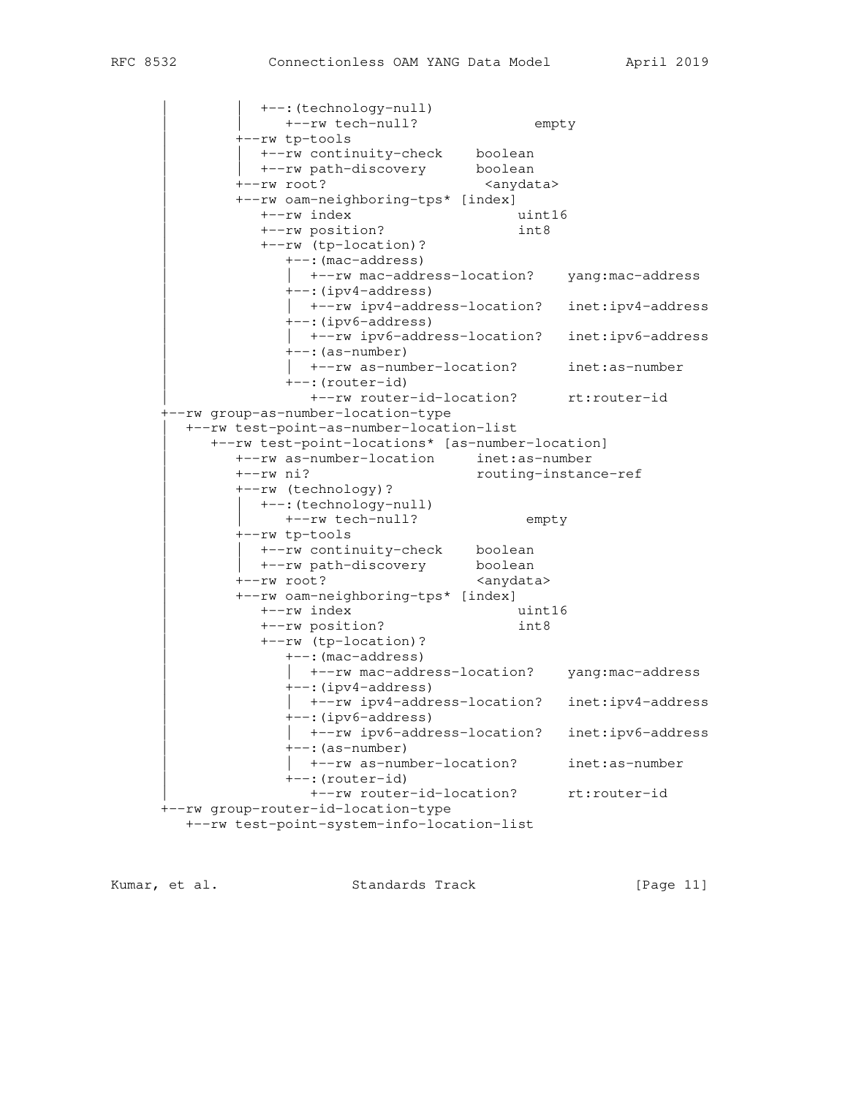+--: (technology-null) +--rw tech-null? empty | +--rw tp-tools +--rw continuity-check boolean<br>+--rw path-discovery boolean +--rw path-discovery +--rw root? <anydata> | +--rw oam-neighboring-tps\* [index] | +--rw index uint16 | +--rw position? int8 | +--rw (tp-location)? | +--:(mac-address) | | +--rw mac-address-location? yang:mac-address | +--:(ipv4-address) |  $+-rw$  ipv4-address-location? inet:ipv4-address | +--:(ipv6-address) |  $+-rw$  ipv6-address-location? inet:ipv6-address  $+--$ : (as-number) | | +--rw as-number-location? inet:as-number | +--:(router-id) | +--rw router-id-location? rt:router-id +--rw group-as-number-location-type | +--rw test-point-as-number-location-list | +--rw test-point-locations\* [as-number-location] | +--rw as-number-location inet:as-number | +--rw ni? routing-instance-ref | +--rw (technology)? | | +--:(technology-null) | | +--rw tech-null? empty | +--rw tp-tools +--rw continuity-check boolean +--rw path-discovery boolean +--rw root? <anydata> | +--rw oam-neighboring-tps\* [index] | +--rw index uint16 | +--rw position? int8 | +--rw (tp-location)? | +--:(mac-address) |  $+-rw$  mac-address-location? yang:mac-address | +--:(ipv4-address) |  $+-rw$  ipv4-address-location? inet:ipv4-address | +--:(ipv6-address) |  $+-rw$  ipv6-address-location? inet:ipv6-address | +--:(as-number) |  $+-rw$  as-number-location? inet:as-number | +--:(router-id) | +--rw router-id-location? rt:router-id +--rw group-router-id-location-type +--rw test-point-system-info-location-list

Kumar, et al. Standards Track [Page 11]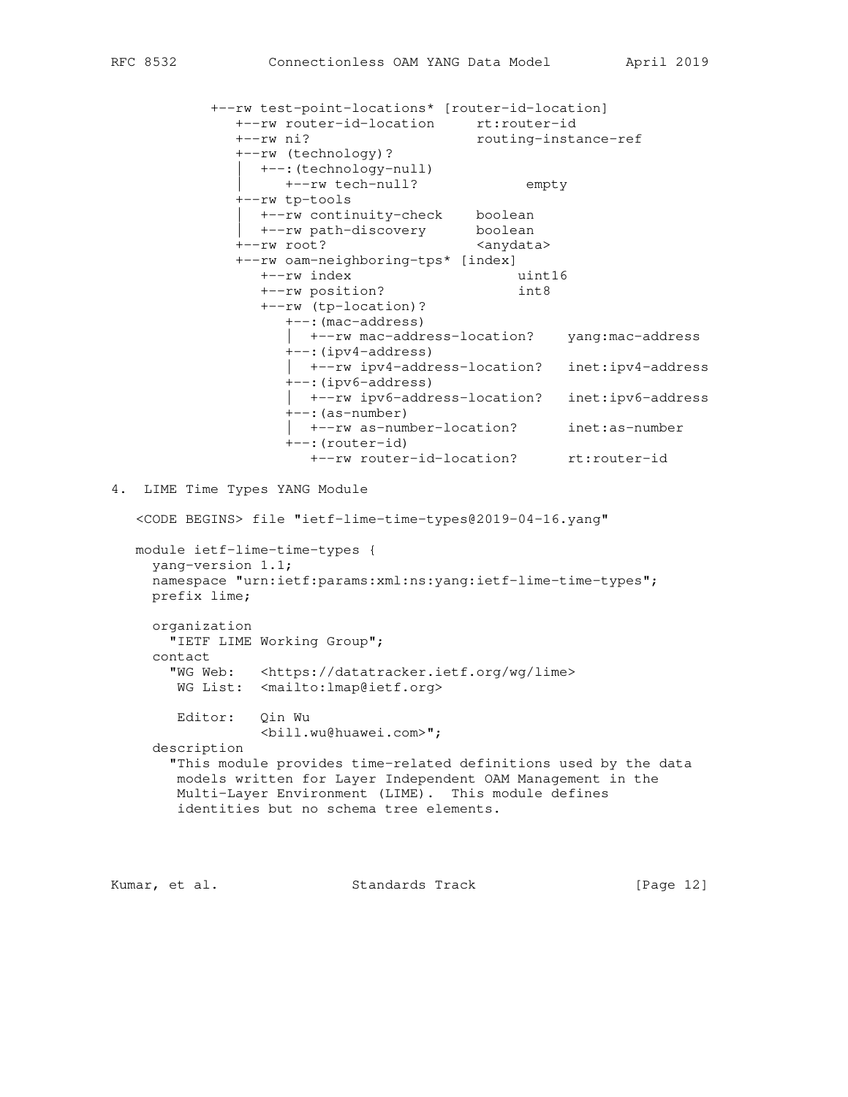|                                         | +--rw test-point-locations* [router-id-location]<br>+--rw router-id-location<br>+--rw ni?<br>+--rw (technology)?<br>+--: (technology-null)                                                                                      | rt:router-id<br>routing-instance-ref |                   |
|-----------------------------------------|---------------------------------------------------------------------------------------------------------------------------------------------------------------------------------------------------------------------------------|--------------------------------------|-------------------|
|                                         | +--rw tech-null?                                                                                                                                                                                                                | empty                                |                   |
|                                         | +--rw tp-tools<br>+--rw continuity-check boolean                                                                                                                                                                                |                                      |                   |
|                                         | +--rw path-discovery                                                                                                                                                                                                            | boolean                              |                   |
|                                         | +--rw root?                                                                                                                                                                                                                     | <anydata></anydata>                  |                   |
|                                         | +--rw oam-neighboring-tps* [index]                                                                                                                                                                                              |                                      |                   |
|                                         | +--rw index                                                                                                                                                                                                                     | uint16                               |                   |
|                                         | +--rw position?                                                                                                                                                                                                                 | int8                                 |                   |
|                                         | +--rw (tp-location)?                                                                                                                                                                                                            |                                      |                   |
|                                         | +--: (mac-address)<br>+--rw mac-address-location?                                                                                                                                                                               |                                      | yang:mac-address  |
|                                         | $+--$ : (ipv4-address)<br>+--rw ipv4-address-location?<br>+--: (ipv6-address)                                                                                                                                                   |                                      | inet:ipv4-address |
|                                         | +--rw ipv6-address-location?<br>$+--$ : (as-number)                                                                                                                                                                             |                                      | inet:ipv6-address |
|                                         | +--rw as-number-location?<br>$+--$ : (router-id)                                                                                                                                                                                |                                      | inet:as-number    |
|                                         | +--rw router-id-location?                                                                                                                                                                                                       |                                      | rt:router-id      |
| 4.<br>yang-version 1.1;<br>prefix lime; | LIME Time Types YANG Module<br><code begins=""> file "ietf-lime-time-types@2019-04-16.yang"<br/>module ietf-lime-time-types {<br/>namespace "urn:ietf:params:xml:ns:yang:ietf-lime-time-types";</code>                          |                                      |                   |
| organization                            | "IETF LIME Working Group";                                                                                                                                                                                                      |                                      |                   |
| contact                                 |                                                                                                                                                                                                                                 |                                      |                   |
|                                         | "WG Web: <https: datatracker.ietf.org="" lime="" wg=""><br/>WG List: <mailto: lmap@ietf.org=""></mailto:></https:>                                                                                                              |                                      |                   |
| Editor: Qin Wu                          | <bill.wu@huawei.com>";</bill.wu@huawei.com>                                                                                                                                                                                     |                                      |                   |
| description                             | "This module provides time-related definitions used by the data<br>models written for Layer Independent OAM Management in the<br>Multi-Layer Environment (LIME). This module defines<br>identities but no schema tree elements. |                                      |                   |
|                                         |                                                                                                                                                                                                                                 |                                      |                   |

Kumar, et al. Standards Track [Page 12]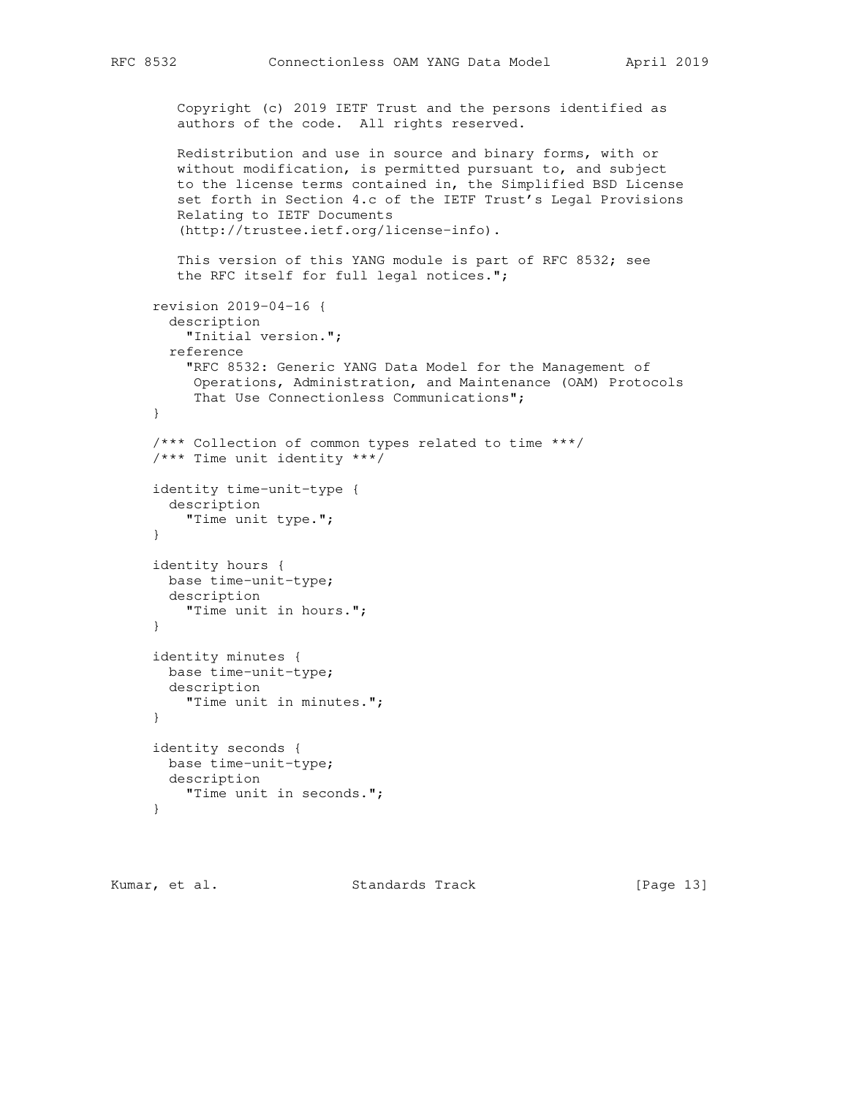```
 Copyright (c) 2019 IETF Trust and the persons identified as
    authors of the code. All rights reserved.
    Redistribution and use in source and binary forms, with or
    without modification, is permitted pursuant to, and subject
    to the license terms contained in, the Simplified BSD License
    set forth in Section 4.c of the IETF Trust's Legal Provisions
    Relating to IETF Documents
    (http://trustee.ietf.org/license-info).
    This version of this YANG module is part of RFC 8532; see
    the RFC itself for full legal notices.";
 revision 2019-04-16 {
  description
     "Initial version.";
  reference
     "RFC 8532: Generic YANG Data Model for the Management of
     Operations, Administration, and Maintenance (OAM) Protocols
      That Use Connectionless Communications";
 }
 /*** Collection of common types related to time ***/
 /*** Time unit identity ***/
 identity time-unit-type {
  description
     "Time unit type.";
 }
 identity hours {
  base time-unit-type;
  description
     "Time unit in hours.";
 }
 identity minutes {
  base time-unit-type;
  description
    "Time unit in minutes.";
 }
 identity seconds {
  base time-unit-type;
  description
    "Time unit in seconds.";
 }
```
Kumar, et al. Standards Track [Page 13]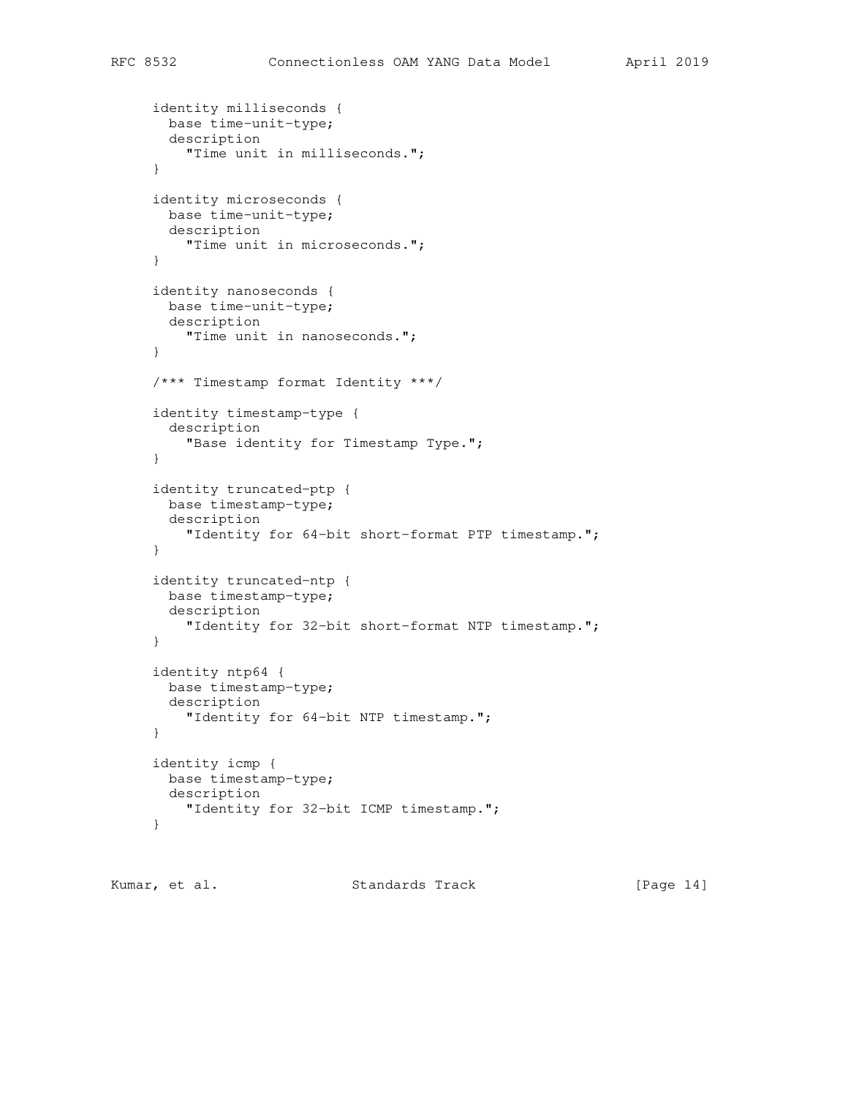```
 identity milliseconds {
  base time-unit-type;
  description
     "Time unit in milliseconds.";
 }
 identity microseconds {
  base time-unit-type;
  description
     "Time unit in microseconds.";
 }
 identity nanoseconds {
  base time-unit-type;
  description
    "Time unit in nanoseconds.";
 }
 /*** Timestamp format Identity ***/
 identity timestamp-type {
  description
     "Base identity for Timestamp Type.";
 }
 identity truncated-ptp {
  base timestamp-type;
  description
     "Identity for 64-bit short-format PTP timestamp.";
 }
 identity truncated-ntp {
  base timestamp-type;
  description
     "Identity for 32-bit short-format NTP timestamp.";
 }
 identity ntp64 {
  base timestamp-type;
  description
     "Identity for 64-bit NTP timestamp.";
 }
 identity icmp {
  base timestamp-type;
  description
     "Identity for 32-bit ICMP timestamp.";
 }
```
Kumar, et al. Standards Track [Page 14]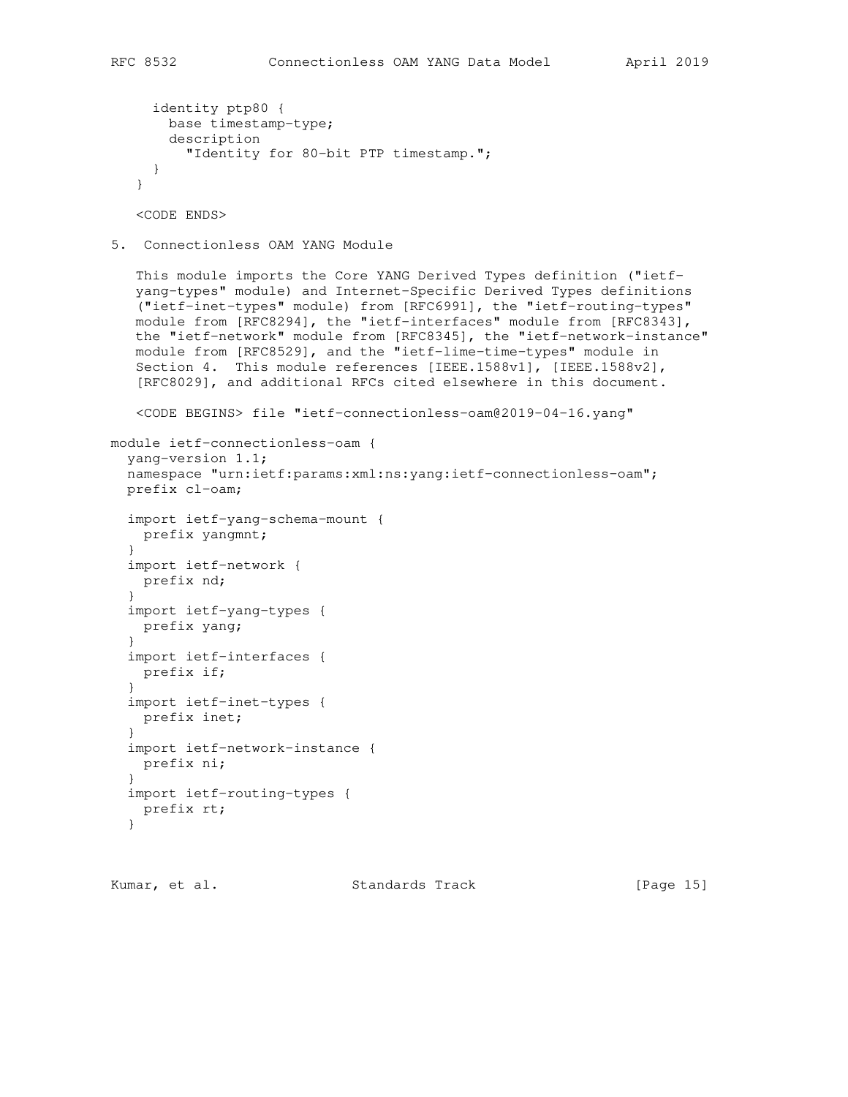```
 identity ptp80 {
     base timestamp-type;
     description
       "Identity for 80-bit PTP timestamp.";
  }
 }
```
<CODE ENDS>

5. Connectionless OAM YANG Module

 This module imports the Core YANG Derived Types definition ("ietf yang-types" module) and Internet-Specific Derived Types definitions ("ietf-inet-types" module) from [RFC6991], the "ietf-routing-types" module from [RFC8294], the "ietf-interfaces" module from [RFC8343], the "ietf-network" module from [RFC8345], the "ietf-network-instance" module from [RFC8529], and the "ietf-lime-time-types" module in Section 4. This module references [IEEE.1588v1], [IEEE.1588v2], [RFC8029], and additional RFCs cited elsewhere in this document.

```
 <CODE BEGINS> file "ietf-connectionless-oam@2019-04-16.yang"
```

```
module ietf-connectionless-oam {
   yang-version 1.1;
   namespace "urn:ietf:params:xml:ns:yang:ietf-connectionless-oam";
   prefix cl-oam;
   import ietf-yang-schema-mount {
    prefix yangmnt;
   }
   import ietf-network {
    prefix nd;
   }
   import ietf-yang-types {
    prefix yang;
   }
   import ietf-interfaces {
    prefix if;
   }
   import ietf-inet-types {
    prefix inet;
   }
   import ietf-network-instance {
   prefix ni;
   }
   import ietf-routing-types {
    prefix rt;
   }
```
Kumar, et al. Standards Track [Page 15]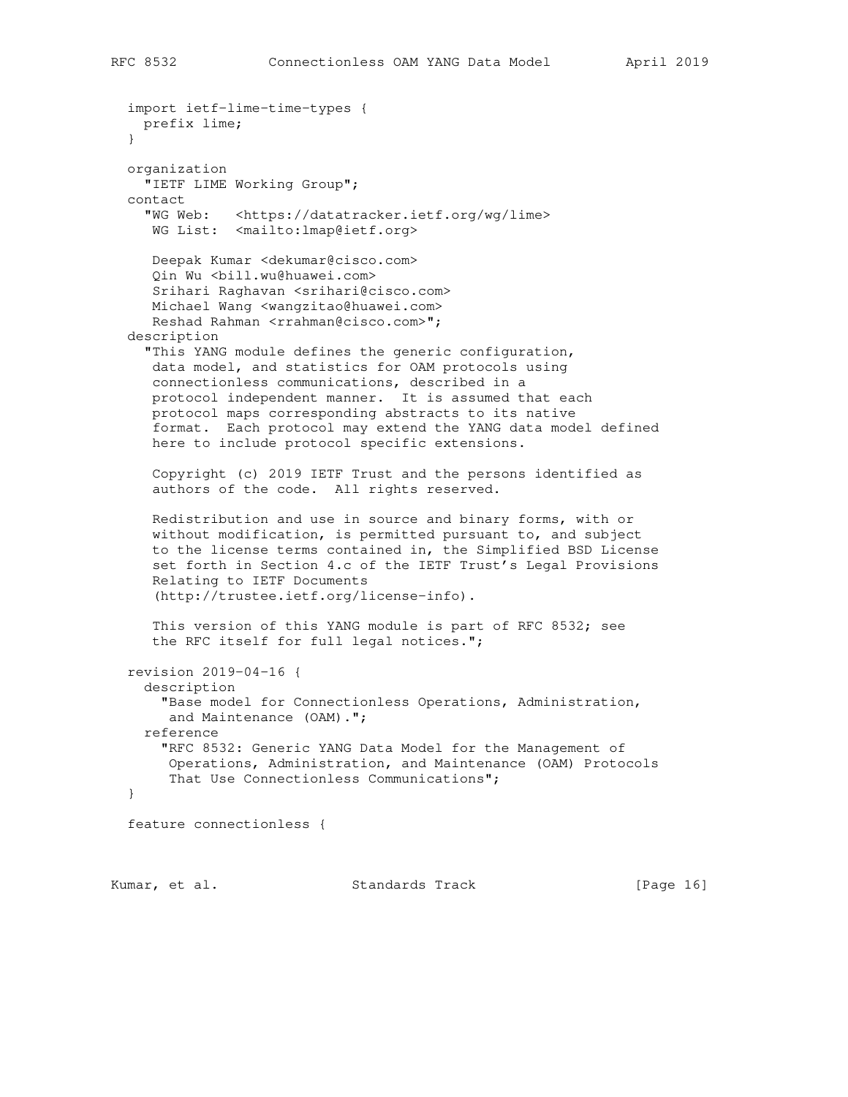```
 import ietf-lime-time-types {
  prefix lime;
 }
 organization
   "IETF LIME Working Group";
 contact
   "WG Web: <https://datatracker.ietf.org/wg/lime>
   WG List: <mailto:lmap@ietf.org>
   Deepak Kumar <dekumar@cisco.com>
   Qin Wu <bill.wu@huawei.com>
   Srihari Raghavan <srihari@cisco.com>
   Michael Wang <wangzitao@huawei.com>
  Reshad Rahman <rrahman@cisco.com>";
 description
   "This YANG module defines the generic configuration,
   data model, and statistics for OAM protocols using
   connectionless communications, described in a
   protocol independent manner. It is assumed that each
   protocol maps corresponding abstracts to its native
   format. Each protocol may extend the YANG data model defined
   here to include protocol specific extensions.
   Copyright (c) 2019 IETF Trust and the persons identified as
   authors of the code. All rights reserved.
   Redistribution and use in source and binary forms, with or
   without modification, is permitted pursuant to, and subject
   to the license terms contained in, the Simplified BSD License
   set forth in Section 4.c of the IETF Trust's Legal Provisions
   Relating to IETF Documents
    (http://trustee.ietf.org/license-info).
   This version of this YANG module is part of RFC 8532; see
   the RFC itself for full legal notices.";
 revision 2019-04-16 {
   description
     "Base model for Connectionless Operations, Administration,
     and Maintenance (OAM).";
   reference
     "RFC 8532: Generic YANG Data Model for the Management of
     Operations, Administration, and Maintenance (OAM) Protocols
     That Use Connectionless Communications";
 }
 feature connectionless {
```
Kumar, et al. Standards Track [Page 16]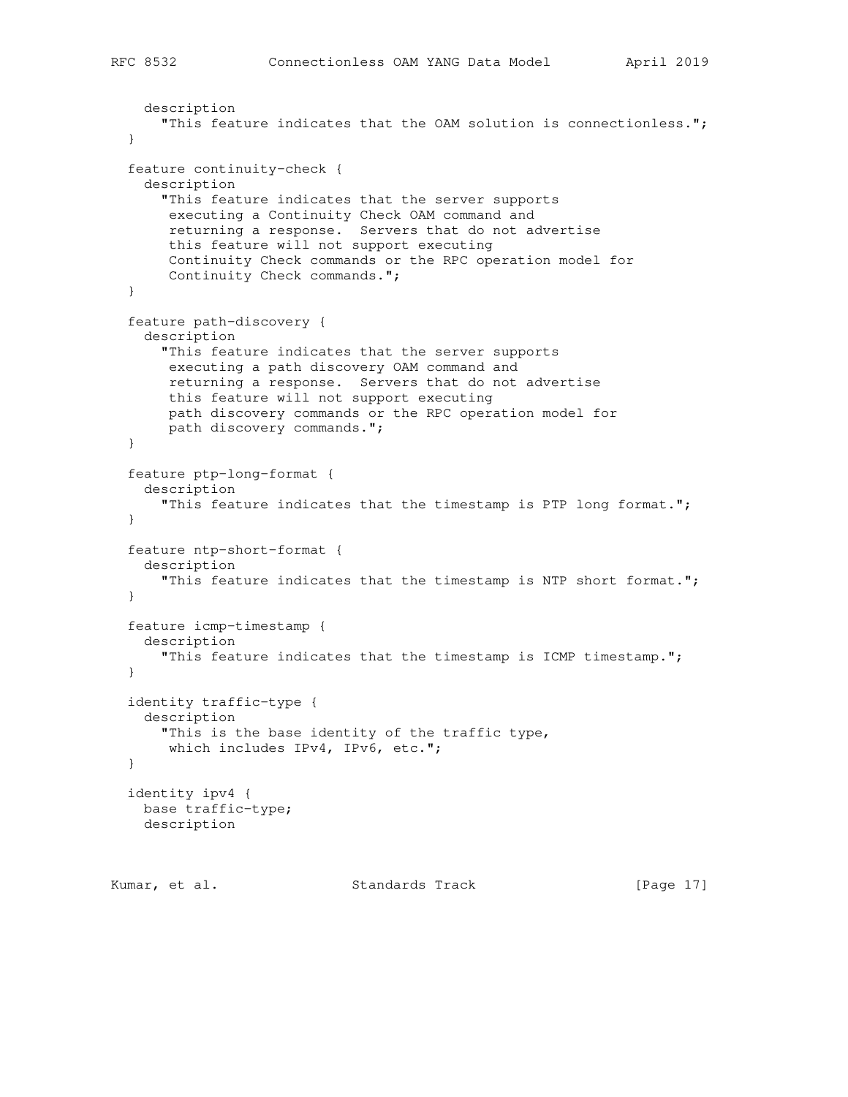```
 description
     "This feature indicates that the OAM solution is connectionless.";
 }
 feature continuity-check {
  description
     "This feature indicates that the server supports
     executing a Continuity Check OAM command and
     returning a response. Servers that do not advertise
     this feature will not support executing
     Continuity Check commands or the RPC operation model for
     Continuity Check commands.";
 }
 feature path-discovery {
  description
    "This feature indicates that the server supports
     executing a path discovery OAM command and
     returning a response. Servers that do not advertise
     this feature will not support executing
     path discovery commands or the RPC operation model for
     path discovery commands.";
 }
 feature ptp-long-format {
  description
     "This feature indicates that the timestamp is PTP long format.";
 }
 feature ntp-short-format {
  description
    "This feature indicates that the timestamp is NTP short format.";
 }
 feature icmp-timestamp {
  description
     "This feature indicates that the timestamp is ICMP timestamp.";
 }
 identity traffic-type {
  description
    "This is the base identity of the traffic type,
     which includes IPv4, IPv6, etc.";
 }
 identity ipv4 {
  base traffic-type;
  description
```
Kumar, et al. Standards Track [Page 17]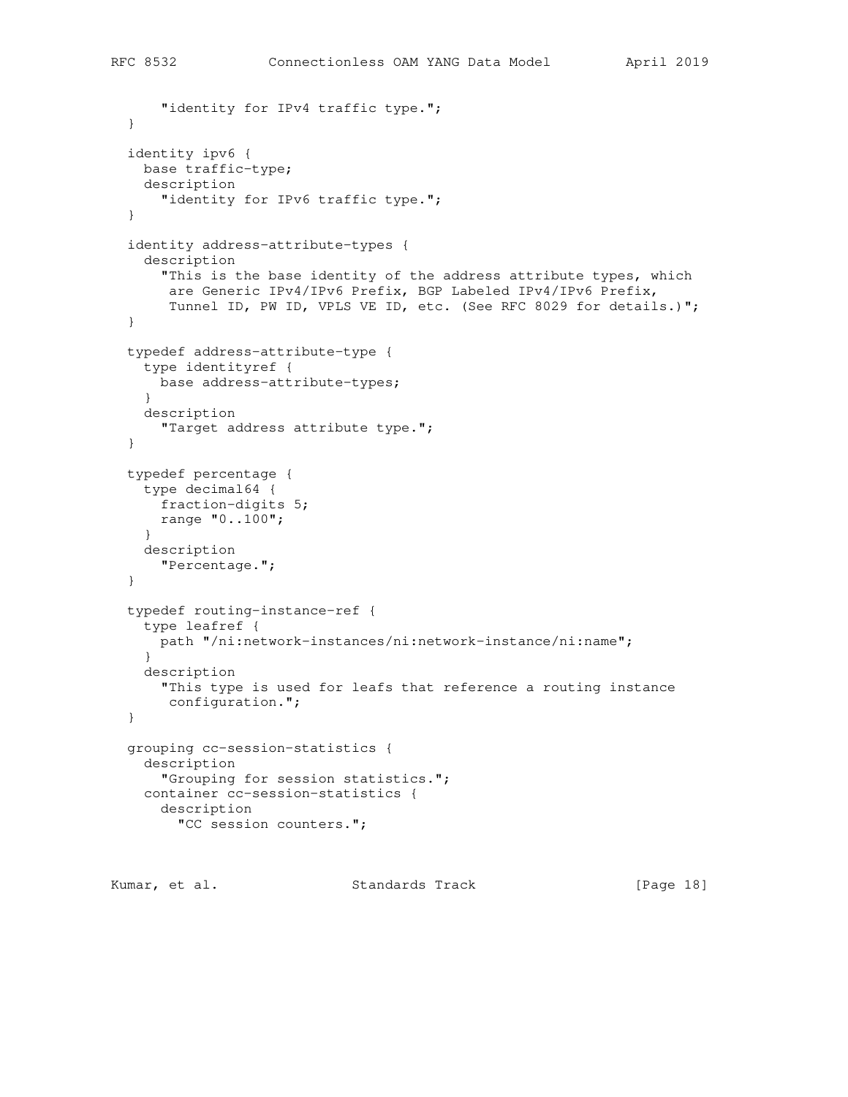```
"identity for IPv4 traffic type.";
 }
 identity ipv6 {
  base traffic-type;
   description
    "identity for IPv6 traffic type.";
 }
 identity address-attribute-types {
   description
     "This is the base identity of the address attribute types, which
     are Generic IPv4/IPv6 Prefix, BGP Labeled IPv4/IPv6 Prefix,
      Tunnel ID, PW ID, VPLS VE ID, etc. (See RFC 8029 for details.)";
 }
 typedef address-attribute-type {
   type identityref {
    base address-attribute-types;
   }
  description
     "Target address attribute type.";
 }
 typedef percentage {
   type decimal64 {
    fraction-digits 5;
    range "0..100";
   }
  description
    "Percentage.";
 }
 typedef routing-instance-ref {
  type leafref {
    path "/ni:network-instances/ni:network-instance/ni:name";
   }
   description
    "This type is used for leafs that reference a routing instance
     configuration.";
 }
 grouping cc-session-statistics {
  description
     "Grouping for session statistics.";
   container cc-session-statistics {
    description
       "CC session counters.";
```
Kumar, et al. Standards Track [Page 18]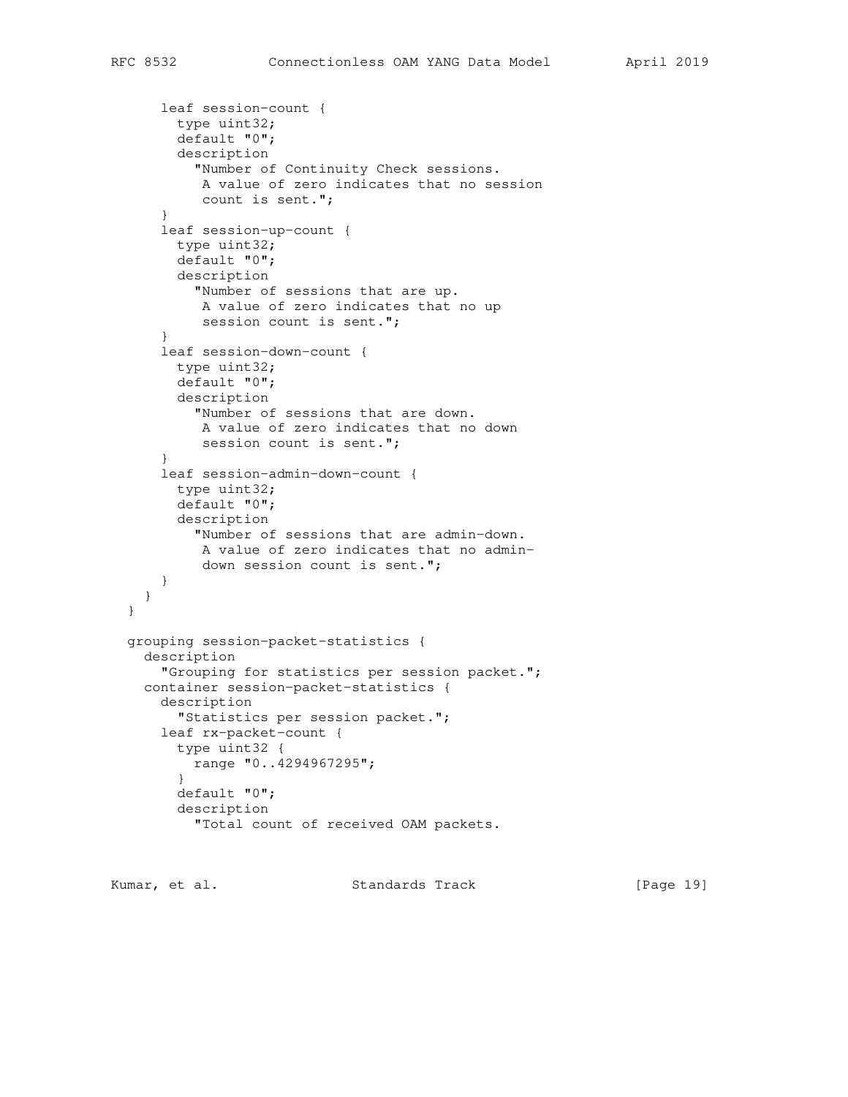```
 leaf session-count {
         type uint32;
         default "0";
         description
           "Number of Continuity Check sessions.
            A value of zero indicates that no session
           count is sent.";
       }
       leaf session-up-count {
        type uint32;
         default "0";
        description
           "Number of sessions that are up.
           A value of zero indicates that no up
          session count is sent.";
       }
       leaf session-down-count {
        type uint32;
         default "0";
         description
           "Number of sessions that are down.
           A value of zero indicates that no down
          session count is sent.";
       }
       leaf session-admin-down-count {
         type uint32;
         default "0";
         description
           "Number of sessions that are admin-down.
            A value of zero indicates that no admin-
            down session count is sent.";
       }
     }
  }
  grouping session-packet-statistics {
     description
       "Grouping for statistics per session packet.";
    container session-packet-statistics {
       description
         "Statistics per session packet.";
       leaf rx-packet-count {
         type uint32 {
          range "0..4294967295";
 }
         default "0";
         description
           "Total count of received OAM packets.
```
Kumar, et al. Standards Track [Page 19]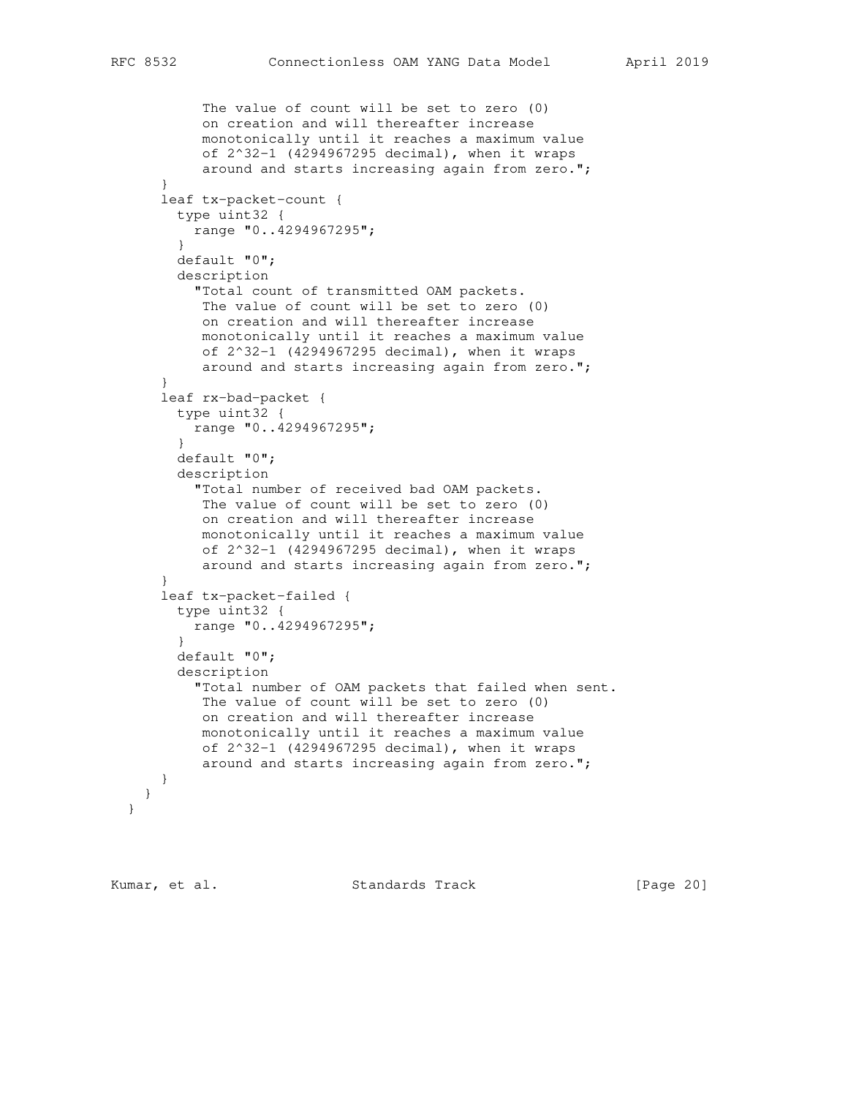```
 The value of count will be set to zero (0)
            on creation and will thereafter increase
            monotonically until it reaches a maximum value
            of 2^32-1 (4294967295 decimal), when it wraps
            around and starts increasing again from zero.";
 }
      leaf tx-packet-count {
        type uint32 {
          range "0..4294967295";
 }
        default "0";
        description
          "Total count of transmitted OAM packets.
           The value of count will be set to zero (0)
           on creation and will thereafter increase
           monotonically until it reaches a maximum value
           of 2^32-1 (4294967295 decimal), when it wraps
           around and starts increasing again from zero.";
       }
      leaf rx-bad-packet {
        type uint32 {
          range "0..4294967295";
 }
        default "0";
        description
           "Total number of received bad OAM packets.
           The value of count will be set to zero (0)
           on creation and will thereafter increase
           monotonically until it reaches a maximum value
           of 2^32-1 (4294967295 decimal), when it wraps
            around and starts increasing again from zero.";
       }
      leaf tx-packet-failed {
        type uint32 {
          range "0..4294967295";
 }
        default "0";
        description
           "Total number of OAM packets that failed when sent.
           The value of count will be set to zero (0)
            on creation and will thereafter increase
           monotonically until it reaches a maximum value
           of 2^32-1 (4294967295 decimal), when it wraps
           around and starts increasing again from zero.";
      }
    }
  }
```
Kumar, et al. Standards Track [Page 20]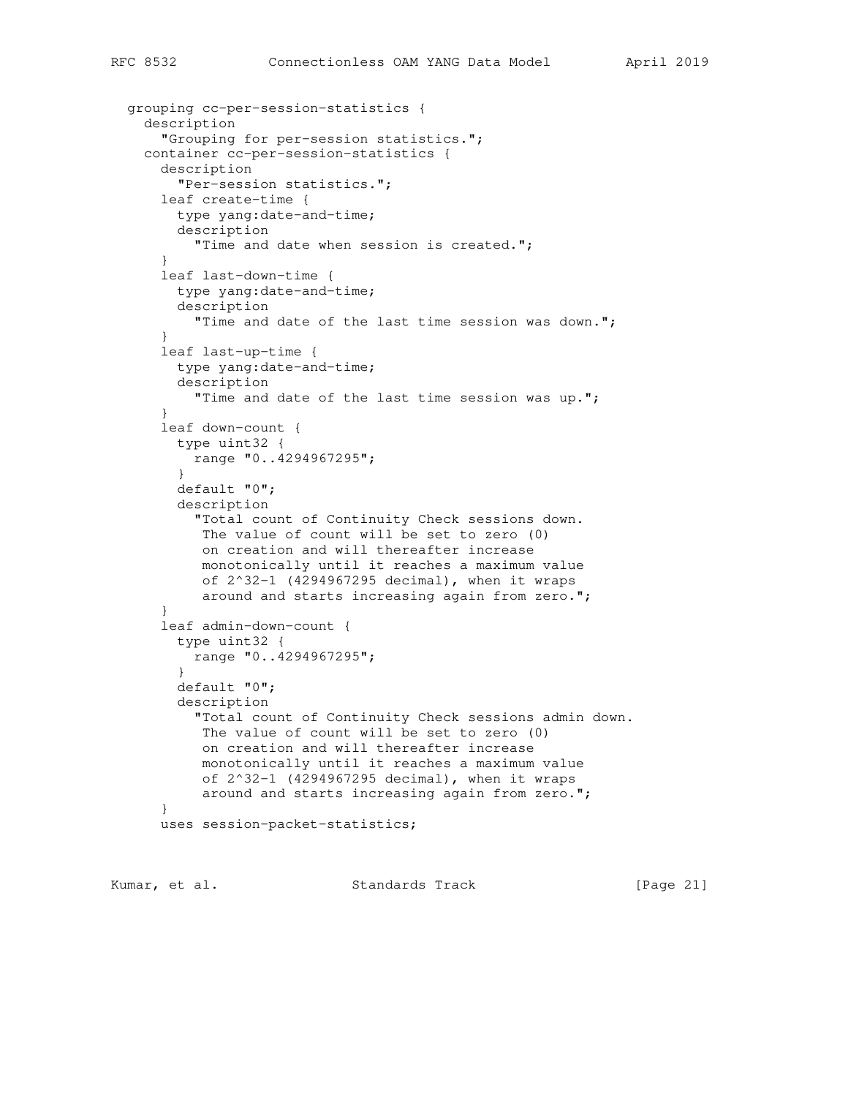```
 grouping cc-per-session-statistics {
    description
       "Grouping for per-session statistics.";
    container cc-per-session-statistics {
       description
         "Per-session statistics.";
       leaf create-time {
         type yang:date-and-time;
         description
          "Time and date when session is created.";
 }
       leaf last-down-time {
        type yang:date-and-time;
        description
          "Time and date of the last time session was down.";
       }
       leaf last-up-time {
        type yang:date-and-time;
         description
          "Time and date of the last time session was up.";
       }
       leaf down-count {
         type uint32 {
          range "0..4294967295";
 }
         default "0";
         description
           "Total count of Continuity Check sessions down.
            The value of count will be set to zero (0)
            on creation and will thereafter increase
            monotonically until it reaches a maximum value
            of 2^32-1 (4294967295 decimal), when it wraps
            around and starts increasing again from zero.";
       }
       leaf admin-down-count {
         type uint32 {
          range "0..4294967295";
 }
         default "0";
         description
           "Total count of Continuity Check sessions admin down.
            The value of count will be set to zero (0)
            on creation and will thereafter increase
            monotonically until it reaches a maximum value
            of 2^32-1 (4294967295 decimal), when it wraps
            around and starts increasing again from zero.";
       }
      uses session-packet-statistics;
```
Kumar, et al. Standards Track [Page 21]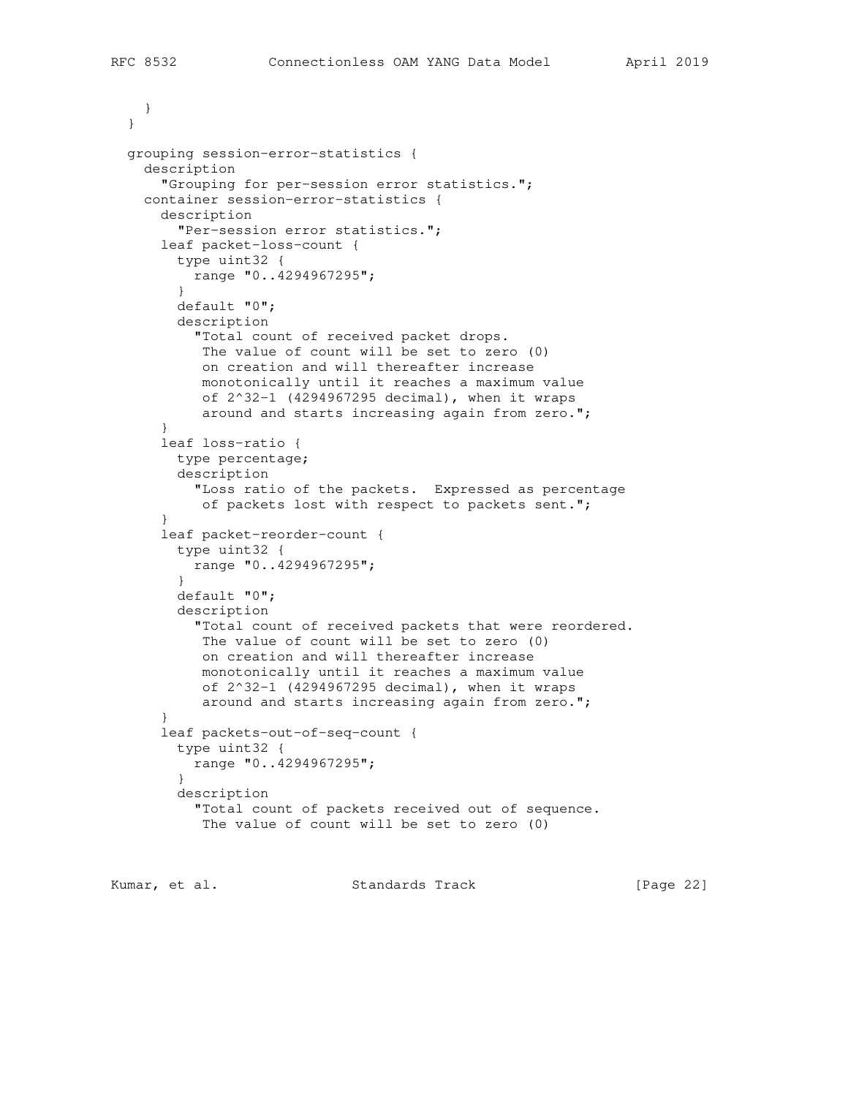} }

```
 grouping session-error-statistics {
    description
       "Grouping for per-session error statistics.";
    container session-error-statistics {
       description
         "Per-session error statistics.";
       leaf packet-loss-count {
        type uint32 {
          range "0..4294967295";
 }
        default "0";
        description
           "Total count of received packet drops.
           The value of count will be set to zero (0)
           on creation and will thereafter increase
           monotonically until it reaches a maximum value
           of 2^32-1 (4294967295 decimal), when it wraps
           around and starts increasing again from zero.";
       }
      leaf loss-ratio {
        type percentage;
        description
           "Loss ratio of the packets. Expressed as percentage
           of packets lost with respect to packets sent.";
       }
       leaf packet-reorder-count {
        type uint32 {
          range "0..4294967295";
 }
        default "0";
        description
           "Total count of received packets that were reordered.
           The value of count will be set to zero (0)
           on creation and will thereafter increase
            monotonically until it reaches a maximum value
           of 2^32-1 (4294967295 decimal), when it wraps
           around and starts increasing again from zero.";
       }
       leaf packets-out-of-seq-count {
        type uint32 {
          range "0..4294967295";
 }
         description
           "Total count of packets received out of sequence.
           The value of count will be set to zero (0)
```
Kumar, et al. Standards Track [Page 22]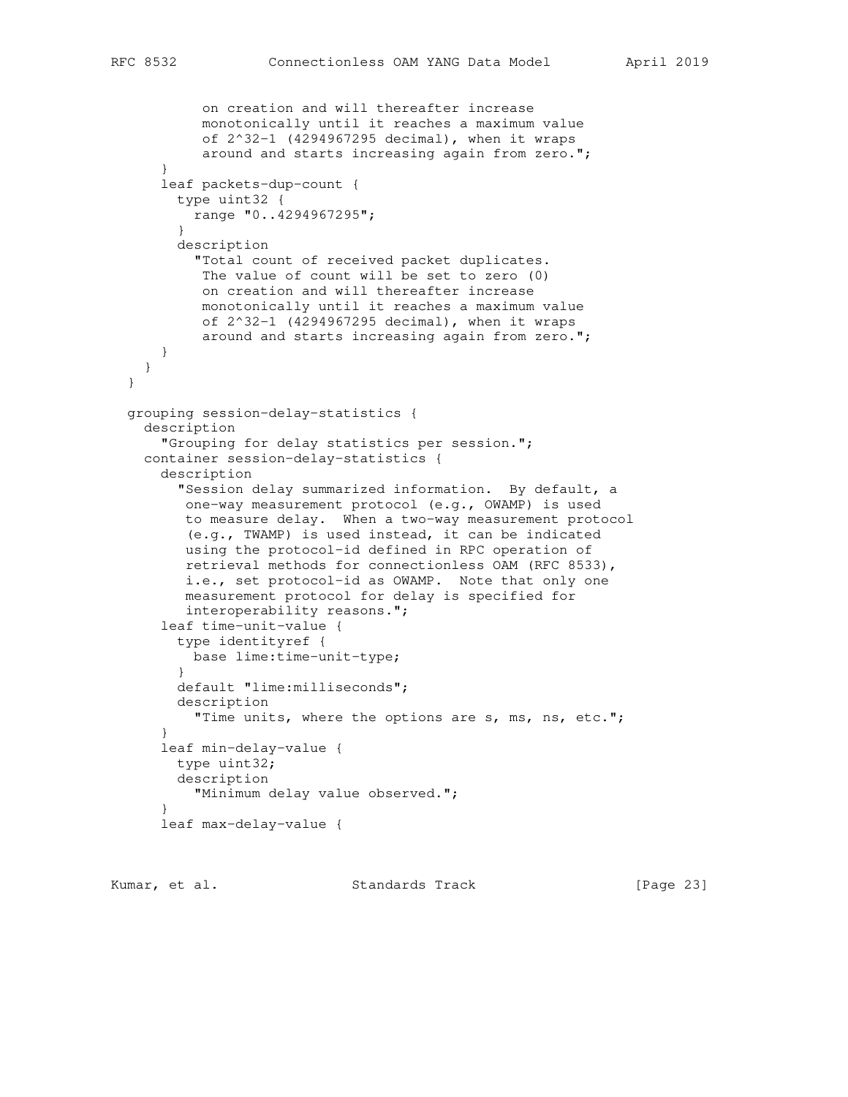```
 on creation and will thereafter increase
            monotonically until it reaches a maximum value
            of 2^32-1 (4294967295 decimal), when it wraps
            around and starts increasing again from zero.";
 }
      leaf packets-dup-count {
        type uint32 {
          range "0..4294967295";
 }
        description
           "Total count of received packet duplicates.
           The value of count will be set to zero (0)
           on creation and will thereafter increase
            monotonically until it reaches a maximum value
            of 2^32-1 (4294967295 decimal), when it wraps
            around and starts increasing again from zero.";
      }
    }
  }
  grouping session-delay-statistics {
    description
       "Grouping for delay statistics per session.";
    container session-delay-statistics {
      description
         "Session delay summarized information. By default, a
         one-way measurement protocol (e.g., OWAMP) is used
         to measure delay. When a two-way measurement protocol
         (e.g., TWAMP) is used instead, it can be indicated
         using the protocol-id defined in RPC operation of
         retrieval methods for connectionless OAM (RFC 8533),
         i.e., set protocol-id as OWAMP. Note that only one
         measurement protocol for delay is specified for
         interoperability reasons.";
      leaf time-unit-value {
        type identityref {
          base lime:time-unit-type;
 }
        default "lime:milliseconds";
        description
          "Time units, where the options are s, ms, ns, etc.";
       }
      leaf min-delay-value {
        type uint32;
        description
          "Minimum delay value observed.";
 }
      leaf max-delay-value {
```
Kumar, et al. Standards Track [Page 23]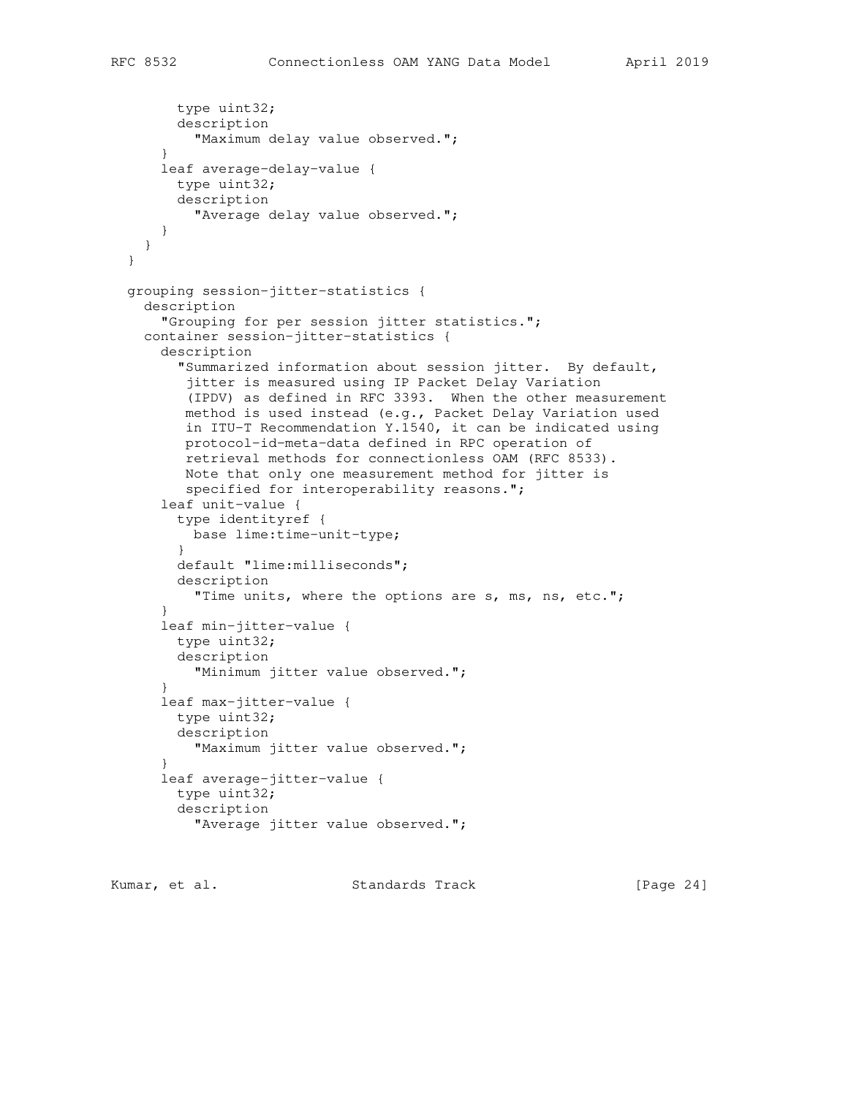```
 type uint32;
         description
           "Maximum delay value observed.";
       }
      leaf average-delay-value {
        type uint32;
        description
           "Average delay value observed.";
      }
    }
  }
  grouping session-jitter-statistics {
    description
       "Grouping for per session jitter statistics.";
    container session-jitter-statistics {
      description
         "Summarized information about session jitter. By default,
         jitter is measured using IP Packet Delay Variation
          (IPDV) as defined in RFC 3393. When the other measurement
         method is used instead (e.g., Packet Delay Variation used
         in ITU-T Recommendation Y.1540, it can be indicated using
         protocol-id-meta-data defined in RPC operation of
         retrieval methods for connectionless OAM (RFC 8533).
         Note that only one measurement method for jitter is
         specified for interoperability reasons.";
       leaf unit-value {
         type identityref {
          base lime:time-unit-type;
 }
        default "lime:milliseconds";
        description
          "Time units, where the options are s, ms, ns, etc.";
 }
       leaf min-jitter-value {
        type uint32;
        description
          "Minimum jitter value observed.";
       }
       leaf max-jitter-value {
        type uint32;
        description
          "Maximum jitter value observed.";
 }
       leaf average-jitter-value {
        type uint32;
        description
           "Average jitter value observed.";
```
Kumar, et al. Standards Track [Page 24]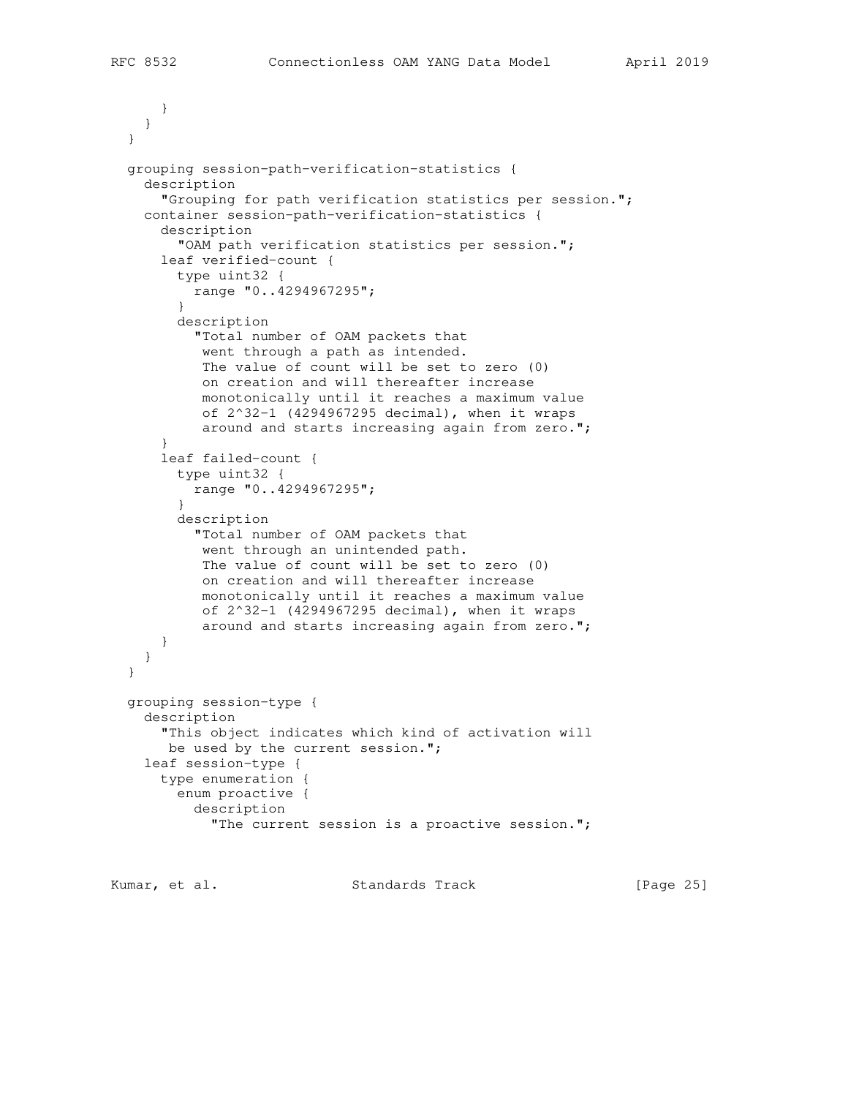```
 }
    }
  }
  grouping session-path-verification-statistics {
    description
       "Grouping for path verification statistics per session.";
    container session-path-verification-statistics {
       description
         "OAM path verification statistics per session.";
       leaf verified-count {
         type uint32 {
          range "0..4294967295";
 }
         description
           "Total number of OAM packets that
            went through a path as intended.
            The value of count will be set to zero (0)
            on creation and will thereafter increase
            monotonically until it reaches a maximum value
            of 2^32-1 (4294967295 decimal), when it wraps
            around and starts increasing again from zero.";
 }
       leaf failed-count {
         type uint32 {
          range "0..4294967295";
 }
         description
           "Total number of OAM packets that
            went through an unintended path.
            The value of count will be set to zero (0)
            on creation and will thereafter increase
            monotonically until it reaches a maximum value
            of 2^32-1 (4294967295 decimal), when it wraps
            around and starts increasing again from zero.";
       }
    }
  }
  grouping session-type {
    description
       "This object indicates which kind of activation will
       be used by the current session.";
     leaf session-type {
       type enumeration {
        enum proactive {
           description
             "The current session is a proactive session.";
```
Kumar, et al. Standards Track [Page 25]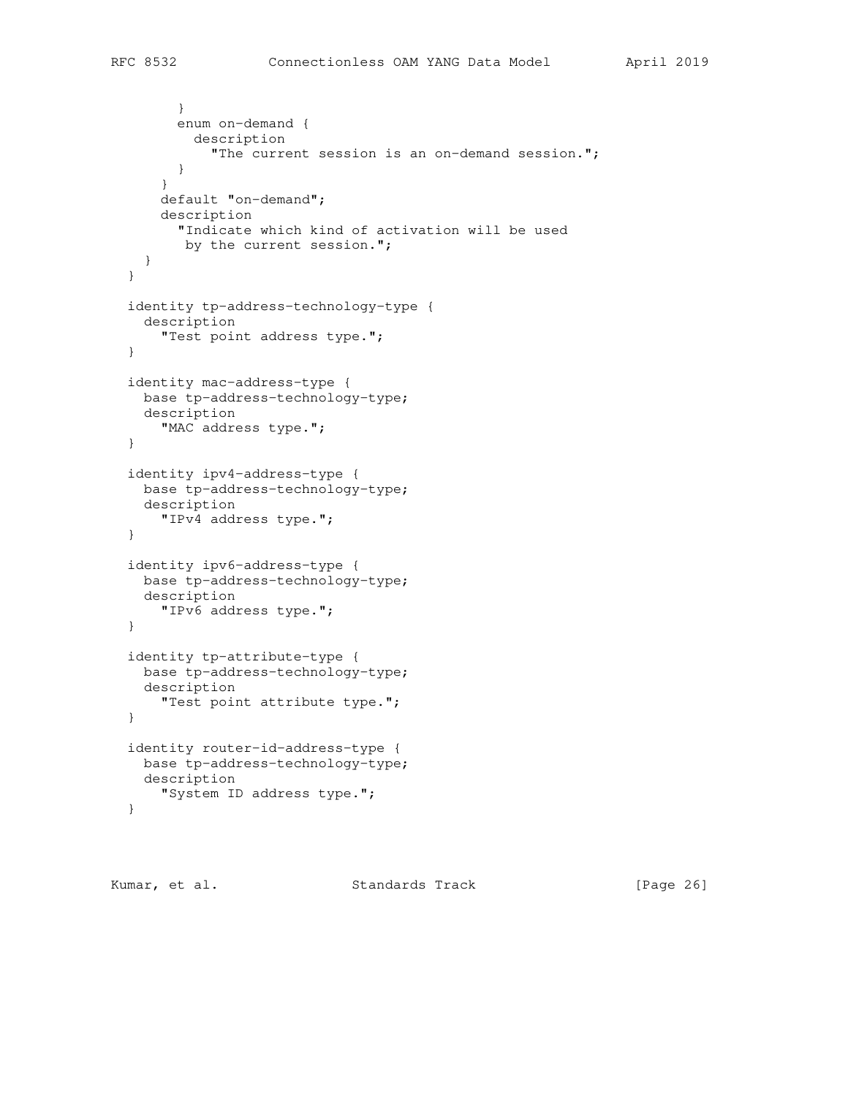```
 }
         enum on-demand {
           description
             "The current session is an on-demand session.";
         }
       }
       default "on-demand";
       description
         "Indicate which kind of activation will be used
        by the current session.";
    }
  }
  identity tp-address-technology-type {
    description
      "Test point address type.";
  }
  identity mac-address-type {
    base tp-address-technology-type;
    description
      "MAC address type.";
  }
  identity ipv4-address-type {
    base tp-address-technology-type;
    description
       "IPv4 address type.";
  }
  identity ipv6-address-type {
    base tp-address-technology-type;
    description
      "IPv6 address type.";
  }
  identity tp-attribute-type {
    base tp-address-technology-type;
    description
      "Test point attribute type.";
  }
  identity router-id-address-type {
    base tp-address-technology-type;
    description
      "System ID address type.";
  }
```
Kumar, et al. Standards Track [Page 26]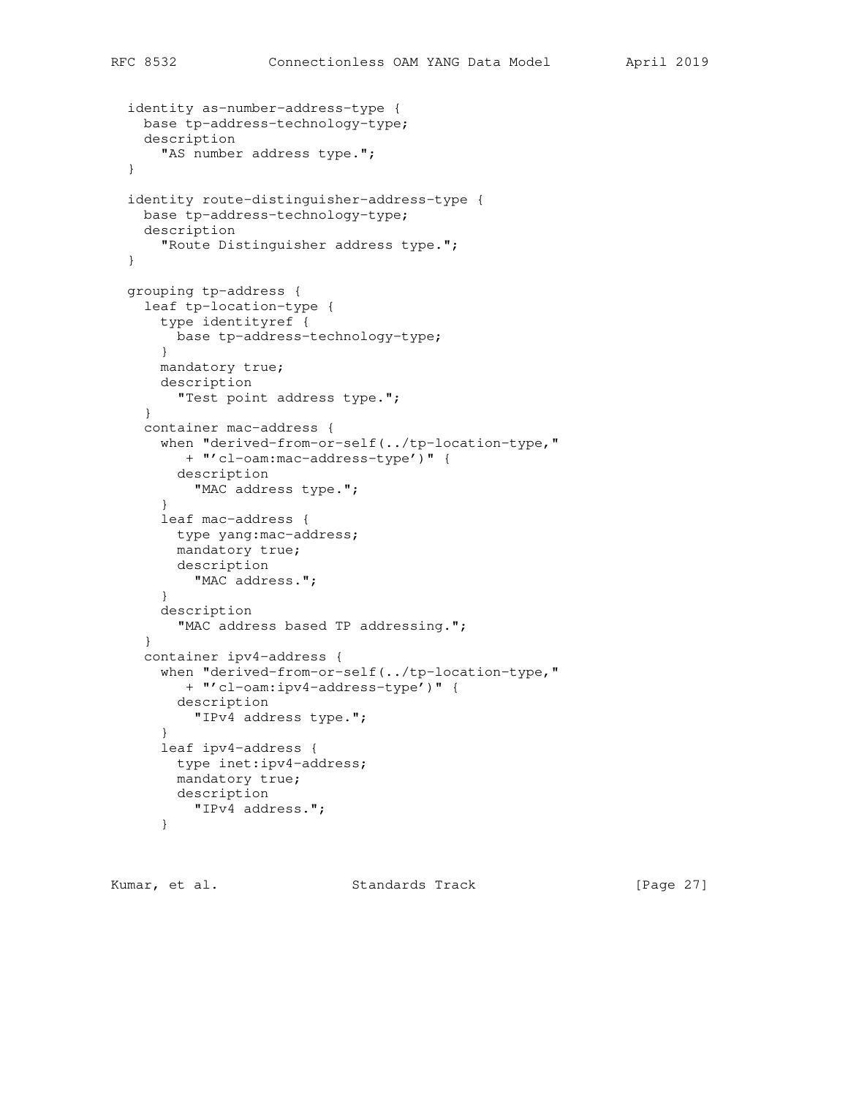```
 identity as-number-address-type {
  base tp-address-technology-type;
   description
     "AS number address type.";
 }
 identity route-distinguisher-address-type {
  base tp-address-technology-type;
   description
     "Route Distinguisher address type.";
 }
 grouping tp-address {
   leaf tp-location-type {
    type identityref {
      base tp-address-technology-type;
     }
    mandatory true;
    description
      "Test point address type.";
   }
   container mac-address {
     when "derived-from-or-self(../tp-location-type,"
       + "'cl-oam:mac-address-type')" {
       description
         "MAC address type.";
     }
     leaf mac-address {
      type yang:mac-address;
       mandatory true;
      description
        "MAC address.";
     }
     description
       "MAC address based TP addressing.";
   }
   container ipv4-address {
     when "derived-from-or-self(../tp-location-type,"
       + "'cl-oam:ipv4-address-type')" {
       description
         "IPv4 address type.";
     }
     leaf ipv4-address {
      type inet:ipv4-address;
       mandatory true;
      description
         "IPv4 address.";
     }
```
Kumar, et al. Standards Track [Page 27]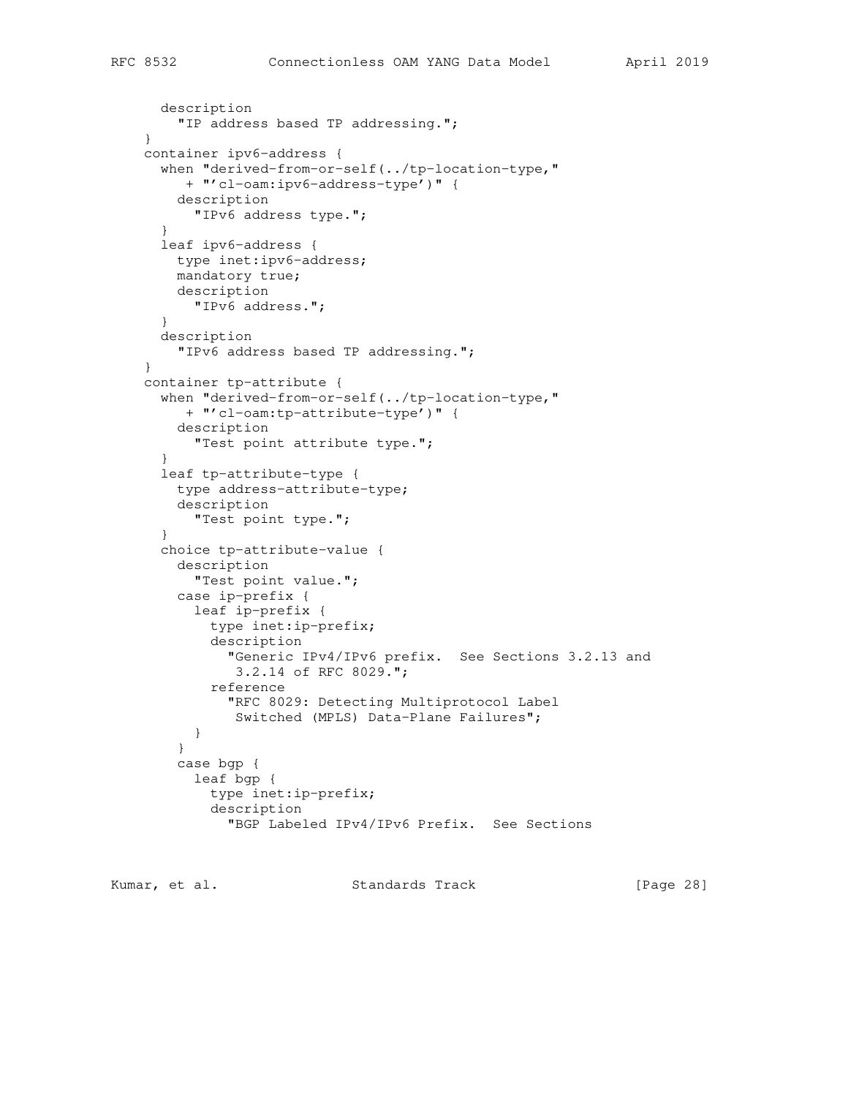```
 description
     "IP address based TP addressing.";
 }
 container ipv6-address {
   when "derived-from-or-self(../tp-location-type,"
     + "'cl-oam:ipv6-address-type')" {
     description
      "IPv6 address type.";
   }
   leaf ipv6-address {
    type inet:ipv6-address;
    mandatory true;
    description
      "IPv6 address.";
   }
   description
     "IPv6 address based TP addressing.";
 }
 container tp-attribute {
   when "derived-from-or-self(../tp-location-type,"
     + "'cl-oam:tp-attribute-type')" {
     description
       "Test point attribute type.";
   }
   leaf tp-attribute-type {
     type address-attribute-type;
     description
      "Test point type.";
   }
   choice tp-attribute-value {
     description
       "Test point value.";
     case ip-prefix {
       leaf ip-prefix {
         type inet:ip-prefix;
         description
           "Generic IPv4/IPv6 prefix. See Sections 3.2.13 and
            3.2.14 of RFC 8029.";
         reference
           "RFC 8029: Detecting Multiprotocol Label
            Switched (MPLS) Data-Plane Failures";
       }
     }
     case bgp {
       leaf bgp {
         type inet:ip-prefix;
         description
           "BGP Labeled IPv4/IPv6 Prefix. See Sections
```
Kumar, et al. Standards Track [Page 28]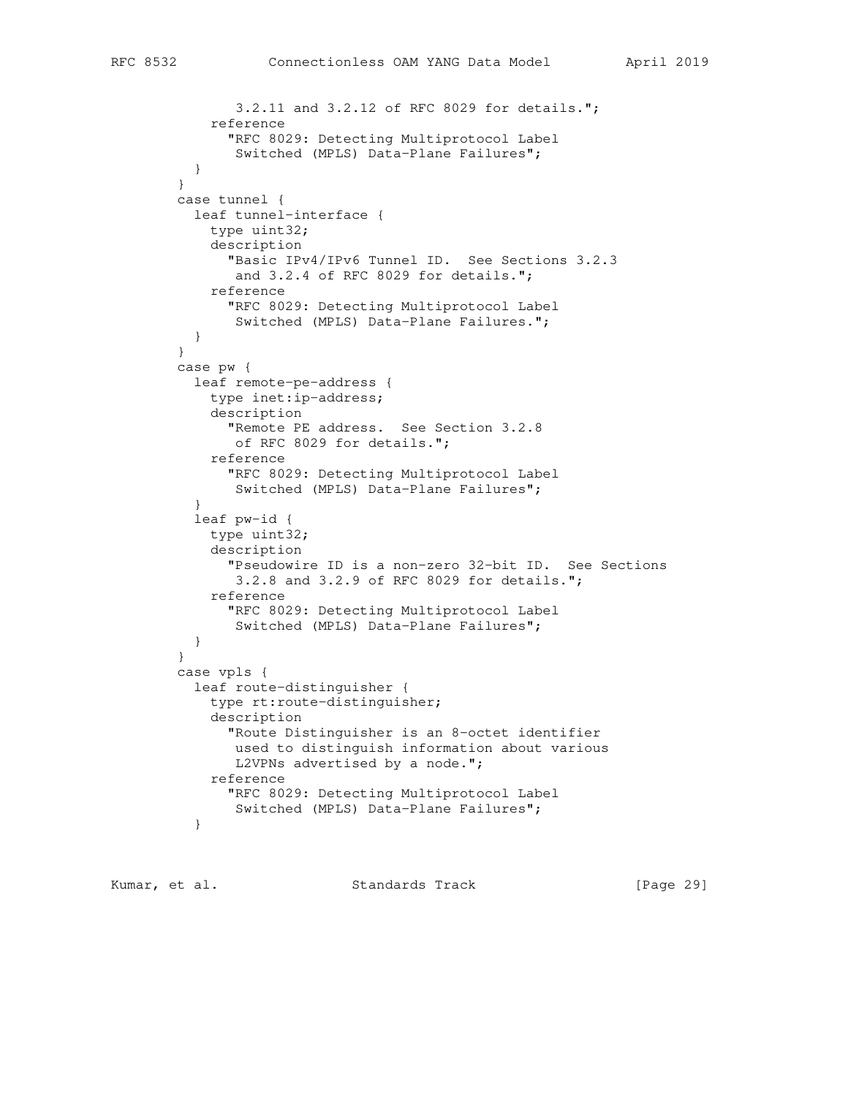```
 3.2.11 and 3.2.12 of RFC 8029 for details.";
            reference
              "RFC 8029: Detecting Multiprotocol Label
               Switched (MPLS) Data-Plane Failures";
 }
 }
        case tunnel {
          leaf tunnel-interface {
            type uint32;
            description
              "Basic IPv4/IPv6 Tunnel ID. See Sections 3.2.3
              and 3.2.4 of RFC 8029 for details.";
            reference
              "RFC 8029: Detecting Multiprotocol Label
               Switched (MPLS) Data-Plane Failures.";
          }
 }
        case pw {
          leaf remote-pe-address {
            type inet:ip-address;
            description
              "Remote PE address. See Section 3.2.8
               of RFC 8029 for details.";
            reference
              "RFC 8029: Detecting Multiprotocol Label
               Switched (MPLS) Data-Plane Failures";
 }
          leaf pw-id {
            type uint32;
            description
              "Pseudowire ID is a non-zero 32-bit ID. See Sections
               3.2.8 and 3.2.9 of RFC 8029 for details.";
            reference
              "RFC 8029: Detecting Multiprotocol Label
               Switched (MPLS) Data-Plane Failures";
 }
         }
        case vpls {
          leaf route-distinguisher {
            type rt:route-distinguisher;
            description
              "Route Distinguisher is an 8-octet identifier
               used to distinguish information about various
              L2VPNs advertised by a node.";
            reference
              "RFC 8029: Detecting Multiprotocol Label
               Switched (MPLS) Data-Plane Failures";
 }
```
Kumar, et al. Standards Track [Page 29]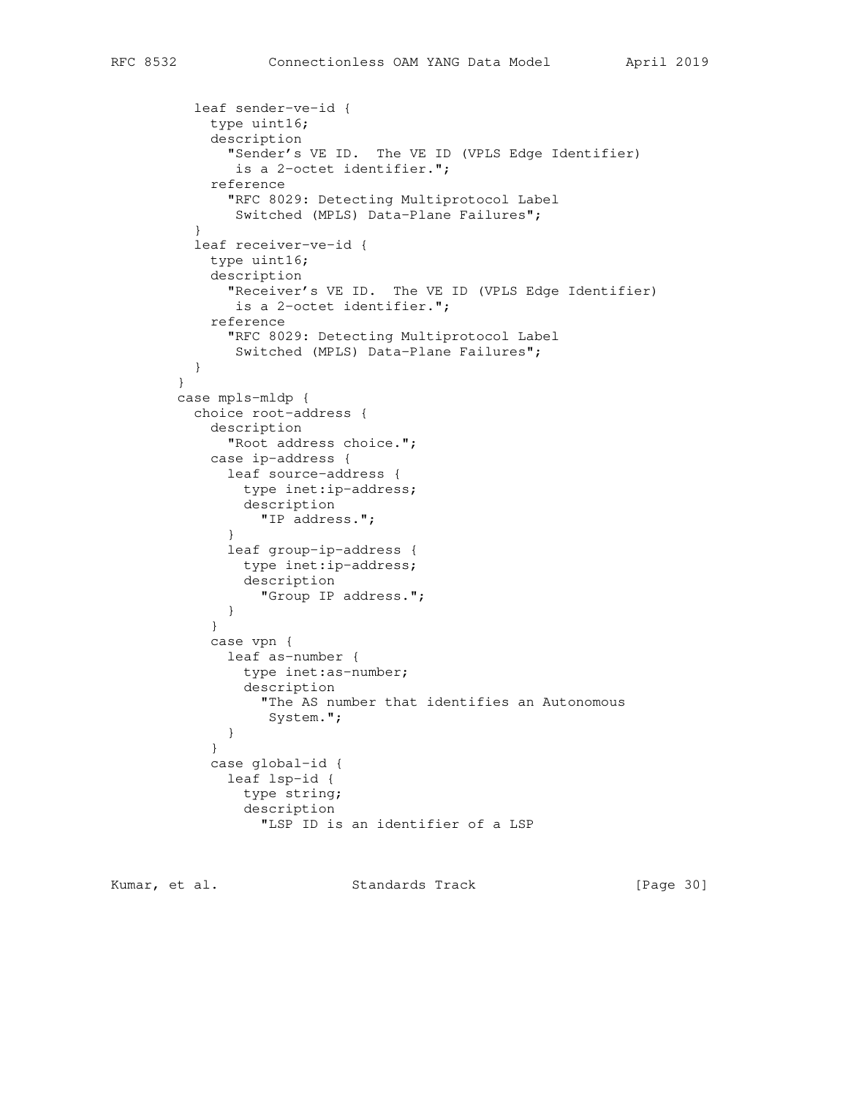```
 leaf sender-ve-id {
            type uint16;
            description
              "Sender's VE ID. The VE ID (VPLS Edge Identifier)
               is a 2-octet identifier.";
            reference
              "RFC 8029: Detecting Multiprotocol Label
               Switched (MPLS) Data-Plane Failures";
 }
          leaf receiver-ve-id {
            type uint16;
            description
              "Receiver's VE ID. The VE ID (VPLS Edge Identifier)
               is a 2-octet identifier.";
            reference
              "RFC 8029: Detecting Multiprotocol Label
               Switched (MPLS) Data-Plane Failures";
          }
        }
        case mpls-mldp {
          choice root-address {
            description
              "Root address choice.";
            case ip-address {
              leaf source-address {
                type inet:ip-address;
                description
                  "IP address.";
 }
              leaf group-ip-address {
                type inet:ip-address;
                description
                  "Group IP address.";
 }
 }
            case vpn {
              leaf as-number {
                type inet:as-number;
                description
                  "The AS number that identifies an Autonomous
                   System.";
 }
 }
            case global-id {
              leaf lsp-id {
                type string;
                description
                  "LSP ID is an identifier of a LSP
```
Kumar, et al. Standards Track [Page 30]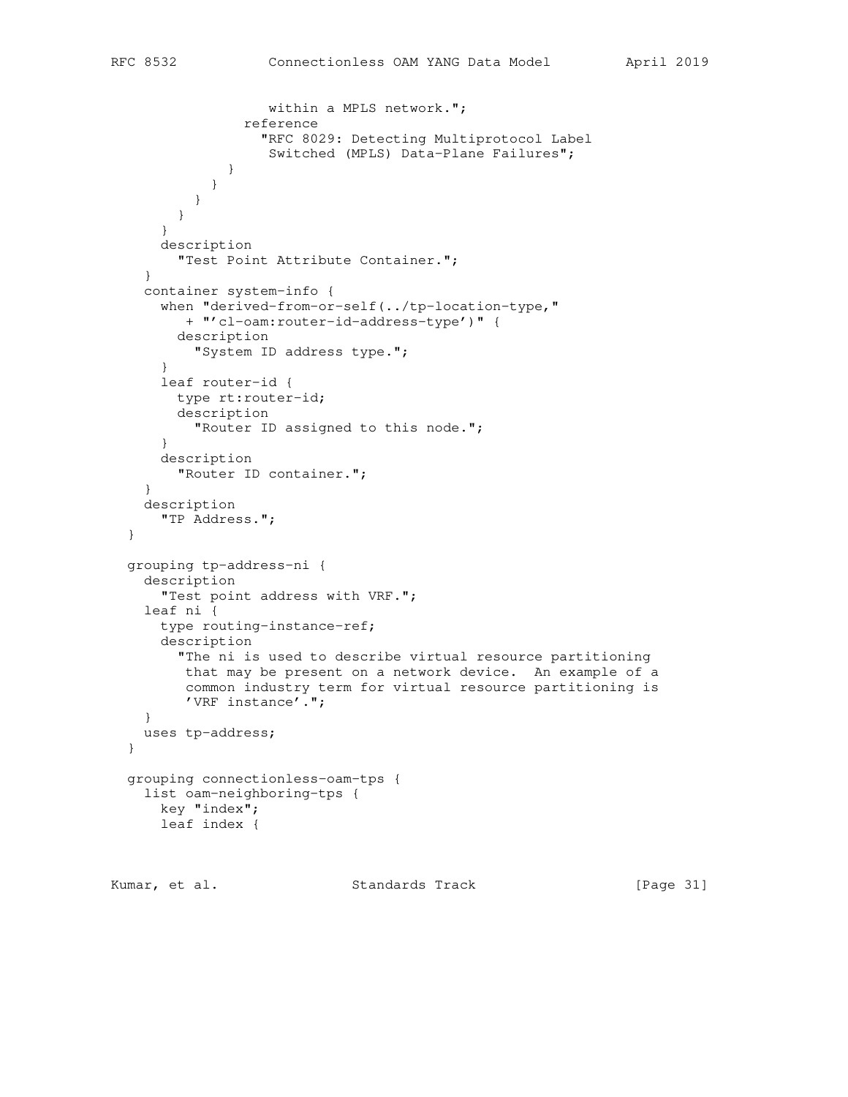```
 within a MPLS network.";
                 reference
                   "RFC 8029: Detecting Multiprotocol Label
                    Switched (MPLS) Data-Plane Failures";
 }
 }
           }
         }
       }
      description
        "Test Point Attribute Container.";
     }
    container system-info {
      when "derived-from-or-self(../tp-location-type,"
         + "'cl-oam:router-id-address-type')" {
        description
          "System ID address type.";
       }
      leaf router-id {
        type rt:router-id;
        description
          "Router ID assigned to this node.";
       }
      description
         "Router ID container.";
     }
    description
       "TP Address.";
  }
  grouping tp-address-ni {
    description
       "Test point address with VRF.";
    leaf ni {
      type routing-instance-ref;
       description
         "The ni is used to describe virtual resource partitioning
         that may be present on a network device. An example of a
         common industry term for virtual resource partitioning is
         'VRF instance'.";
    }
    uses tp-address;
  }
  grouping connectionless-oam-tps {
    list oam-neighboring-tps {
      key "index";
      leaf index {
```
Kumar, et al. Standards Track [Page 31]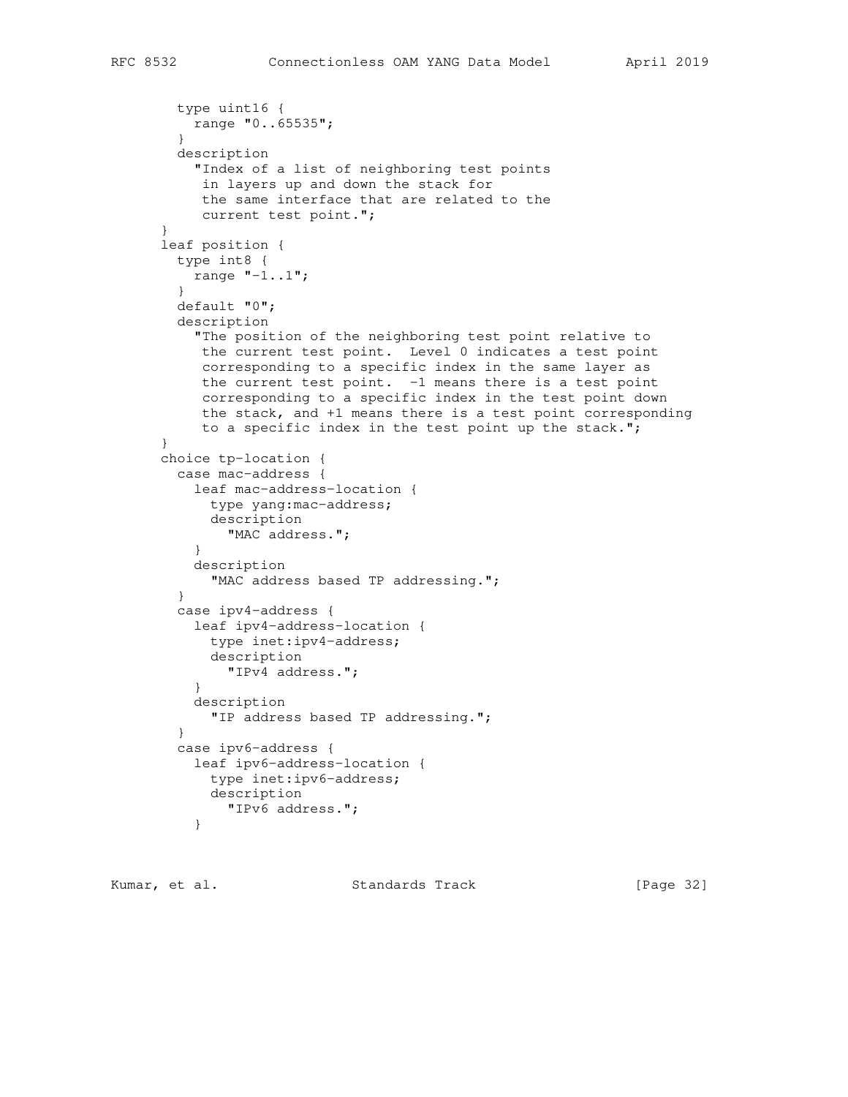```
 type uint16 {
          range "0..65535";
 }
        description
          "Index of a list of neighboring test points
           in layers up and down the stack for
           the same interface that are related to the
           current test point.";
      }
      leaf position {
        type int8 {
         range "-1..1";
 }
        default "0";
        description
          "The position of the neighboring test point relative to
           the current test point. Level 0 indicates a test point
           corresponding to a specific index in the same layer as
           the current test point. -1 means there is a test point
           corresponding to a specific index in the test point down
           the stack, and +1 means there is a test point corresponding
           to a specific index in the test point up the stack.";
 }
      choice tp-location {
        case mac-address {
          leaf mac-address-location {
           type yang:mac-address;
            description
              "MAC address.";
 }
          description
            "MAC address based TP addressing.";
 }
        case ipv4-address {
          leaf ipv4-address-location {
            type inet:ipv4-address;
            description
             "IPv4 address.";
 }
          description
            "IP address based TP addressing.";
 }
        case ipv6-address {
          leaf ipv6-address-location {
            type inet:ipv6-address;
            description
              "IPv6 address.";
 }
```
Kumar, et al. Standards Track [Page 32]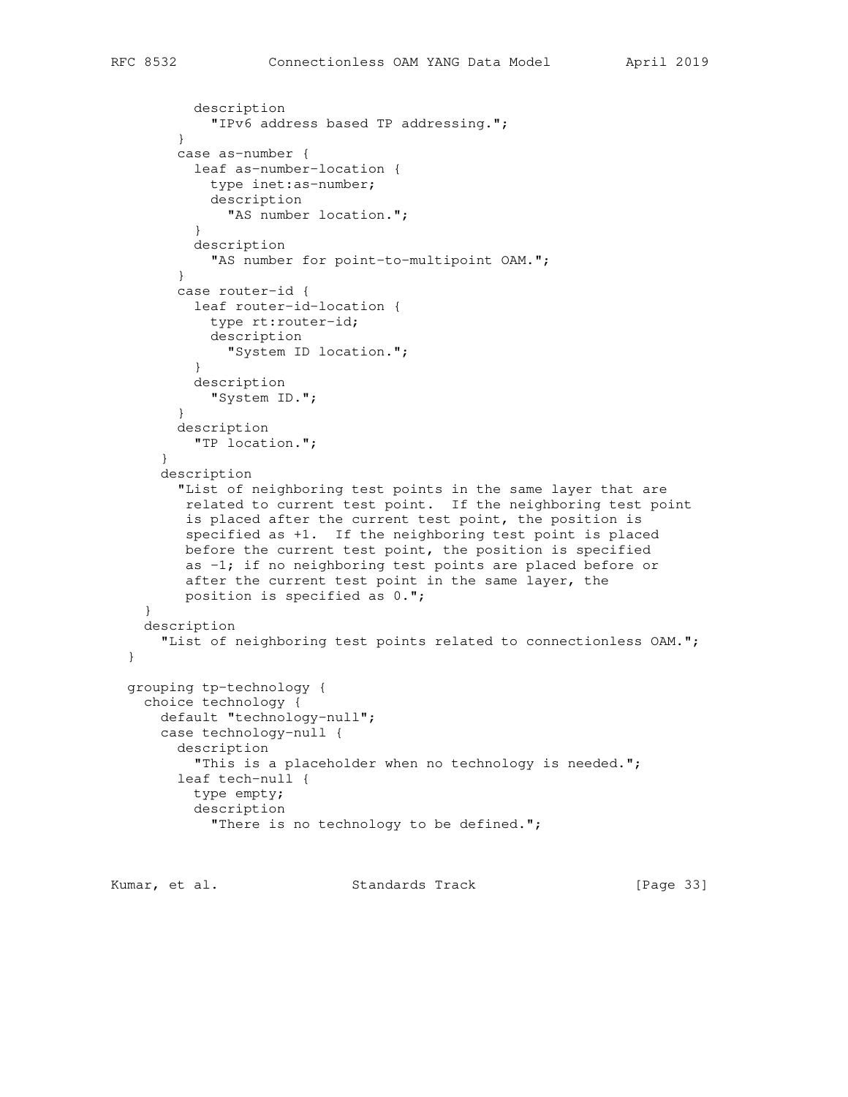```
 description
            "IPv6 address based TP addressing.";
 }
        case as-number {
          leaf as-number-location {
            type inet:as-number;
            description
              "AS number location.";
 }
          description
            "AS number for point-to-multipoint OAM.";
 }
        case router-id {
          leaf router-id-location {
            type rt:router-id;
            description
              "System ID location.";
          }
          description
            "System ID.";
 }
        description
          "TP location.";
      }
      description
         "List of neighboring test points in the same layer that are
         related to current test point. If the neighboring test point
         is placed after the current test point, the position is
         specified as +1. If the neighboring test point is placed
         before the current test point, the position is specified
         as -1; if no neighboring test points are placed before or
         after the current test point in the same layer, the
         position is specified as 0.";
    }
    description
     "List of neighboring test points related to connectionless OAM.";
  grouping tp-technology {
    choice technology {
      default "technology-null";
      case technology-null {
        description
         "This is a placeholder when no technology is needed.";
        leaf tech-null {
          type empty;
          description
            "There is no technology to be defined.";
```
Kumar, et al. Standards Track [Page 33]

}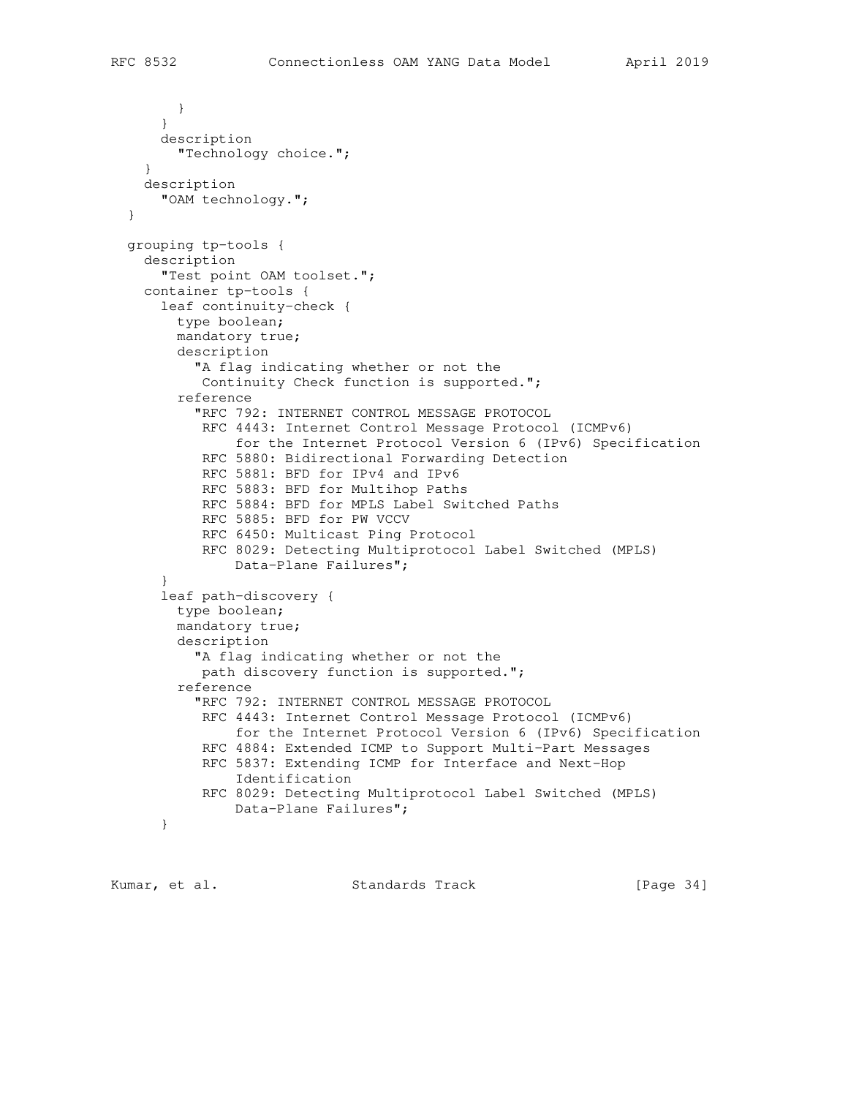} } description "Technology choice."; } description "OAM technology."; } grouping tp-tools { description "Test point OAM toolset."; container tp-tools { leaf continuity-check { type boolean; mandatory true; description "A flag indicating whether or not the Continuity Check function is supported."; reference "RFC 792: INTERNET CONTROL MESSAGE PROTOCOL RFC 4443: Internet Control Message Protocol (ICMPv6) for the Internet Protocol Version 6 (IPv6) Specification RFC 5880: Bidirectional Forwarding Detection RFC 5881: BFD for IPv4 and IPv6 RFC 5883: BFD for Multihop Paths RFC 5884: BFD for MPLS Label Switched Paths RFC 5885: BFD for PW VCCV RFC 6450: Multicast Ping Protocol RFC 8029: Detecting Multiprotocol Label Switched (MPLS) Data-Plane Failures"; } leaf path-discovery { type boolean; mandatory true; description "A flag indicating whether or not the path discovery function is supported."; reference "RFC 792: INTERNET CONTROL MESSAGE PROTOCOL RFC 4443: Internet Control Message Protocol (ICMPv6) for the Internet Protocol Version 6 (IPv6) Specification RFC 4884: Extended ICMP to Support Multi-Part Messages RFC 5837: Extending ICMP for Interface and Next-Hop Identification RFC 8029: Detecting Multiprotocol Label Switched (MPLS) Data-Plane Failures"; }

Kumar, et al. Standards Track [Page 34]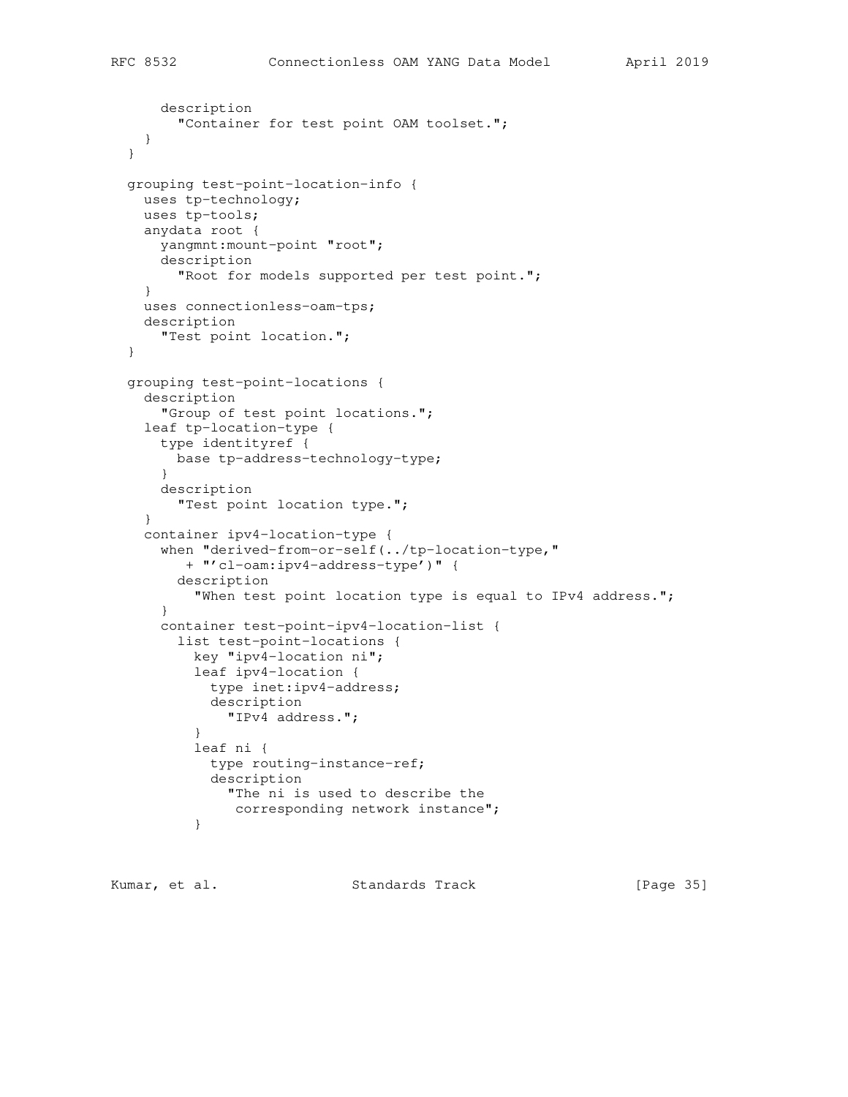```
 description
        "Container for test point OAM toolset.";
    }
  }
  grouping test-point-location-info {
    uses tp-technology;
    uses tp-tools;
    anydata root {
      yangmnt:mount-point "root";
      description
        "Root for models supported per test point.";
     }
    uses connectionless-oam-tps;
    description
      "Test point location.";
  }
  grouping test-point-locations {
    description
       "Group of test point locations.";
    leaf tp-location-type {
      type identityref {
        base tp-address-technology-type;
       }
      description
         "Test point location type.";
     }
    container ipv4-location-type {
      when "derived-from-or-self(../tp-location-type,"
         + "'cl-oam:ipv4-address-type')" {
        description
           "When test point location type is equal to IPv4 address.";
       }
       container test-point-ipv4-location-list {
         list test-point-locations {
          key "ipv4-location ni";
           leaf ipv4-location {
            type inet:ipv4-address;
            description
               "IPv4 address.";
 }
           leaf ni {
            type routing-instance-ref;
             description
               "The ni is used to describe the
                corresponding network instance";
 }
```
Kumar, et al. Standards Track [Page 35]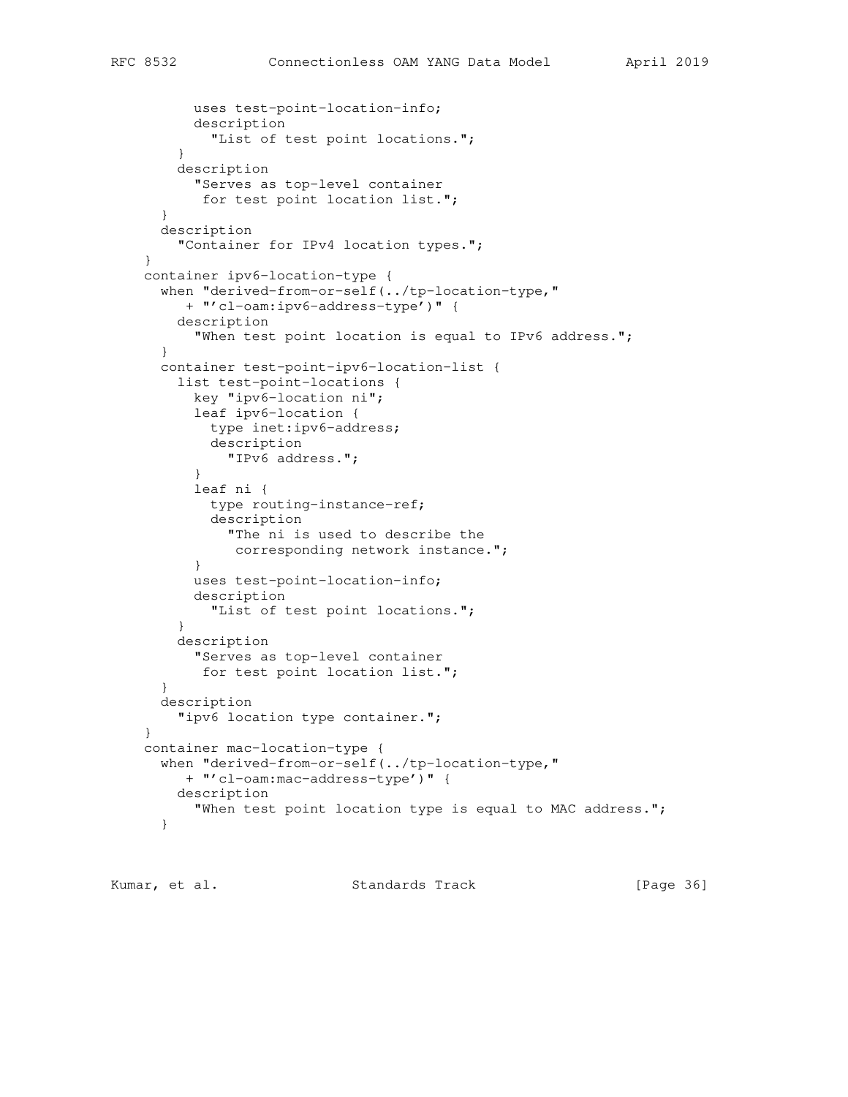```
 uses test-point-location-info;
           description
             "List of test point locations.";
 }
        description
          "Serves as top-level container
           for test point location list.";
       }
       description
         "Container for IPv4 location types.";
     }
    container ipv6-location-type {
       when "derived-from-or-self(../tp-location-type,"
         + "'cl-oam:ipv6-address-type')" {
        description
           "When test point location is equal to IPv6 address.";
       }
      container test-point-ipv6-location-list {
        list test-point-locations {
          key "ipv6-location ni";
           leaf ipv6-location {
            type inet:ipv6-address;
            description
              "IPv6 address.";
 }
           leaf ni {
            type routing-instance-ref;
             description
               "The ni is used to describe the
              corresponding network instance.";
           }
           uses test-point-location-info;
           description
             "List of test point locations.";
 }
        description
          "Serves as top-level container
           for test point location list.";
       }
      description
        "ipv6 location type container.";
     }
    container mac-location-type {
      when "derived-from-or-self(../tp-location-type,"
         + "'cl-oam:mac-address-type')" {
        description
          "When test point location type is equal to MAC address.";
       }
```
Kumar, et al. Standards Track [Page 36]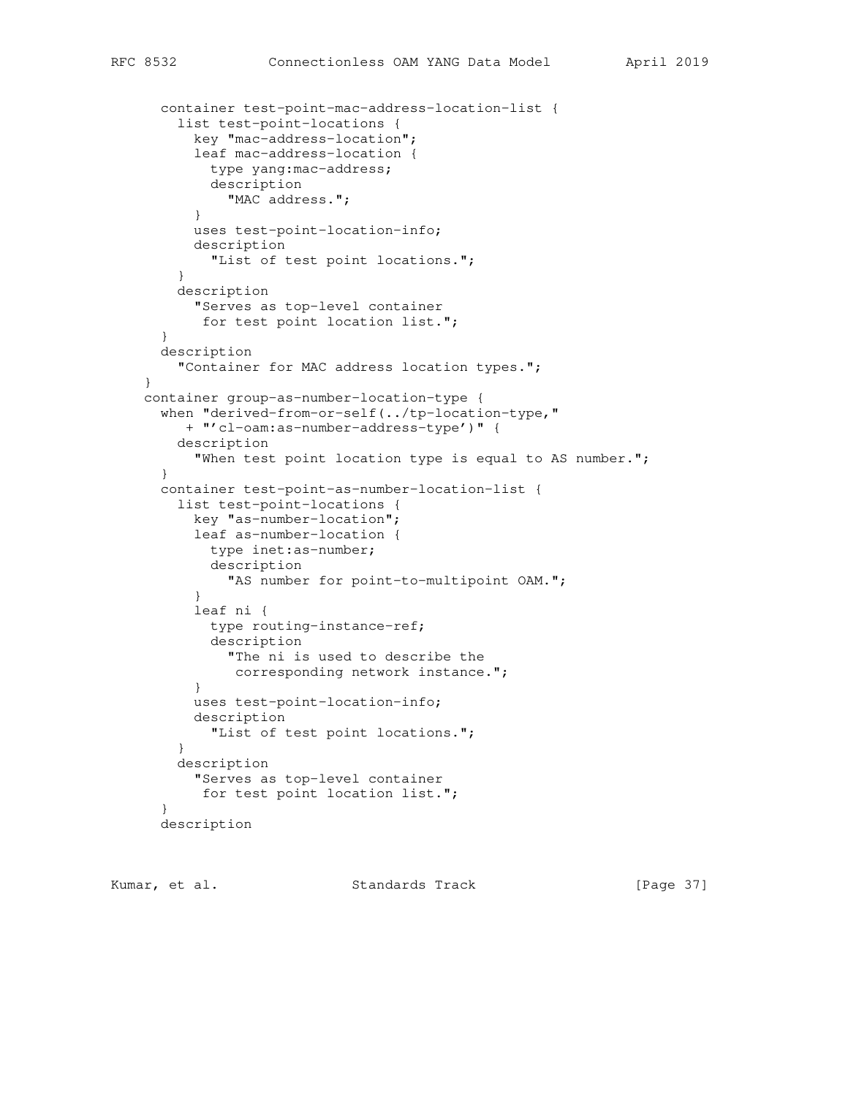```
 container test-point-mac-address-location-list {
         list test-point-locations {
          key "mac-address-location";
          leaf mac-address-location {
            type yang:mac-address;
            description
              "MAC address.";
 }
          uses test-point-location-info;
          description
            "List of test point locations.";
         }
        description
          "Serves as top-level container
           for test point location list.";
      }
      description
        "Container for MAC address location types.";
     }
    container group-as-number-location-type {
      when "derived-from-or-self(../tp-location-type,"
         + "'cl-oam:as-number-address-type')" {
        description
           "When test point location type is equal to AS number.";
      }
      container test-point-as-number-location-list {
         list test-point-locations {
          key "as-number-location";
          leaf as-number-location {
            type inet:as-number;
            description
              "AS number for point-to-multipoint OAM.";
 }
          leaf ni {
            type routing-instance-ref;
            description
              "The ni is used to describe the
               corresponding network instance.";
 }
          uses test-point-location-info;
          description
            "List of test point locations.";
 }
         description
          "Serves as top-level container
           for test point location list.";
 }
      description
```
Kumar, et al. Standards Track [Page 37]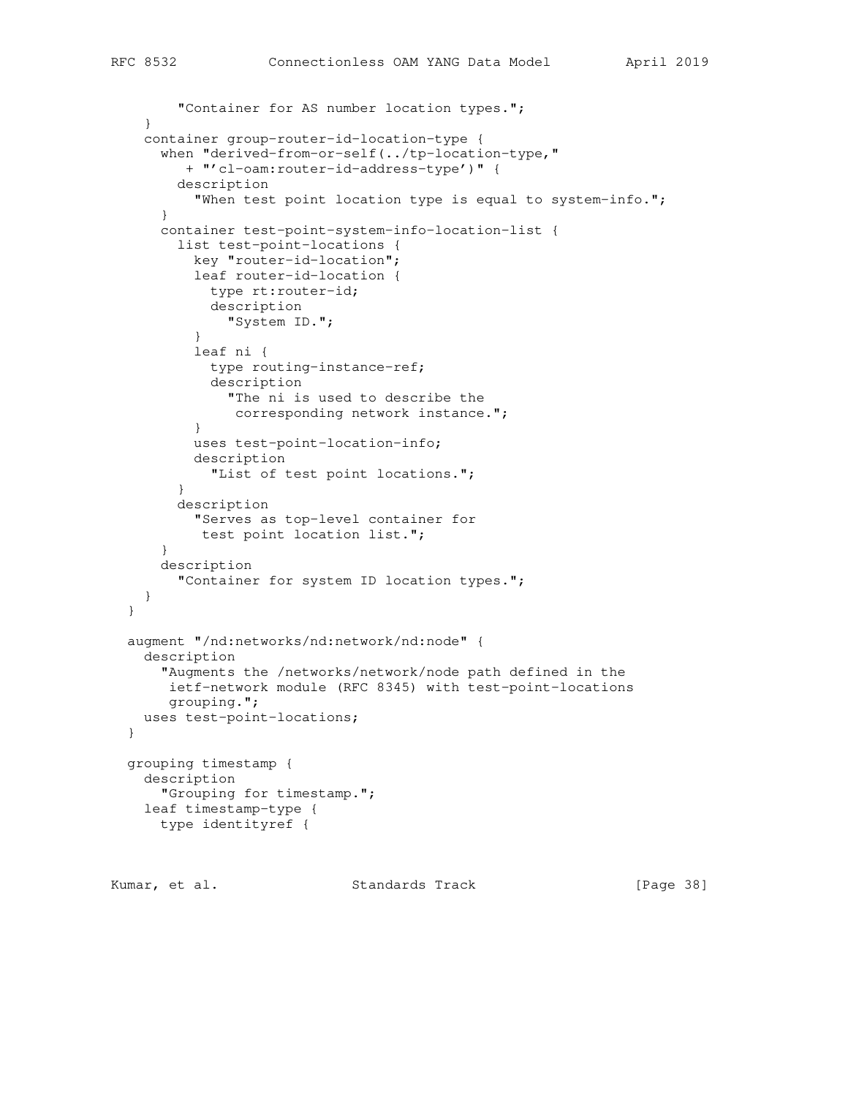```
"Container for AS number location types.";
     }
    container group-router-id-location-type {
       when "derived-from-or-self(../tp-location-type,"
          + "'cl-oam:router-id-address-type')" {
        description
          "When test point location type is equal to system-info.";
       }
       container test-point-system-info-location-list {
        list test-point-locations {
          key "router-id-location";
           leaf router-id-location {
            type rt:router-id;
            description
              "System ID.";
 }
           leaf ni {
            type routing-instance-ref;
            description
              "The ni is used to describe the
               corresponding network instance.";
 }
           uses test-point-location-info;
           description
             "List of test point locations.";
 }
        description
           "Serves as top-level container for
           test point location list.";
       }
       description
        "Container for system ID location types.";
    }
  }
  augment "/nd:networks/nd:network/nd:node" {
    description
      "Augments the /networks/network/node path defined in the
       ietf-network module (RFC 8345) with test-point-locations
       grouping.";
    uses test-point-locations;
  }
  grouping timestamp {
    description
       "Grouping for timestamp.";
    leaf timestamp-type {
      type identityref {
```
Kumar, et al. Standards Track [Page 38]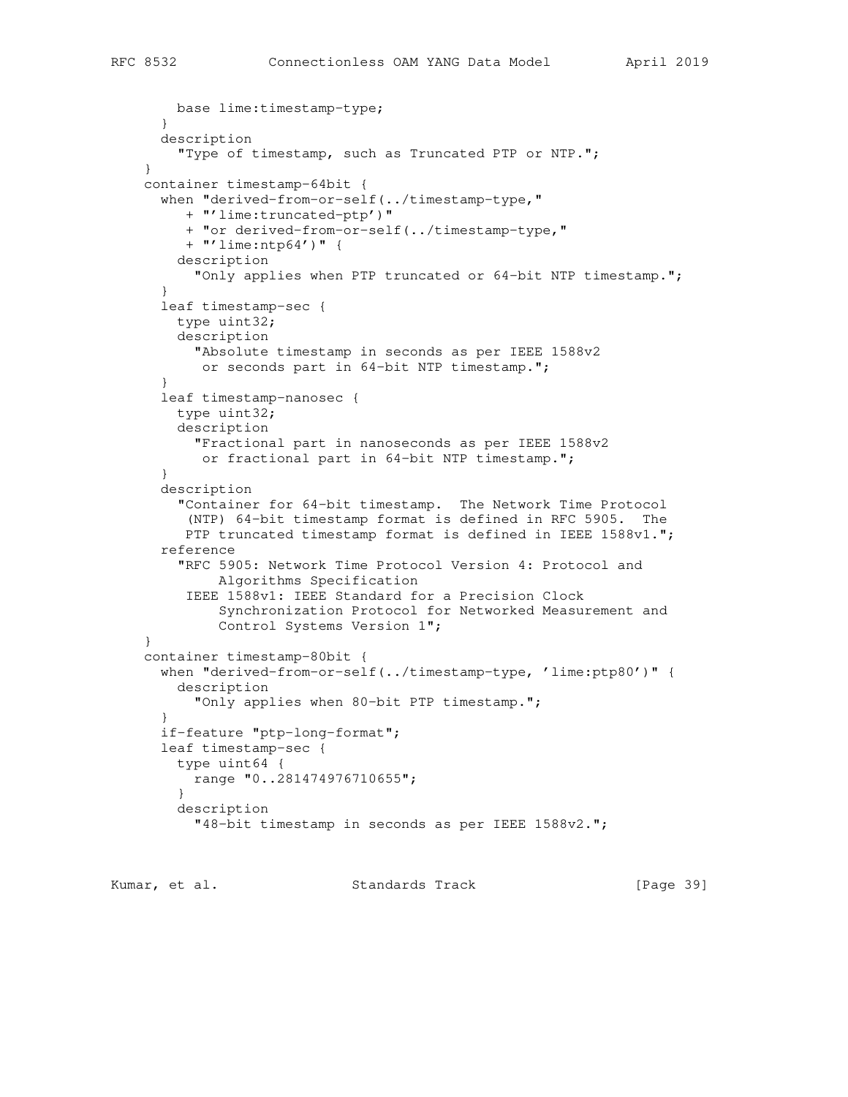```
 base lime:timestamp-type;
       }
      description
         "Type of timestamp, such as Truncated PTP or NTP.";
     }
    container timestamp-64bit {
       when "derived-from-or-self(../timestamp-type,"
         + "'lime:truncated-ptp')"
         + "or derived-from-or-self(../timestamp-type,"
         + "'lime:ntp64')" {
        description
           "Only applies when PTP truncated or 64-bit NTP timestamp.";
 }
       leaf timestamp-sec {
        type uint32;
        description
          "Absolute timestamp in seconds as per IEEE 1588v2
           or seconds part in 64-bit NTP timestamp.";
       }
       leaf timestamp-nanosec {
        type uint32;
        description
           "Fractional part in nanoseconds as per IEEE 1588v2
           or fractional part in 64-bit NTP timestamp.";
 }
       description
         "Container for 64-bit timestamp. The Network Time Protocol
          (NTP) 64-bit timestamp format is defined in RFC 5905. The
        PTP truncated timestamp format is defined in IEEE 1588v1.";
       reference
         "RFC 5905: Network Time Protocol Version 4: Protocol and
              Algorithms Specification
         IEEE 1588v1: IEEE Standard for a Precision Clock
              Synchronization Protocol for Networked Measurement and
              Control Systems Version 1";
     }
    container timestamp-80bit {
      when "derived-from-or-self(../timestamp-type, 'lime:ptp80')" {
        description
           "Only applies when 80-bit PTP timestamp.";
 }
       if-feature "ptp-long-format";
       leaf timestamp-sec {
        type uint64 {
          range "0..281474976710655";
 }
        description
           "48-bit timestamp in seconds as per IEEE 1588v2.";
```
Kumar, et al. Standards Track [Page 39]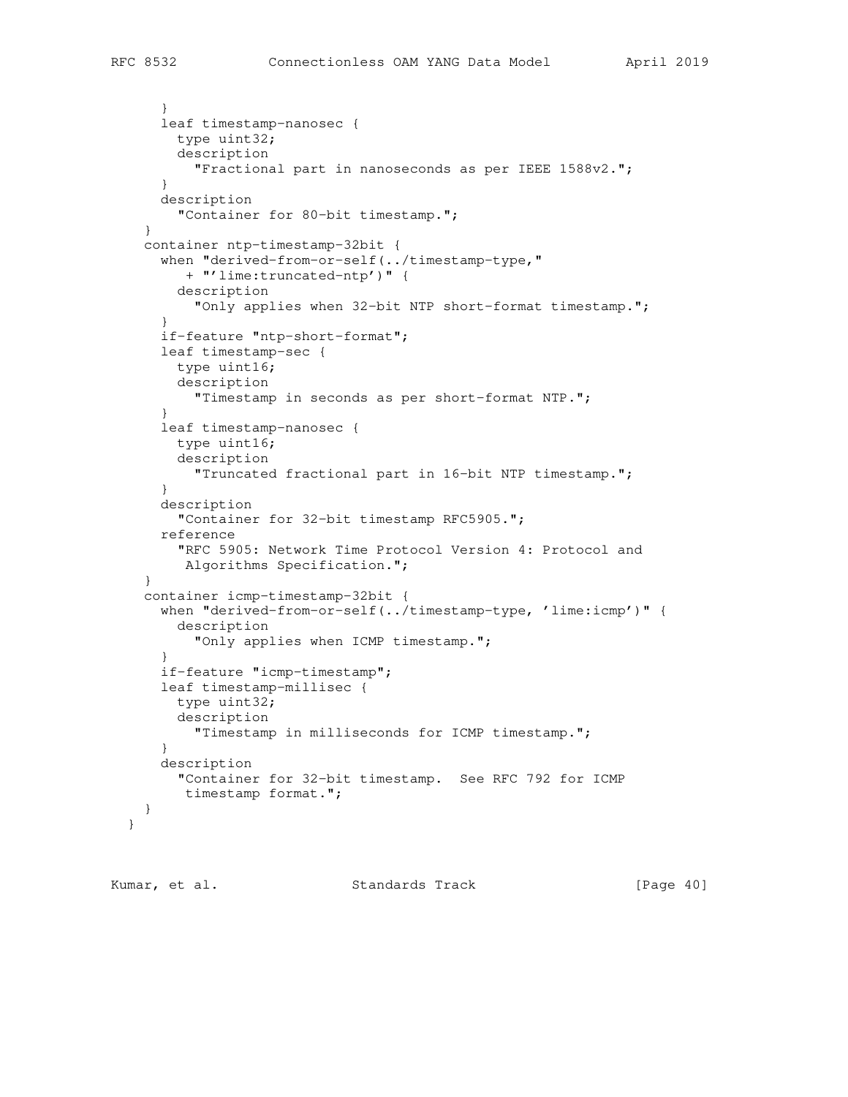```
 }
     leaf timestamp-nanosec {
      type uint32;
       description
         "Fractional part in nanoseconds as per IEEE 1588v2.";
     }
     description
       "Container for 80-bit timestamp.";
   }
   container ntp-timestamp-32bit {
     when "derived-from-or-self(../timestamp-type,"
       + "'lime:truncated-ntp')" {
       description
         "Only applies when 32-bit NTP short-format timestamp.";
     }
     if-feature "ntp-short-format";
     leaf timestamp-sec {
       type uint16;
       description
         "Timestamp in seconds as per short-format NTP.";
     }
     leaf timestamp-nanosec {
       type uint16;
       description
         "Truncated fractional part in 16-bit NTP timestamp.";
     }
     description
       "Container for 32-bit timestamp RFC5905.";
     reference
       "RFC 5905: Network Time Protocol Version 4: Protocol and
        Algorithms Specification.";
   }
   container icmp-timestamp-32bit {
     when "derived-from-or-self(../timestamp-type, 'lime:icmp')" {
       description
        "Only applies when ICMP timestamp.";
     }
     if-feature "icmp-timestamp";
     leaf timestamp-millisec {
       type uint32;
       description
         "Timestamp in milliseconds for ICMP timestamp.";
     }
     description
       "Container for 32-bit timestamp. See RFC 792 for ICMP
       timestamp format.";
   }
 }
```
Kumar, et al. Standards Track [Page 40]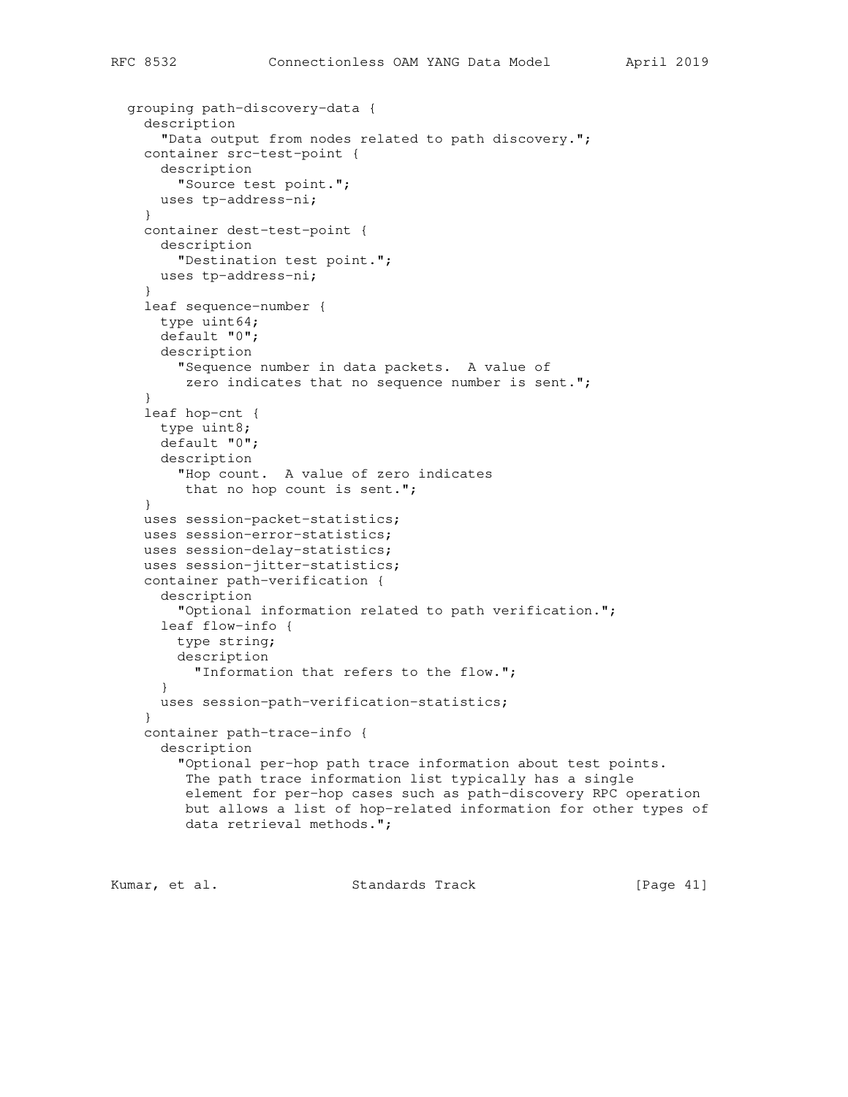```
 grouping path-discovery-data {
  description
     "Data output from nodes related to path discovery.";
  container src-test-point {
     description
       "Source test point.";
    uses tp-address-ni;
   }
   container dest-test-point {
    description
      "Destination test point.";
    uses tp-address-ni;
   }
   leaf sequence-number {
    type uint64;
    default "0";
    description
      "Sequence number in data packets. A value of
      zero indicates that no sequence number is sent.";
   }
   leaf hop-cnt {
     type uint8;
    default "0";
    description
       "Hop count. A value of zero indicates
        that no hop count is sent.";
   }
  uses session-packet-statistics;
  uses session-error-statistics;
  uses session-delay-statistics;
  uses session-jitter-statistics;
  container path-verification {
     description
       "Optional information related to path verification.";
     leaf flow-info {
      type string;
      description
        "Information that refers to the flow.";
     }
     uses session-path-verification-statistics;
   }
   container path-trace-info {
     description
       "Optional per-hop path trace information about test points.
        The path trace information list typically has a single
        element for per-hop cases such as path-discovery RPC operation
        but allows a list of hop-related information for other types of
        data retrieval methods.";
```
Kumar, et al. Standards Track [Page 41]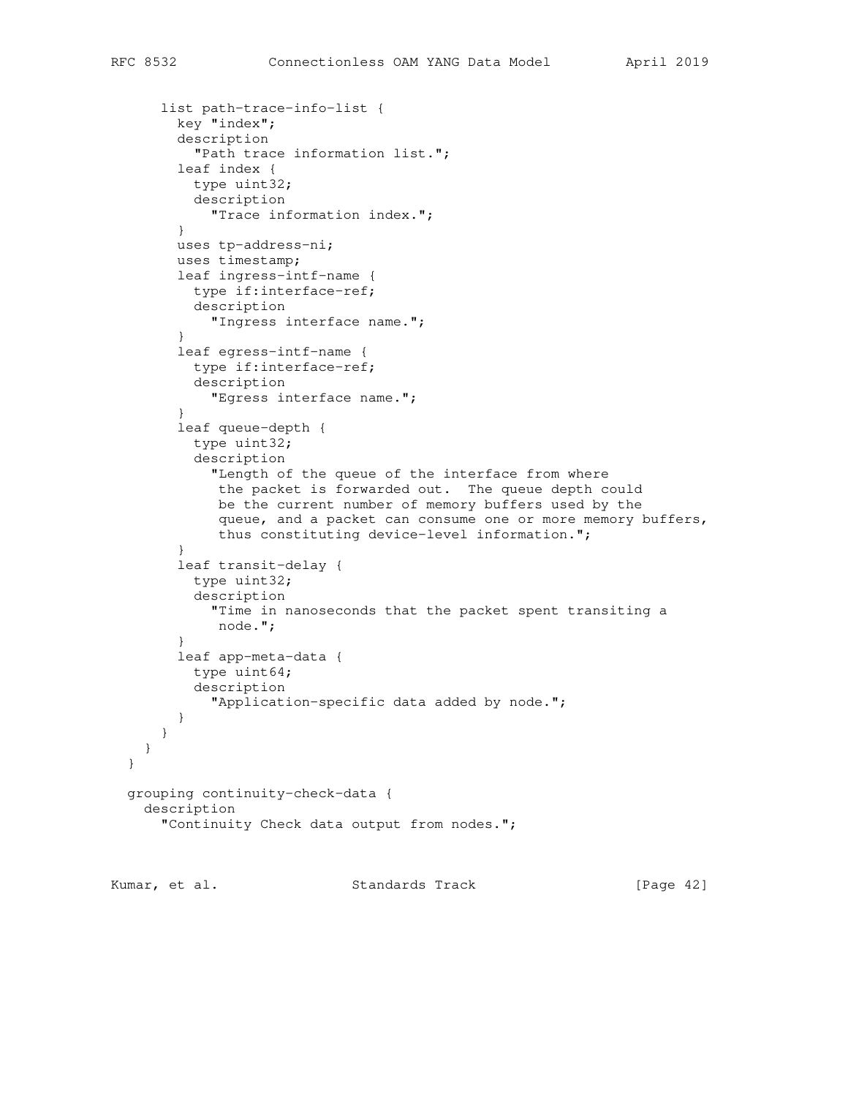```
 list path-trace-info-list {
        key "index";
        description
           "Path trace information list.";
        leaf index {
          type uint32;
           description
             "Trace information index.";
         }
        uses tp-address-ni;
        uses timestamp;
         leaf ingress-intf-name {
          type if:interface-ref;
          description
             "Ingress interface name.";
 }
         leaf egress-intf-name {
          type if:interface-ref;
           description
             "Egress interface name.";
 }
         leaf queue-depth {
           type uint32;
           description
             "Length of the queue of the interface from where
              the packet is forwarded out. The queue depth could
              be the current number of memory buffers used by the
              queue, and a packet can consume one or more memory buffers,
              thus constituting device-level information.";
 }
        leaf transit-delay {
          type uint32;
           description
             "Time in nanoseconds that the packet spent transiting a
             node.";
 }
        leaf app-meta-data {
          type uint64;
           description
             "Application-specific data added by node.";
        }
       }
    }
  grouping continuity-check-data {
    description
      "Continuity Check data output from nodes.";
```
Kumar, et al. Standards Track [Page 42]

}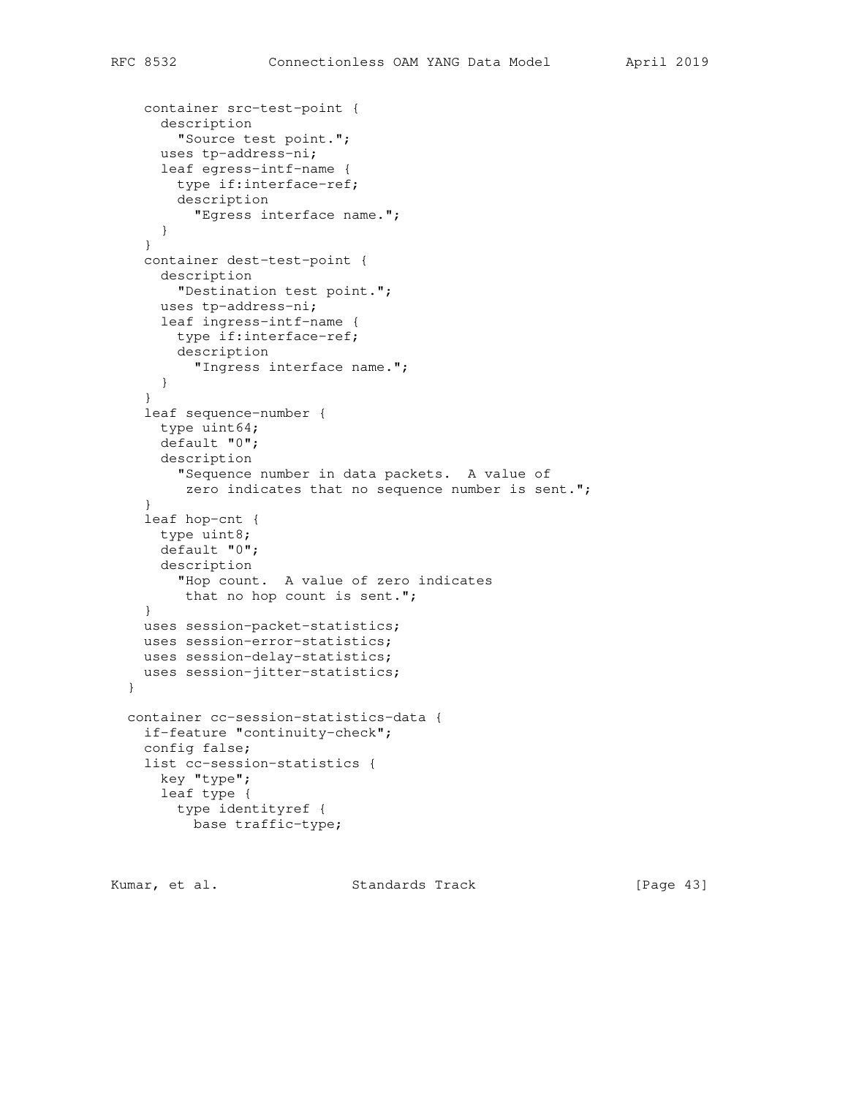```
 container src-test-point {
     description
      "Source test point.";
     uses tp-address-ni;
     leaf egress-intf-name {
      type if:interface-ref;
       description
         "Egress interface name.";
     }
   }
   container dest-test-point {
     description
      "Destination test point.";
     uses tp-address-ni;
     leaf ingress-intf-name {
      type if:interface-ref;
      description
        "Ingress interface name.";
     }
   }
   leaf sequence-number {
     type uint64;
    default "0";
    description
       "Sequence number in data packets. A value of
       zero indicates that no sequence number is sent.";
   }
   leaf hop-cnt {
    type uint8;
    default "0";
    description
      "Hop count. A value of zero indicates
       that no hop count is sent.";
   }
  uses session-packet-statistics;
   uses session-error-statistics;
  uses session-delay-statistics;
   uses session-jitter-statistics;
 }
 container cc-session-statistics-data {
   if-feature "continuity-check";
   config false;
   list cc-session-statistics {
     key "type";
     leaf type {
       type identityref {
         base traffic-type;
```
Kumar, et al. Standards Track [Page 43]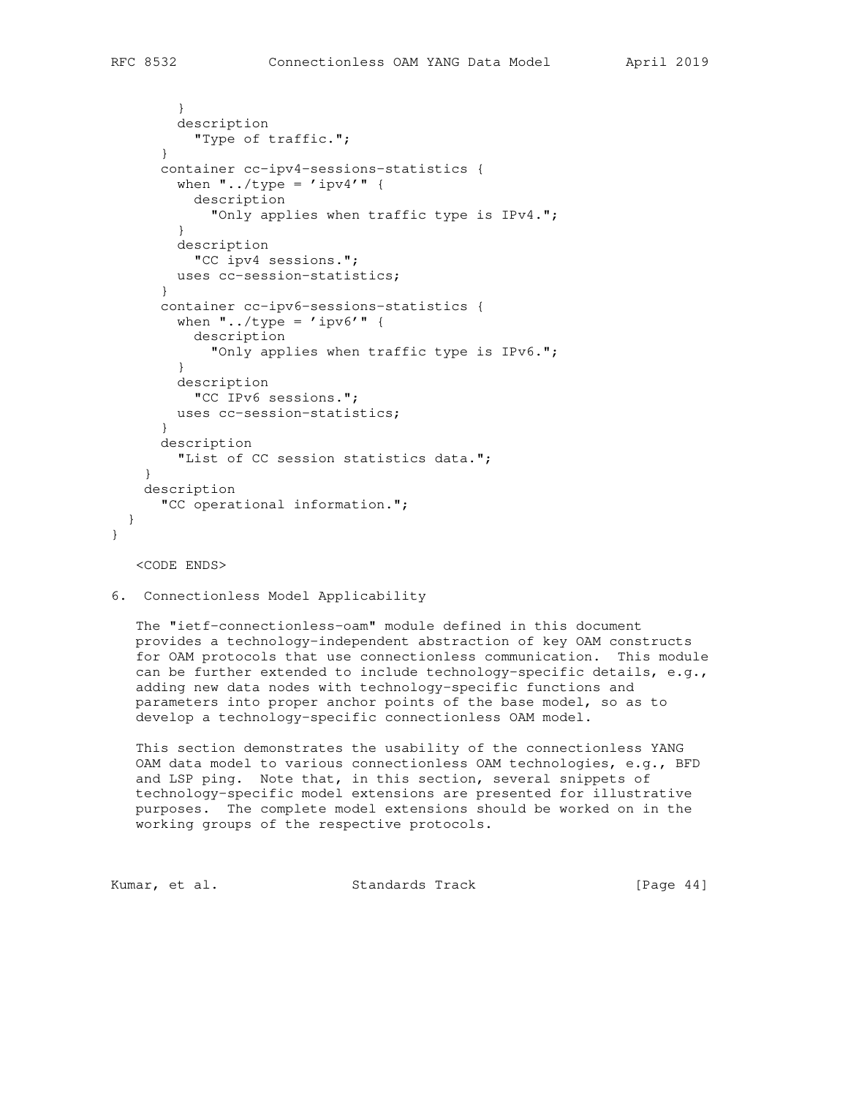```
 }
         description
          "Type of traffic.";
       }
       container cc-ipv4-sessions-statistics {
        when \cdot \cdot./type = 'ipv4'" {
           description
            "Only applies when traffic type is IPv4.";
 }
         description
           "CC ipv4 sessions.";
         uses cc-session-statistics;
       }
       container cc-ipv6-sessions-statistics {
        when \cdot../type = 'ipv6'\cdot {
          description
            "Only applies when traffic type is IPv6.";
 }
         description
           "CC IPv6 sessions.";
        uses cc-session-statistics;
       }
       description
         "List of CC session statistics data.";
     }
     description
       "CC operational information.";
  }
```
<CODE ENDS>

}

6. Connectionless Model Applicability

 The "ietf-connectionless-oam" module defined in this document provides a technology-independent abstraction of key OAM constructs for OAM protocols that use connectionless communication. This module can be further extended to include technology-specific details, e.g., adding new data nodes with technology-specific functions and parameters into proper anchor points of the base model, so as to develop a technology-specific connectionless OAM model.

 This section demonstrates the usability of the connectionless YANG OAM data model to various connectionless OAM technologies, e.g., BFD and LSP ping. Note that, in this section, several snippets of technology-specific model extensions are presented for illustrative purposes. The complete model extensions should be worked on in the working groups of the respective protocols.

| Kumar, et al. |  | Standards Track | [Page $44$ ] |  |
|---------------|--|-----------------|--------------|--|
|---------------|--|-----------------|--------------|--|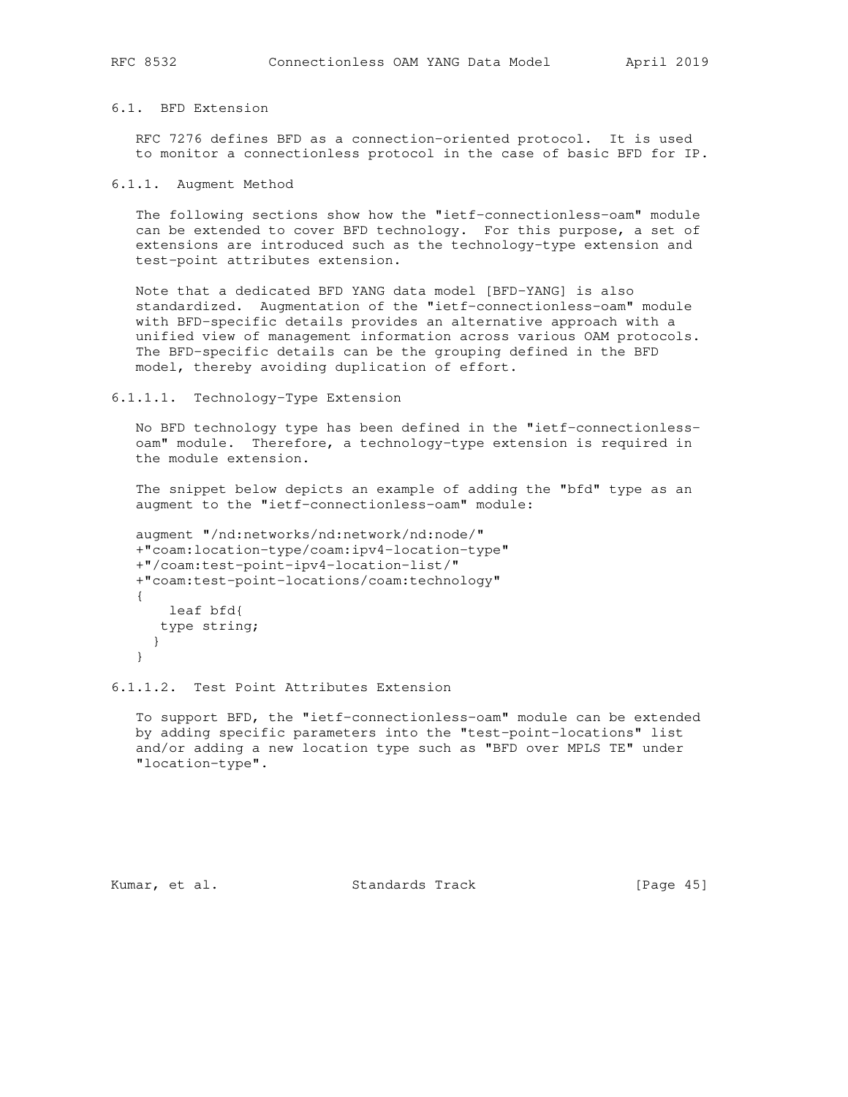## 6.1. BFD Extension

 RFC 7276 defines BFD as a connection-oriented protocol. It is used to monitor a connectionless protocol in the case of basic BFD for IP.

6.1.1. Augment Method

 The following sections show how the "ietf-connectionless-oam" module can be extended to cover BFD technology. For this purpose, a set of extensions are introduced such as the technology-type extension and test-point attributes extension.

 Note that a dedicated BFD YANG data model [BFD-YANG] is also standardized. Augmentation of the "ietf-connectionless-oam" module with BFD-specific details provides an alternative approach with a unified view of management information across various OAM protocols. The BFD-specific details can be the grouping defined in the BFD model, thereby avoiding duplication of effort.

## 6.1.1.1. Technology-Type Extension

 No BFD technology type has been defined in the "ietf-connectionless oam" module. Therefore, a technology-type extension is required in the module extension.

 The snippet below depicts an example of adding the "bfd" type as an augment to the "ietf-connectionless-oam" module:

```
 augment "/nd:networks/nd:network/nd:node/"
 +"coam:location-type/coam:ipv4-location-type"
 +"/coam:test-point-ipv4-location-list/"
 +"coam:test-point-locations/coam:technology"
 {
    leaf bfd{
   type string;
   }
 }
```
6.1.1.2. Test Point Attributes Extension

 To support BFD, the "ietf-connectionless-oam" module can be extended by adding specific parameters into the "test-point-locations" list and/or adding a new location type such as "BFD over MPLS TE" under "location-type".

Kumar, et al. Standards Track [Page 45]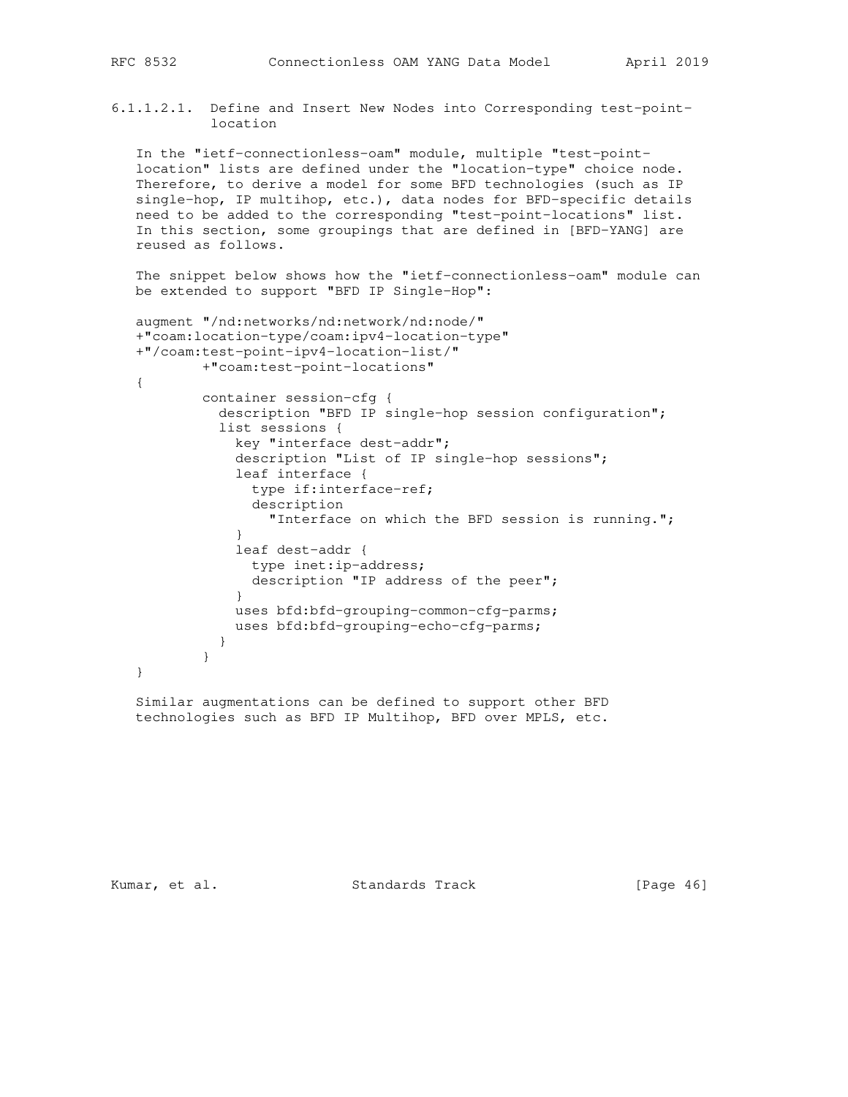6.1.1.2.1. Define and Insert New Nodes into Corresponding test-point location

 In the "ietf-connectionless-oam" module, multiple "test-point location" lists are defined under the "location-type" choice node. Therefore, to derive a model for some BFD technologies (such as IP single-hop, IP multihop, etc.), data nodes for BFD-specific details need to be added to the corresponding "test-point-locations" list. In this section, some groupings that are defined in [BFD-YANG] are reused as follows.

 The snippet below shows how the "ietf-connectionless-oam" module can be extended to support "BFD IP Single-Hop":

```
 augment "/nd:networks/nd:network/nd:node/"
   +"coam:location-type/coam:ipv4-location-type"
   +"/coam:test-point-ipv4-location-list/"
           +"coam:test-point-locations"
   {
           container session-cfg {
             description "BFD IP single-hop session configuration";
             list sessions {
               key "interface dest-addr";
               description "List of IP single-hop sessions";
               leaf interface {
                 type if:interface-ref;
                 description
                   "Interface on which the BFD session is running.";
 }
               leaf dest-addr {
                type inet:ip-address;
                description "IP address of the peer";
 }
              uses bfd:bfd-grouping-common-cfg-parms;
              uses bfd:bfd-grouping-echo-cfg-parms;
 }
 }
   }
```
 Similar augmentations can be defined to support other BFD technologies such as BFD IP Multihop, BFD over MPLS, etc.

Kumar, et al. Standards Track [Page 46]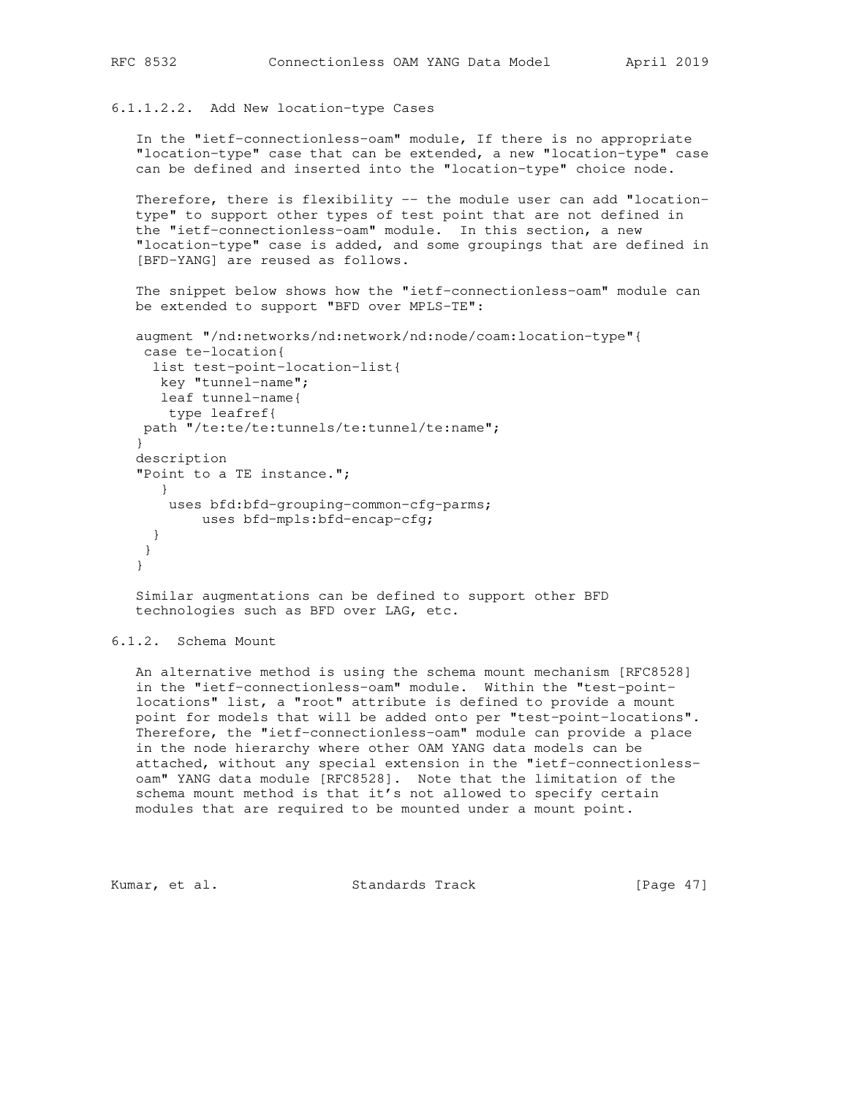6.1.1.2.2. Add New location-type Cases

 In the "ietf-connectionless-oam" module, If there is no appropriate "location-type" case that can be extended, a new "location-type" case can be defined and inserted into the "location-type" choice node.

Therefore, there is flexibility -- the module user can add "location type" to support other types of test point that are not defined in the "ietf-connectionless-oam" module. In this section, a new "location-type" case is added, and some groupings that are defined in [BFD-YANG] are reused as follows.

 The snippet below shows how the "ietf-connectionless-oam" module can be extended to support "BFD over MPLS-TE":

```
 augment "/nd:networks/nd:network/nd:node/coam:location-type"{
 case te-location{
  list test-point-location-list{
   key "tunnel-name";
   leaf tunnel-name{
    type leafref{
 path "/te:te/te:tunnels/te:tunnel/te:name";
 }
 description
 "Point to a TE instance.";
   }
    uses bfd:bfd-grouping-common-cfg-parms;
        uses bfd-mpls:bfd-encap-cfg;
  }
 }
 }
```
 Similar augmentations can be defined to support other BFD technologies such as BFD over LAG, etc.

## 6.1.2. Schema Mount

 An alternative method is using the schema mount mechanism [RFC8528] in the "ietf-connectionless-oam" module. Within the "test-point locations" list, a "root" attribute is defined to provide a mount point for models that will be added onto per "test-point-locations". Therefore, the "ietf-connectionless-oam" module can provide a place in the node hierarchy where other OAM YANG data models can be attached, without any special extension in the "ietf-connectionless oam" YANG data module [RFC8528]. Note that the limitation of the schema mount method is that it's not allowed to specify certain modules that are required to be mounted under a mount point.

Kumar, et al. Standards Track [Page 47]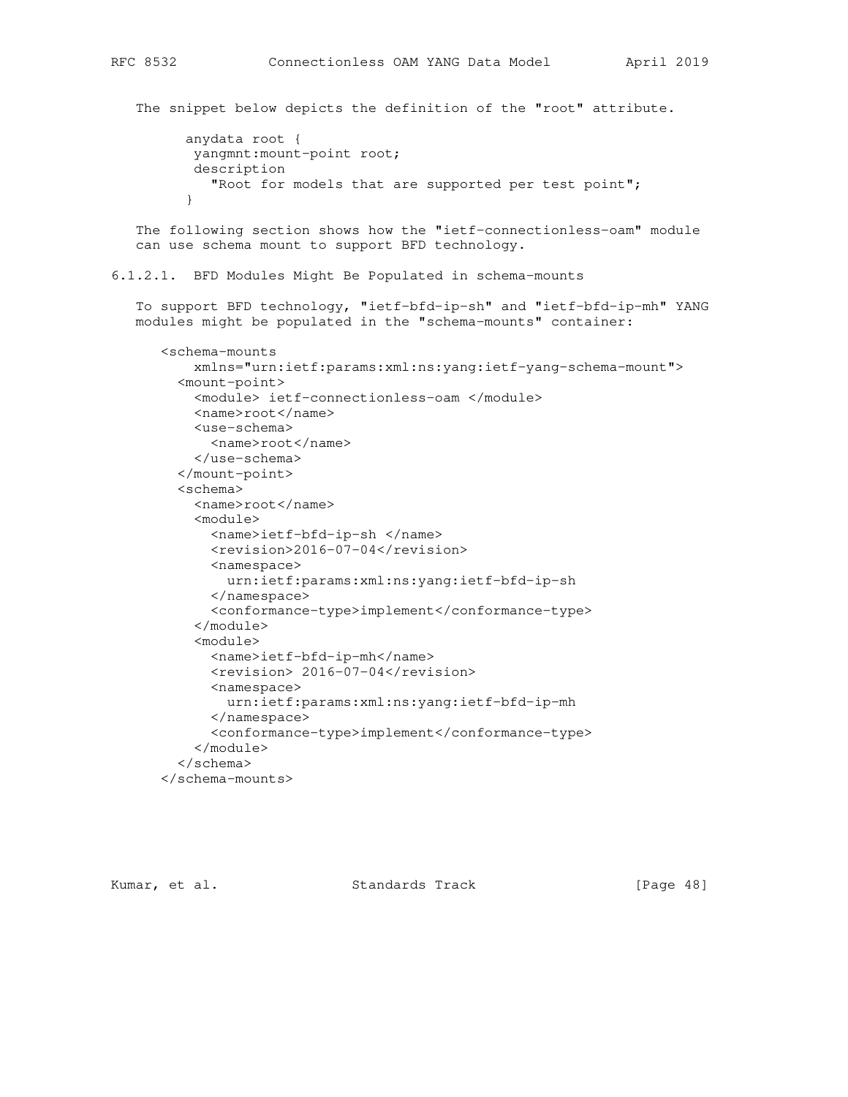The snippet below depicts the definition of the "root" attribute. anydata root { yangmnt:mount-point root; description "Root for models that are supported per test point"; } The following section shows how the "ietf-connectionless-oam" module can use schema mount to support BFD technology. 6.1.2.1. BFD Modules Might Be Populated in schema-mounts To support BFD technology, "ietf-bfd-ip-sh" and "ietf-bfd-ip-mh" YANG modules might be populated in the "schema-mounts" container: <schema-mounts xmlns="urn:ietf:params:xml:ns:yang:ietf-yang-schema-mount"> <mount-point> <module> ietf-connectionless-oam </module> <name>root</name> <use-schema> <name>root</name> </use-schema> </mount-point> <schema> <name>root</name> <module> <name>ietf-bfd-ip-sh </name> <revision>2016-07-04</revision> <namespace> urn:ietf:params:xml:ns:yang:ietf-bfd-ip-sh </namespace> <conformance-type>implement</conformance-type> </module> <module> <name>ietf-bfd-ip-mh</name> <revision> 2016-07-04</revision> <namespace> urn:ietf:params:xml:ns:yang:ietf-bfd-ip-mh </namespace> <conformance-type>implement</conformance-type> </module> </schema> </schema-mounts>

Kumar, et al. Standards Track [Page 48]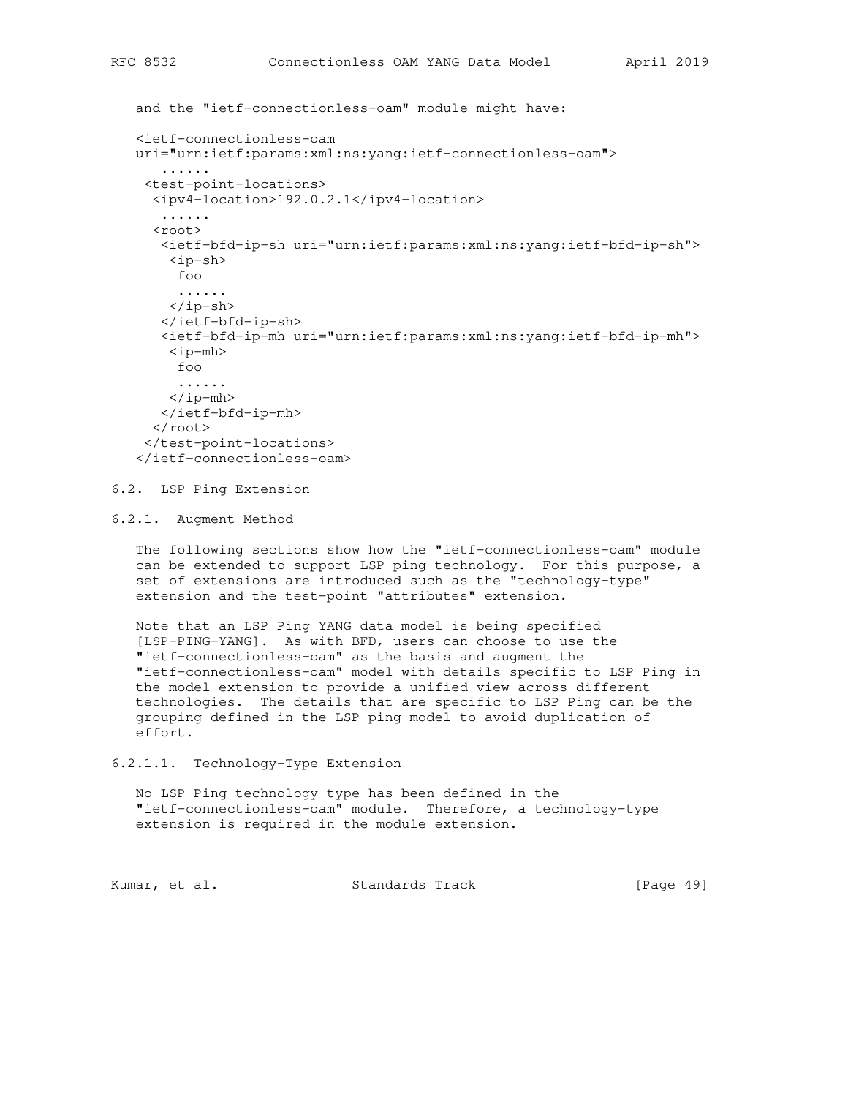```
 and the "ietf-connectionless-oam" module might have:
 <ietf-connectionless-oam
 uri="urn:ietf:params:xml:ns:yang:ietf-connectionless-oam">
    ......
 <test-point-locations>
  <ipv4-location>192.0.2.1</ipv4-location>
    ......
   <root>
    <ietf-bfd-ip-sh uri="urn:ietf:params:xml:ns:yang:ietf-bfd-ip-sh">
     <ip-sh>
     foo
      ......
    </ip-sh>
    </ietf-bfd-ip-sh>
    <ietf-bfd-ip-mh uri="urn:ietf:params:xml:ns:yang:ietf-bfd-ip-mh">
     <ip-mh>
     foo
      ......
    </ip-mh>
   </ietf-bfd-ip-mh>
  \langleroot\rangle </test-point-locations>
 </ietf-connectionless-oam>
```
6.2. LSP Ping Extension

6.2.1. Augment Method

 The following sections show how the "ietf-connectionless-oam" module can be extended to support LSP ping technology. For this purpose, a set of extensions are introduced such as the "technology-type" extension and the test-point "attributes" extension.

 Note that an LSP Ping YANG data model is being specified [LSP-PING-YANG]. As with BFD, users can choose to use the "ietf-connectionless-oam" as the basis and augment the "ietf-connectionless-oam" model with details specific to LSP Ping in the model extension to provide a unified view across different technologies. The details that are specific to LSP Ping can be the grouping defined in the LSP ping model to avoid duplication of effort.

6.2.1.1. Technology-Type Extension

 No LSP Ping technology type has been defined in the "ietf-connectionless-oam" module. Therefore, a technology-type extension is required in the module extension.

Kumar, et al. Standards Track [Page 49]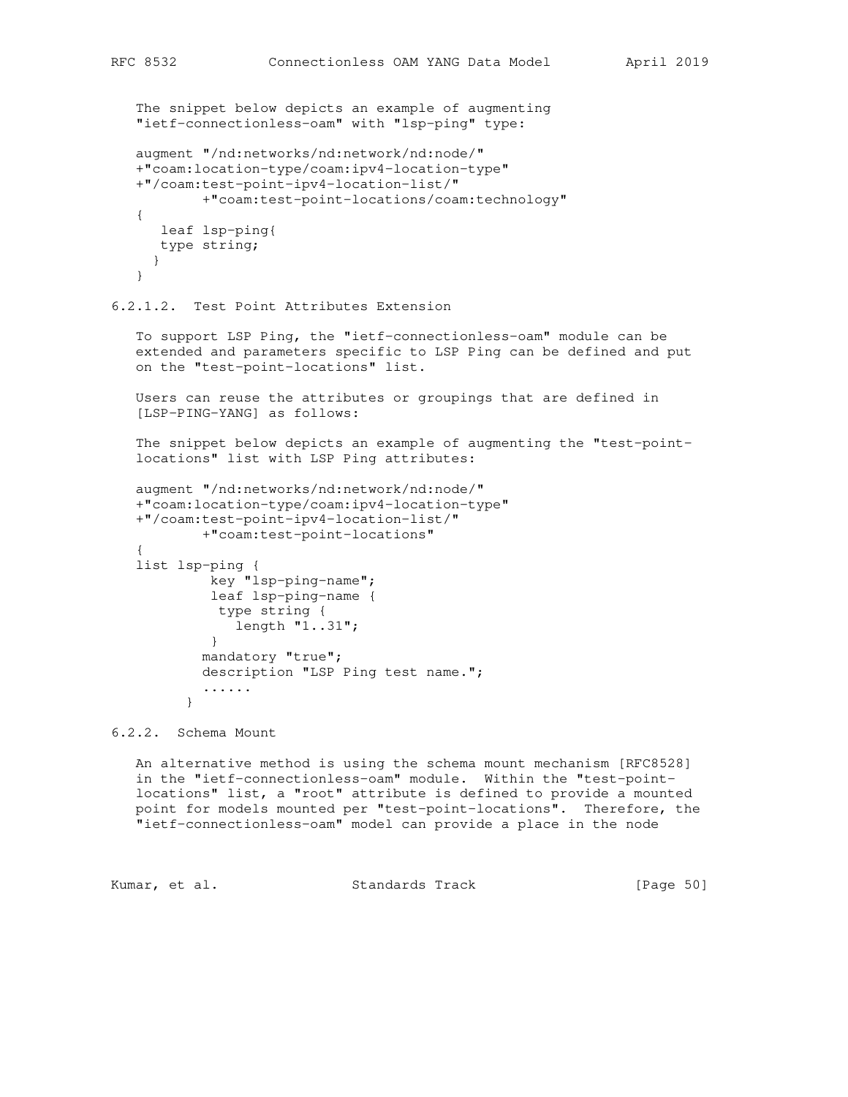```
 The snippet below depicts an example of augmenting
    "ietf-connectionless-oam" with "lsp-ping" type:
    augment "/nd:networks/nd:network/nd:node/"
    +"coam:location-type/coam:ipv4-location-type"
    +"/coam:test-point-ipv4-location-list/"
            +"coam:test-point-locations/coam:technology"
    {
      leaf lsp-ping{
      type string;
     }
    }
6.2.1.2. Test Point Attributes Extension
    To support LSP Ping, the "ietf-connectionless-oam" module can be
    extended and parameters specific to LSP Ping can be defined and put
    on the "test-point-locations" list.
   Users can reuse the attributes or groupings that are defined in
    [LSP-PING-YANG] as follows:
    The snippet below depicts an example of augmenting the "test-point-
    locations" list with LSP Ping attributes:
    augment "/nd:networks/nd:network/nd:node/"
    +"coam:location-type/coam:ipv4-location-type"
    +"/coam:test-point-ipv4-location-list/"
            +"coam:test-point-locations"
\{ list lsp-ping {
            key "lsp-ping-name";
             leaf lsp-ping-name {
             type string {
                length "1..31";
            }
            mandatory "true";
            description "LSP Ping test name.";
            ......
          }
```
6.2.2. Schema Mount

 An alternative method is using the schema mount mechanism [RFC8528] in the "ietf-connectionless-oam" module. Within the "test-point locations" list, a "root" attribute is defined to provide a mounted point for models mounted per "test-point-locations". Therefore, the "ietf-connectionless-oam" model can provide a place in the node

Kumar, et al. Standards Track [Page 50]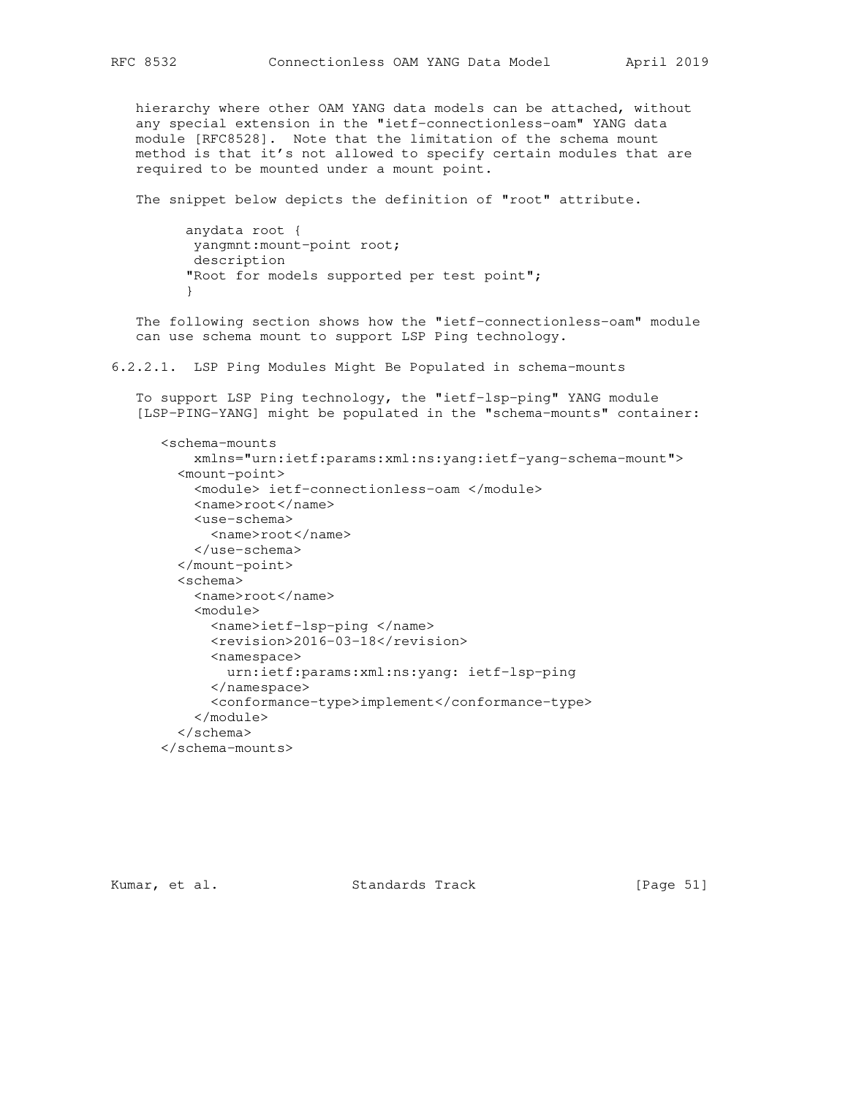hierarchy where other OAM YANG data models can be attached, without any special extension in the "ietf-connectionless-oam" YANG data module [RFC8528]. Note that the limitation of the schema mount method is that it's not allowed to specify certain modules that are required to be mounted under a mount point.

The snippet below depicts the definition of "root" attribute.

 anydata root { yangmnt:mount-point root; description "Root for models supported per test point"; }

 The following section shows how the "ietf-connectionless-oam" module can use schema mount to support LSP Ping technology.

6.2.2.1. LSP Ping Modules Might Be Populated in schema-mounts

 To support LSP Ping technology, the "ietf-lsp-ping" YANG module [LSP-PING-YANG] might be populated in the "schema-mounts" container:

```
 <schema-mounts
     xmlns="urn:ietf:params:xml:ns:yang:ietf-yang-schema-mount">
   <mount-point>
     <module> ietf-connectionless-oam </module>
     <name>root</name>
     <use-schema>
       <name>root</name>
     </use-schema>
   </mount-point>
   <schema>
     <name>root</name>
     <module>
       <name>ietf-lsp-ping </name>
       <revision>2016-03-18</revision>
       <namespace>
         urn:ietf:params:xml:ns:yang: ietf-lsp-ping
       </namespace>
       <conformance-type>implement</conformance-type>
     </module>
   </schema>
 </schema-mounts>
```
Kumar, et al. Standards Track [Page 51]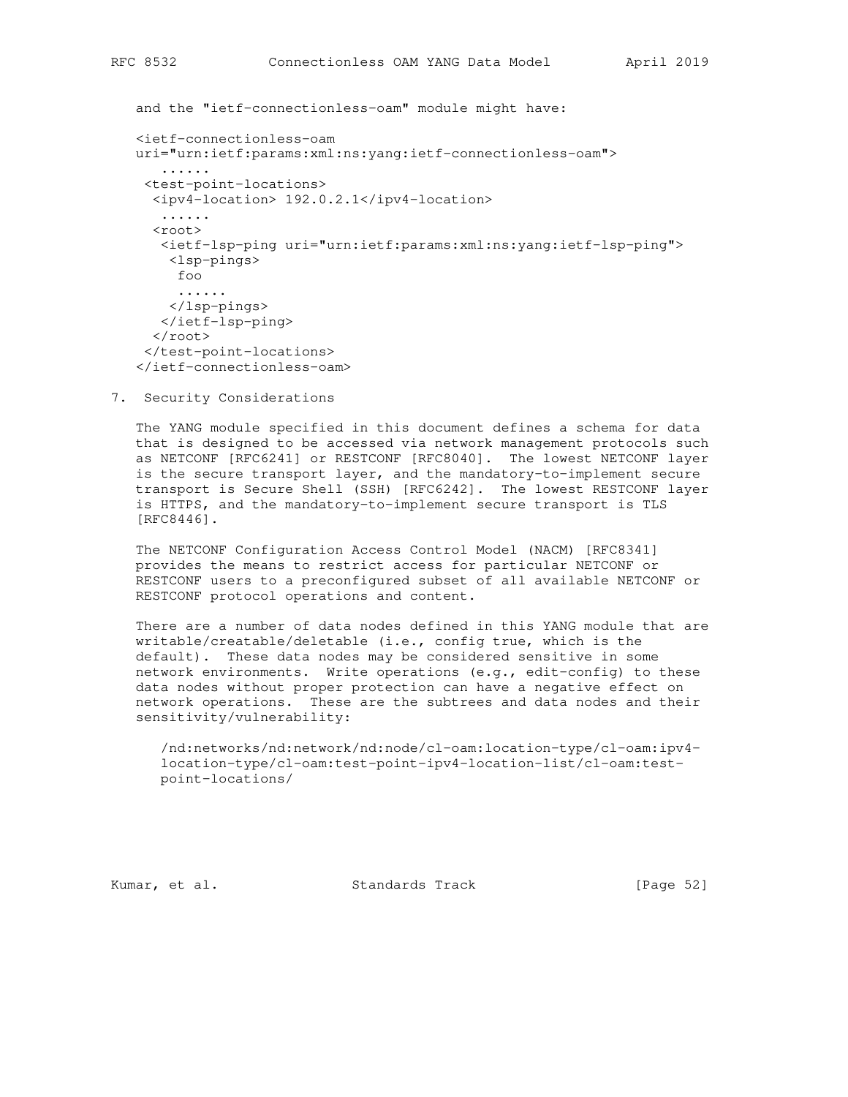and the "ietf-connectionless-oam" module might have: <ietf-connectionless-oam uri="urn:ietf:params:xml:ns:yang:ietf-connectionless-oam"> ...... <test-point-locations> <ipv4-location> 192.0.2.1</ipv4-location> ...... <root> <ietf-lsp-ping uri="urn:ietf:params:xml:ns:yang:ietf-lsp-ping"> <lsp-pings> foo ...... </lsp-pings> </ietf-lsp-ping>  $\langle$ root>

- </test-point-locations> </ietf-connectionless-oam>
- 7. Security Considerations

 The YANG module specified in this document defines a schema for data that is designed to be accessed via network management protocols such as NETCONF [RFC6241] or RESTCONF [RFC8040]. The lowest NETCONF layer is the secure transport layer, and the mandatory-to-implement secure transport is Secure Shell (SSH) [RFC6242]. The lowest RESTCONF layer is HTTPS, and the mandatory-to-implement secure transport is TLS [RFC8446].

 The NETCONF Configuration Access Control Model (NACM) [RFC8341] provides the means to restrict access for particular NETCONF or RESTCONF users to a preconfigured subset of all available NETCONF or RESTCONF protocol operations and content.

 There are a number of data nodes defined in this YANG module that are writable/creatable/deletable (i.e., config true, which is the default). These data nodes may be considered sensitive in some network environments. Write operations (e.g., edit-config) to these data nodes without proper protection can have a negative effect on network operations. These are the subtrees and data nodes and their sensitivity/vulnerability:

```
 /nd:networks/nd:network/nd:node/cl-oam:location-type/cl-oam:ipv4-
 location-type/cl-oam:test-point-ipv4-location-list/cl-oam:test-
 point-locations/
```
Kumar, et al. Standards Track [Page 52]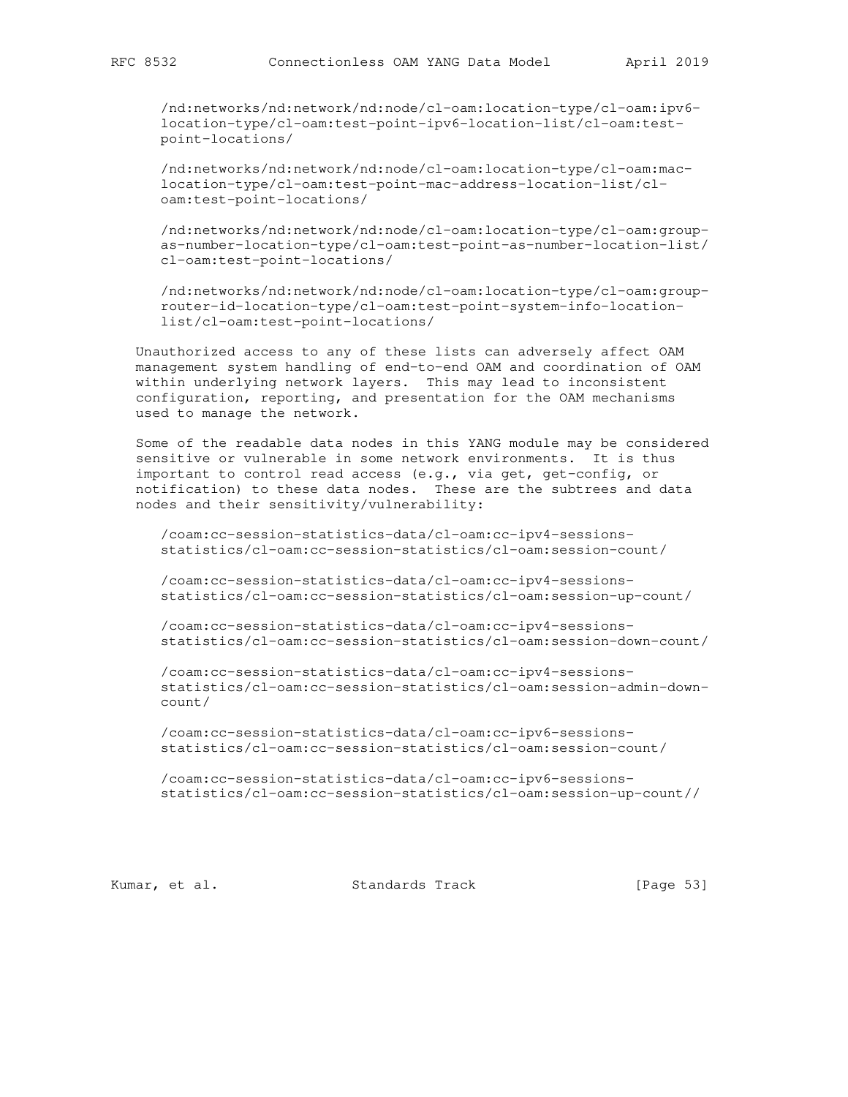/nd:networks/nd:network/nd:node/cl-oam:location-type/cl-oam:ipv6 location-type/cl-oam:test-point-ipv6-location-list/cl-oam:test point-locations/

 /nd:networks/nd:network/nd:node/cl-oam:location-type/cl-oam:mac location-type/cl-oam:test-point-mac-address-location-list/cl oam:test-point-locations/

 /nd:networks/nd:network/nd:node/cl-oam:location-type/cl-oam:group as-number-location-type/cl-oam:test-point-as-number-location-list/ cl-oam:test-point-locations/

 /nd:networks/nd:network/nd:node/cl-oam:location-type/cl-oam:group router-id-location-type/cl-oam:test-point-system-info-location list/cl-oam:test-point-locations/

 Unauthorized access to any of these lists can adversely affect OAM management system handling of end-to-end OAM and coordination of OAM within underlying network layers. This may lead to inconsistent configuration, reporting, and presentation for the OAM mechanisms used to manage the network.

 Some of the readable data nodes in this YANG module may be considered sensitive or vulnerable in some network environments. It is thus important to control read access (e.g., via get, get-config, or notification) to these data nodes. These are the subtrees and data nodes and their sensitivity/vulnerability:

 /coam:cc-session-statistics-data/cl-oam:cc-ipv4-sessions statistics/cl-oam:cc-session-statistics/cl-oam:session-count/

 /coam:cc-session-statistics-data/cl-oam:cc-ipv4-sessions statistics/cl-oam:cc-session-statistics/cl-oam:session-up-count/

 /coam:cc-session-statistics-data/cl-oam:cc-ipv4-sessions statistics/cl-oam:cc-session-statistics/cl-oam:session-down-count/

 /coam:cc-session-statistics-data/cl-oam:cc-ipv4-sessions statistics/cl-oam:cc-session-statistics/cl-oam:session-admin-down count/

 /coam:cc-session-statistics-data/cl-oam:cc-ipv6-sessions statistics/cl-oam:cc-session-statistics/cl-oam:session-count/

 /coam:cc-session-statistics-data/cl-oam:cc-ipv6-sessions statistics/cl-oam:cc-session-statistics/cl-oam:session-up-count//

Kumar, et al. Standards Track [Page 53]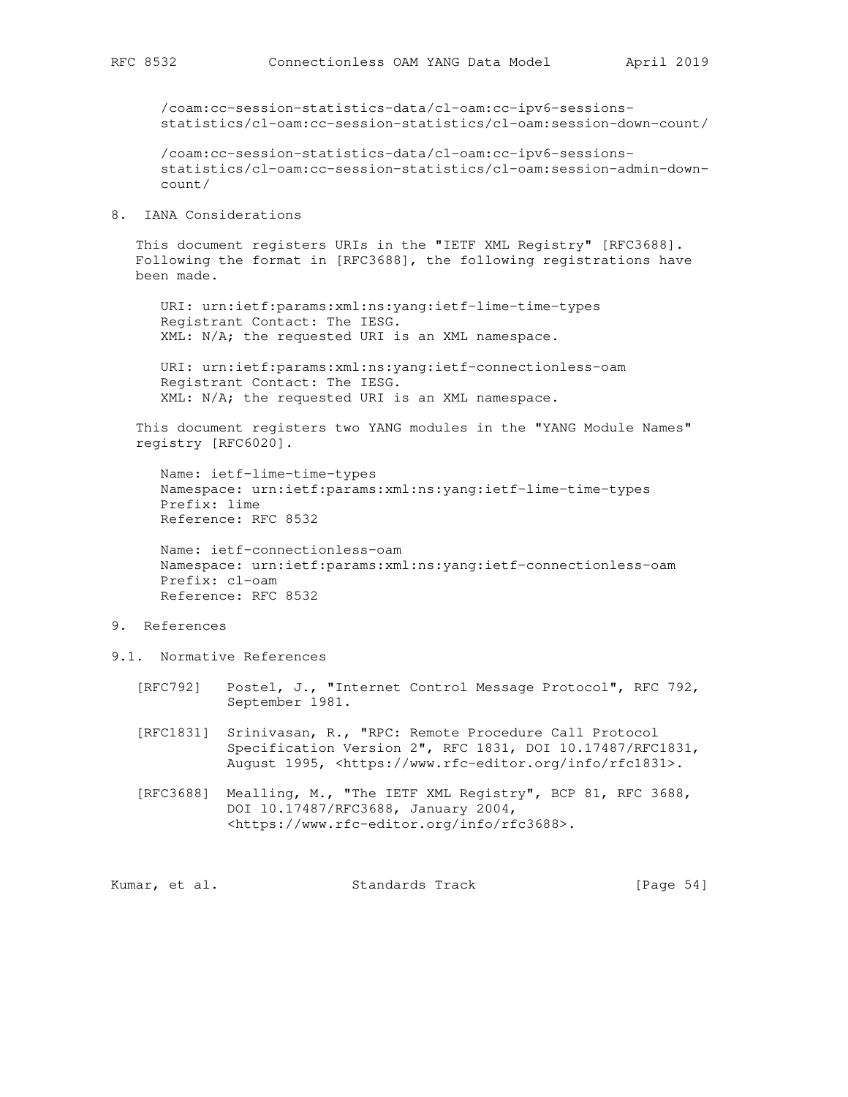/coam:cc-session-statistics-data/cl-oam:cc-ipv6-sessions statistics/cl-oam:cc-session-statistics/cl-oam:session-down-count/

 /coam:cc-session-statistics-data/cl-oam:cc-ipv6-sessions statistics/cl-oam:cc-session-statistics/cl-oam:session-admin-down count/

#### 8. IANA Considerations

 This document registers URIs in the "IETF XML Registry" [RFC3688]. Following the format in [RFC3688], the following registrations have been made.

 URI: urn:ietf:params:xml:ns:yang:ietf-lime-time-types Registrant Contact: The IESG. XML: N/A; the requested URI is an XML namespace.

 URI: urn:ietf:params:xml:ns:yang:ietf-connectionless-oam Registrant Contact: The IESG. XML: N/A; the requested URI is an XML namespace.

 This document registers two YANG modules in the "YANG Module Names" registry [RFC6020].

 Name: ietf-lime-time-types Namespace: urn:ietf:params:xml:ns:yang:ietf-lime-time-types Prefix: lime Reference: RFC 8532

 Name: ietf-connectionless-oam Namespace: urn:ietf:params:xml:ns:yang:ietf-connectionless-oam Prefix: cl-oam Reference: RFC 8532

## 9. References

- 9.1. Normative References
	- [RFC792] Postel, J., "Internet Control Message Protocol", RFC 792, September 1981.
	- [RFC1831] Srinivasan, R., "RPC: Remote Procedure Call Protocol Specification Version 2", RFC 1831, DOI 10.17487/RFC1831, August 1995, <https://www.rfc-editor.org/info/rfc1831>.
	- [RFC3688] Mealling, M., "The IETF XML Registry", BCP 81, RFC 3688, DOI 10.17487/RFC3688, January 2004, <https://www.rfc-editor.org/info/rfc3688>.

Kumar, et al. Standards Track [Page 54]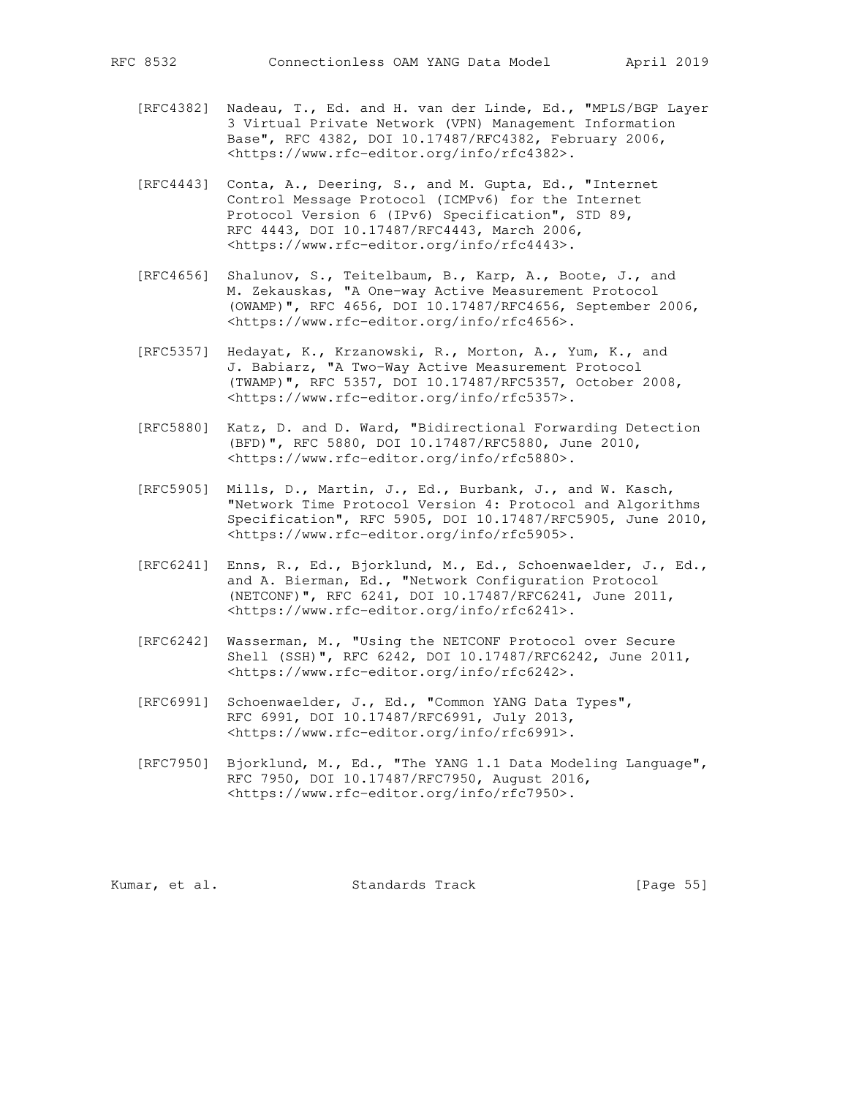- [RFC4382] Nadeau, T., Ed. and H. van der Linde, Ed., "MPLS/BGP Layer 3 Virtual Private Network (VPN) Management Information Base", RFC 4382, DOI 10.17487/RFC4382, February 2006, <https://www.rfc-editor.org/info/rfc4382>.
- [RFC4443] Conta, A., Deering, S., and M. Gupta, Ed., "Internet Control Message Protocol (ICMPv6) for the Internet Protocol Version 6 (IPv6) Specification", STD 89, RFC 4443, DOI 10.17487/RFC4443, March 2006, <https://www.rfc-editor.org/info/rfc4443>.
- [RFC4656] Shalunov, S., Teitelbaum, B., Karp, A., Boote, J., and M. Zekauskas, "A One-way Active Measurement Protocol (OWAMP)", RFC 4656, DOI 10.17487/RFC4656, September 2006, <https://www.rfc-editor.org/info/rfc4656>.
- [RFC5357] Hedayat, K., Krzanowski, R., Morton, A., Yum, K., and J. Babiarz, "A Two-Way Active Measurement Protocol (TWAMP)", RFC 5357, DOI 10.17487/RFC5357, October 2008, <https://www.rfc-editor.org/info/rfc5357>.
- [RFC5880] Katz, D. and D. Ward, "Bidirectional Forwarding Detection (BFD)", RFC 5880, DOI 10.17487/RFC5880, June 2010, <https://www.rfc-editor.org/info/rfc5880>.
- [RFC5905] Mills, D., Martin, J., Ed., Burbank, J., and W. Kasch, "Network Time Protocol Version 4: Protocol and Algorithms Specification", RFC 5905, DOI 10.17487/RFC5905, June 2010, <https://www.rfc-editor.org/info/rfc5905>.
- [RFC6241] Enns, R., Ed., Bjorklund, M., Ed., Schoenwaelder, J., Ed., and A. Bierman, Ed., "Network Configuration Protocol (NETCONF)", RFC 6241, DOI 10.17487/RFC6241, June 2011, <https://www.rfc-editor.org/info/rfc6241>.
- [RFC6242] Wasserman, M., "Using the NETCONF Protocol over Secure Shell (SSH)", RFC 6242, DOI 10.17487/RFC6242, June 2011, <https://www.rfc-editor.org/info/rfc6242>.
- [RFC6991] Schoenwaelder, J., Ed., "Common YANG Data Types", RFC 6991, DOI 10.17487/RFC6991, July 2013, <https://www.rfc-editor.org/info/rfc6991>.
- [RFC7950] Bjorklund, M., Ed., "The YANG 1.1 Data Modeling Language", RFC 7950, DOI 10.17487/RFC7950, August 2016, <https://www.rfc-editor.org/info/rfc7950>.

Kumar, et al. Standards Track [Page 55]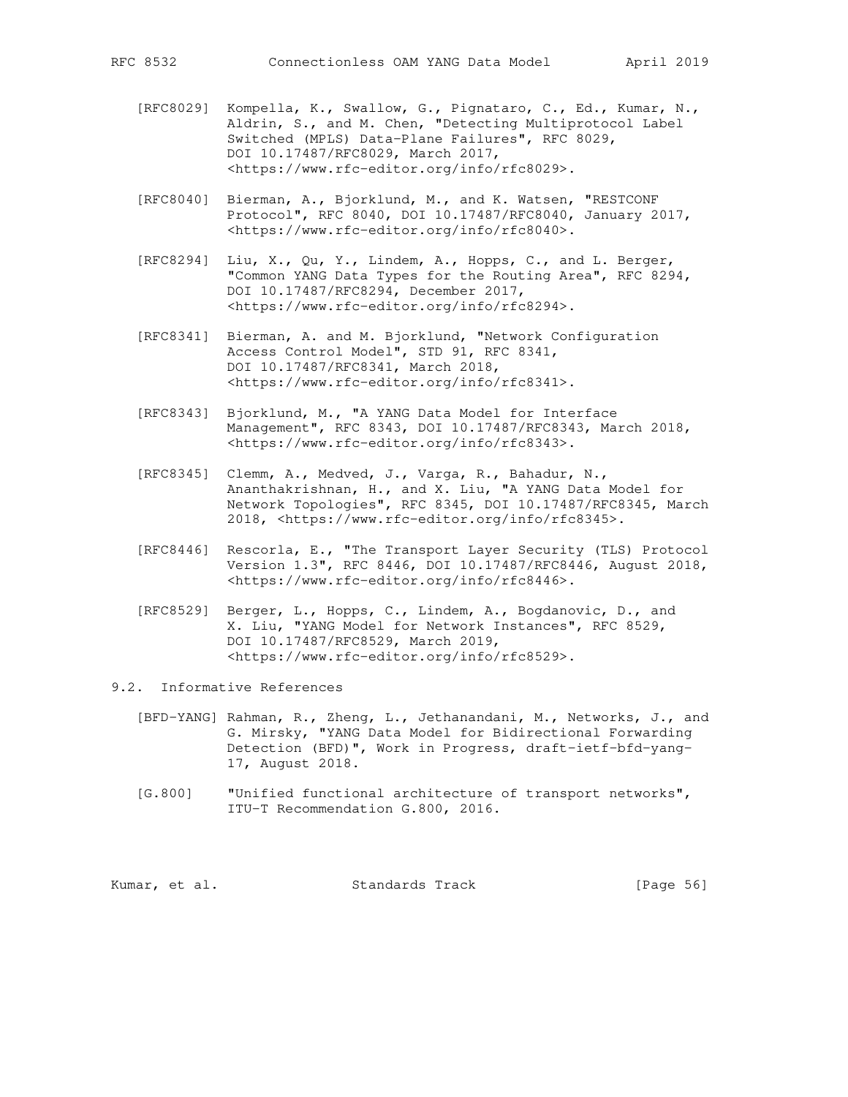- [RFC8029] Kompella, K., Swallow, G., Pignataro, C., Ed., Kumar, N., Aldrin, S., and M. Chen, "Detecting Multiprotocol Label Switched (MPLS) Data-Plane Failures", RFC 8029, DOI 10.17487/RFC8029, March 2017, <https://www.rfc-editor.org/info/rfc8029>.
- [RFC8040] Bierman, A., Bjorklund, M., and K. Watsen, "RESTCONF Protocol", RFC 8040, DOI 10.17487/RFC8040, January 2017, <https://www.rfc-editor.org/info/rfc8040>.
- [RFC8294] Liu, X., Qu, Y., Lindem, A., Hopps, C., and L. Berger, "Common YANG Data Types for the Routing Area", RFC 8294, DOI 10.17487/RFC8294, December 2017, <https://www.rfc-editor.org/info/rfc8294>.
- [RFC8341] Bierman, A. and M. Bjorklund, "Network Configuration Access Control Model", STD 91, RFC 8341, DOI 10.17487/RFC8341, March 2018, <https://www.rfc-editor.org/info/rfc8341>.
	- [RFC8343] Bjorklund, M., "A YANG Data Model for Interface Management", RFC 8343, DOI 10.17487/RFC8343, March 2018, <https://www.rfc-editor.org/info/rfc8343>.
- [RFC8345] Clemm, A., Medved, J., Varga, R., Bahadur, N., Ananthakrishnan, H., and X. Liu, "A YANG Data Model for Network Topologies", RFC 8345, DOI 10.17487/RFC8345, March 2018, <https://www.rfc-editor.org/info/rfc8345>.
	- [RFC8446] Rescorla, E., "The Transport Layer Security (TLS) Protocol Version 1.3", RFC 8446, DOI 10.17487/RFC8446, August 2018, <https://www.rfc-editor.org/info/rfc8446>.
	- [RFC8529] Berger, L., Hopps, C., Lindem, A., Bogdanovic, D., and X. Liu, "YANG Model for Network Instances", RFC 8529, DOI 10.17487/RFC8529, March 2019, <https://www.rfc-editor.org/info/rfc8529>.

## 9.2. Informative References

- [BFD-YANG] Rahman, R., Zheng, L., Jethanandani, M., Networks, J., and G. Mirsky, "YANG Data Model for Bidirectional Forwarding Detection (BFD)", Work in Progress, draft-ietf-bfd-yang- 17, August 2018.
- [G.800] "Unified functional architecture of transport networks", ITU-T Recommendation G.800, 2016.

| Kumar, et al. |  | Standards Track | [Page 56] |  |
|---------------|--|-----------------|-----------|--|
|---------------|--|-----------------|-----------|--|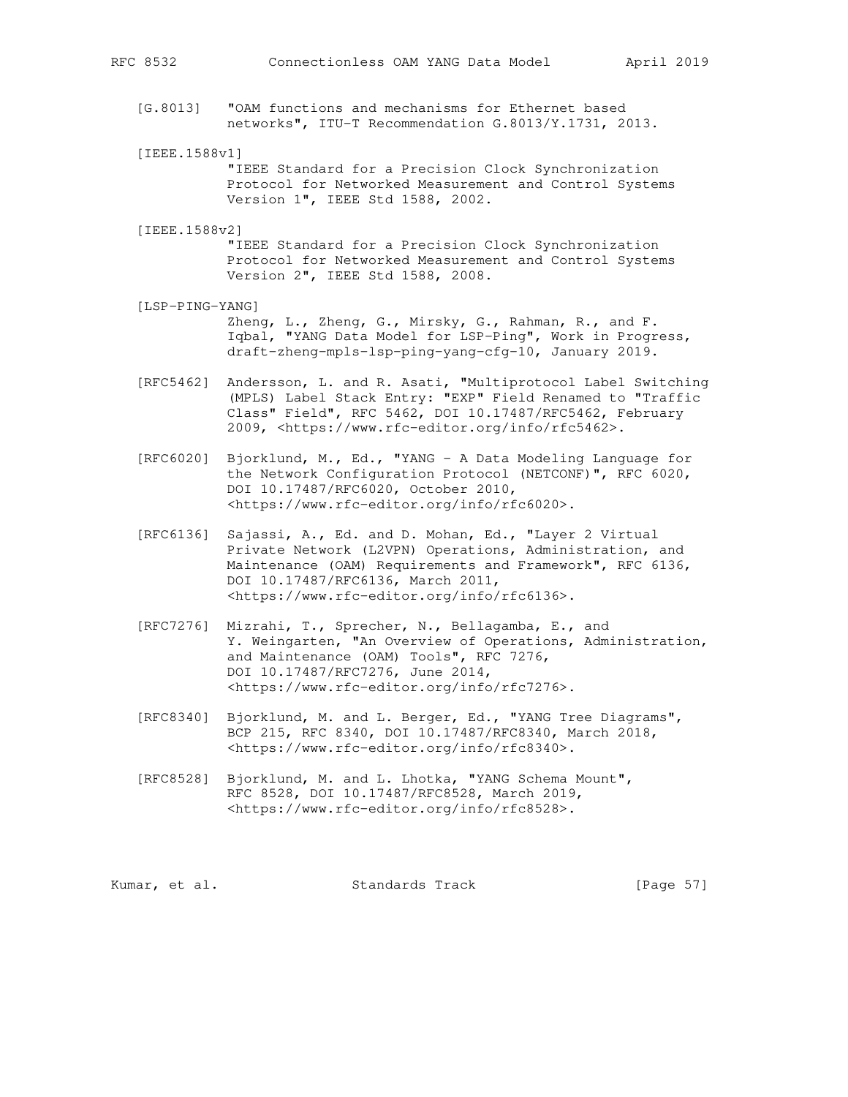- [G.8013] "OAM functions and mechanisms for Ethernet based networks", ITU-T Recommendation G.8013/Y.1731, 2013.
- [IEEE.1588v1]

 "IEEE Standard for a Precision Clock Synchronization Protocol for Networked Measurement and Control Systems Version 1", IEEE Std 1588, 2002.

[IEEE.1588v2]

 "IEEE Standard for a Precision Clock Synchronization Protocol for Networked Measurement and Control Systems Version 2", IEEE Std 1588, 2008.

- [LSP-PING-YANG] Zheng, L., Zheng, G., Mirsky, G., Rahman, R., and F. Iqbal, "YANG Data Model for LSP-Ping", Work in Progress, draft-zheng-mpls-lsp-ping-yang-cfg-10, January 2019.
- [RFC5462] Andersson, L. and R. Asati, "Multiprotocol Label Switching (MPLS) Label Stack Entry: "EXP" Field Renamed to "Traffic Class" Field", RFC 5462, DOI 10.17487/RFC5462, February 2009, <https://www.rfc-editor.org/info/rfc5462>.
- [RFC6020] Bjorklund, M., Ed., "YANG A Data Modeling Language for the Network Configuration Protocol (NETCONF)", RFC 6020, DOI 10.17487/RFC6020, October 2010, <https://www.rfc-editor.org/info/rfc6020>.
- [RFC6136] Sajassi, A., Ed. and D. Mohan, Ed., "Layer 2 Virtual Private Network (L2VPN) Operations, Administration, and Maintenance (OAM) Requirements and Framework", RFC 6136, DOI 10.17487/RFC6136, March 2011, <https://www.rfc-editor.org/info/rfc6136>.
- [RFC7276] Mizrahi, T., Sprecher, N., Bellagamba, E., and Y. Weingarten, "An Overview of Operations, Administration, and Maintenance (OAM) Tools", RFC 7276, DOI 10.17487/RFC7276, June 2014, <https://www.rfc-editor.org/info/rfc7276>.
- [RFC8340] Bjorklund, M. and L. Berger, Ed., "YANG Tree Diagrams", BCP 215, RFC 8340, DOI 10.17487/RFC8340, March 2018, <https://www.rfc-editor.org/info/rfc8340>.
- [RFC8528] Bjorklund, M. and L. Lhotka, "YANG Schema Mount", RFC 8528, DOI 10.17487/RFC8528, March 2019, <https://www.rfc-editor.org/info/rfc8528>.

| Kumar, et al.<br>Standards Track | [Page 57] |  |  |
|----------------------------------|-----------|--|--|
|----------------------------------|-----------|--|--|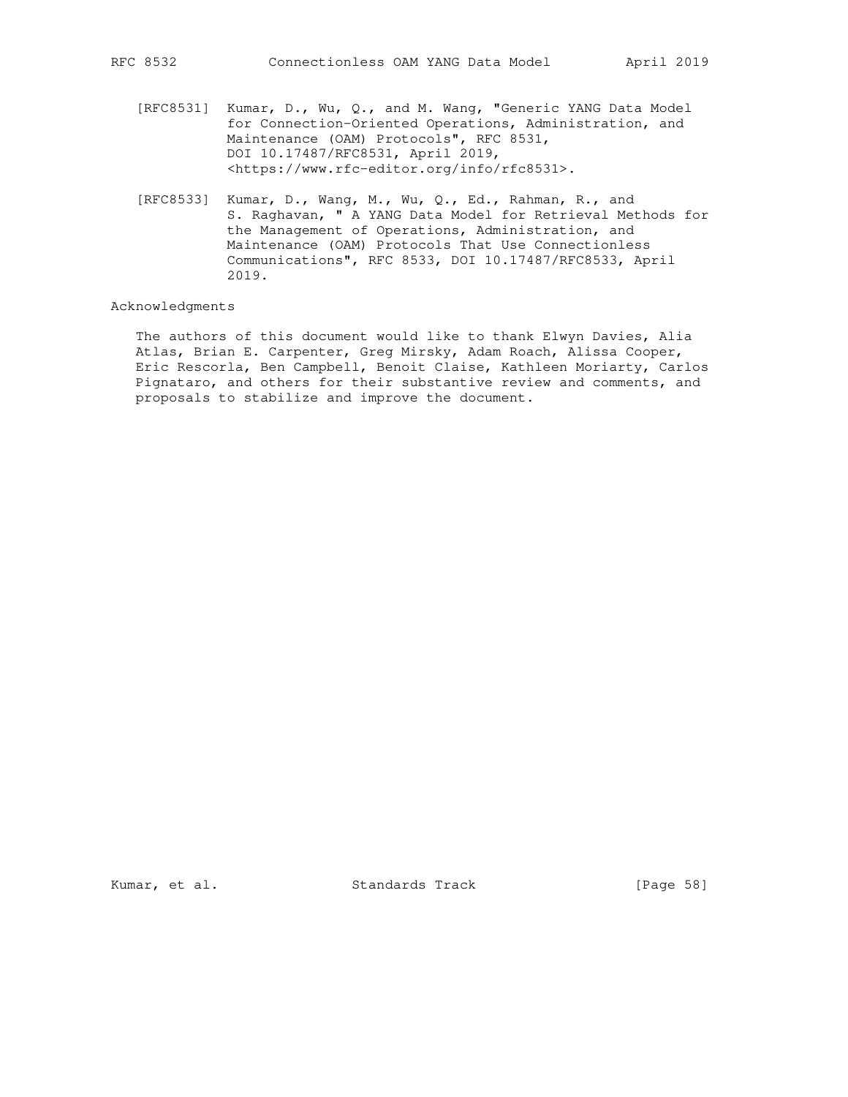- [RFC8531] Kumar, D., Wu, Q., and M. Wang, "Generic YANG Data Model for Connection-Oriented Operations, Administration, and Maintenance (OAM) Protocols", RFC 8531, DOI 10.17487/RFC8531, April 2019, <https://www.rfc-editor.org/info/rfc8531>.
- [RFC8533] Kumar, D., Wang, M., Wu, Q., Ed., Rahman, R., and S. Raghavan, " A YANG Data Model for Retrieval Methods for the Management of Operations, Administration, and Maintenance (OAM) Protocols That Use Connectionless Communications", RFC 8533, DOI 10.17487/RFC8533, April 2019.

#### Acknowledgments

 The authors of this document would like to thank Elwyn Davies, Alia Atlas, Brian E. Carpenter, Greg Mirsky, Adam Roach, Alissa Cooper, Eric Rescorla, Ben Campbell, Benoit Claise, Kathleen Moriarty, Carlos Pignataro, and others for their substantive review and comments, and proposals to stabilize and improve the document.

Kumar, et al. Standards Track [Page 58]